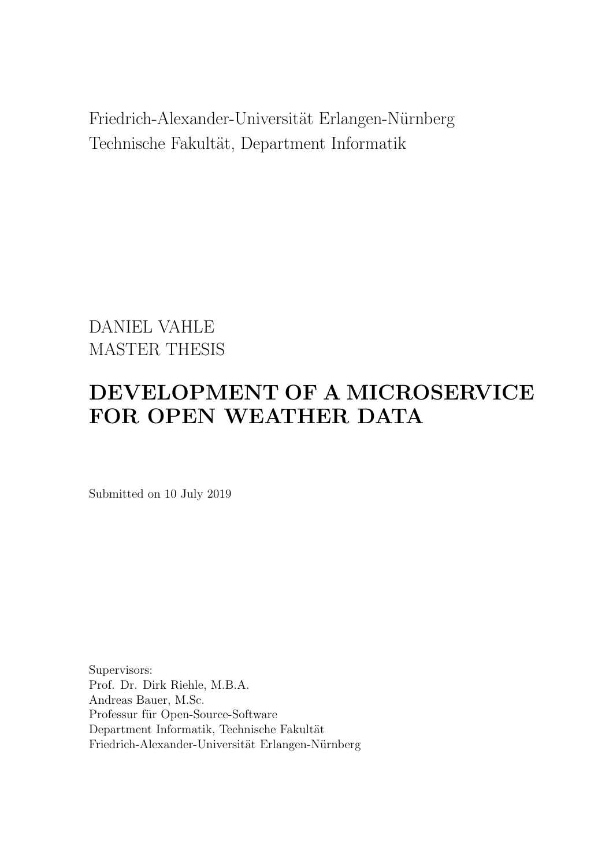<span id="page-0-0"></span>Friedrich-Alexander-Universität Erlangen-Nürnberg Technische Fakultät, Department Informatik

DANIEL VAHLE MASTER THESIS

# DEVELOPMENT OF A MICROSERVICE FOR OPEN WEATHER DATA

Submitted on 10 July 2019

Supervisors: Prof. Dr. Dirk Riehle, M.B.A. Andreas Bauer, M.Sc. Professur für Open-Source-Software Department Informatik, Technische Fakultät Friedrich-Alexander-Universität Erlangen-Nürnberg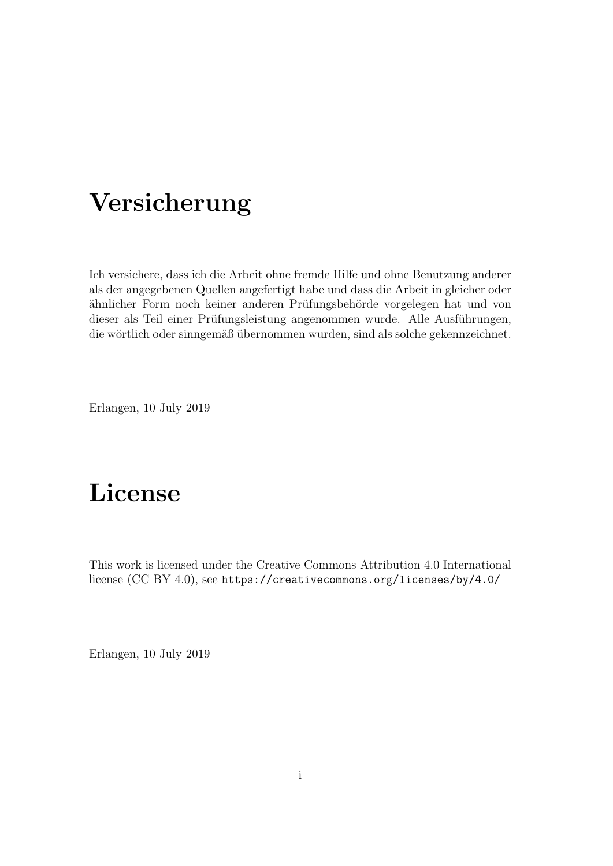# Versicherung

Ich versichere, dass ich die Arbeit ohne fremde Hilfe und ohne Benutzung anderer als der angegebenen Quellen angefertigt habe und dass die Arbeit in gleicher oder ähnlicher Form noch keiner anderen Prüfungsbehörde vorgelegen hat und von dieser als Teil einer Prüfungsleistung angenommen wurde. Alle Ausführungen, die wörtlich oder sinngemäß übernommen wurden, sind als solche gekennzeichnet.

Erlangen, 10 July 2019

# License

This work is licensed under the Creative Commons Attribution 4.0 International license (CC BY 4.0), see <https://creativecommons.org/licenses/by/4.0/>

Erlangen, 10 July 2019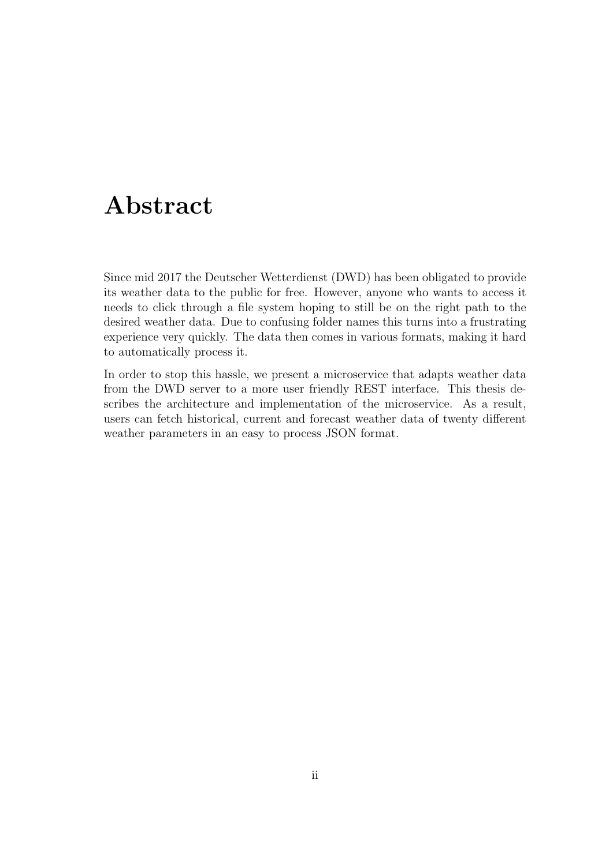# Abstract

Since mid 2017 the Deutscher Wetterdienst [\(DWD\)](#page-5-0) has been obligated to provide its weather data to the public for free. However, anyone who wants to access it needs to click through a file system hoping to still be on the right path to the desired weather data. Due to confusing folder names this turns into a frustrating experience very quickly. The data then comes in various formats, making it hard to automatically process it.

In order to stop this hassle, we present a microservice that adapts weather data from the [DWD](#page-5-0) server to a more user friendly [REST](#page-5-1) interface. This thesis describes the architecture and implementation of the microservice. As a result, users can fetch historical, current and forecast weather data of twenty different weather parameters in an easy to process [JSON](#page-5-2) format.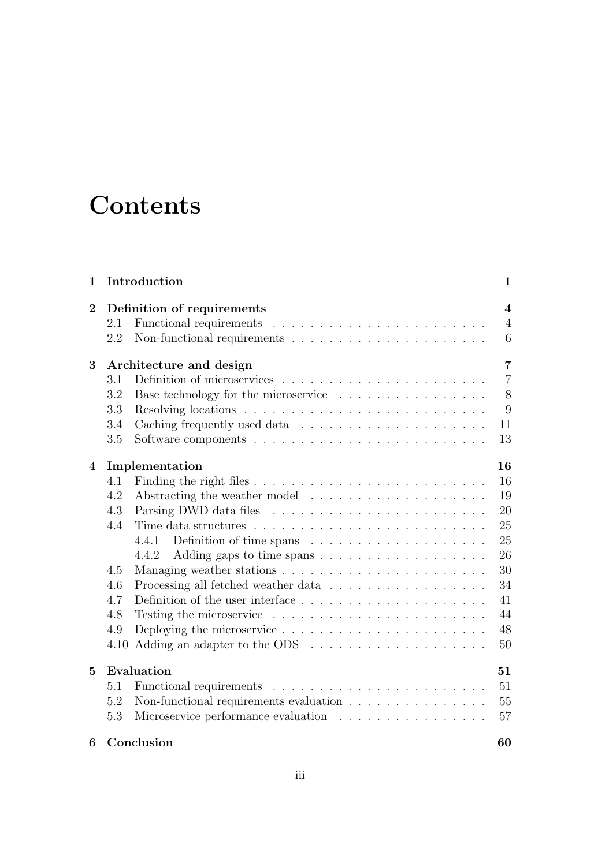# **Contents**

| 1              |                                           | Introduction                                                                       | $\mathbf{1}$   |  |  |  |  |  |
|----------------|-------------------------------------------|------------------------------------------------------------------------------------|----------------|--|--|--|--|--|
| $\overline{2}$ |                                           | Definition of requirements                                                         |                |  |  |  |  |  |
|                | 2.1                                       |                                                                                    | $\overline{4}$ |  |  |  |  |  |
|                | 2.2                                       | Non-functional requirements $\ldots \ldots \ldots \ldots \ldots \ldots \ldots$     | 6              |  |  |  |  |  |
| 3              | $\overline{7}$<br>Architecture and design |                                                                                    |                |  |  |  |  |  |
|                | 3.1                                       |                                                                                    | $\overline{7}$ |  |  |  |  |  |
|                | 3.2                                       | Base technology for the microservice                                               | 8              |  |  |  |  |  |
|                | 3.3                                       |                                                                                    | 9              |  |  |  |  |  |
|                | 3.4                                       |                                                                                    | 11             |  |  |  |  |  |
|                | 3.5                                       |                                                                                    | 13             |  |  |  |  |  |
| $\overline{4}$ |                                           | Implementation                                                                     | 16             |  |  |  |  |  |
|                | 4.1                                       |                                                                                    | 16             |  |  |  |  |  |
|                | 4.2                                       |                                                                                    | 19             |  |  |  |  |  |
|                | 4.3                                       |                                                                                    | 20             |  |  |  |  |  |
|                | 4.4                                       |                                                                                    | 25             |  |  |  |  |  |
|                |                                           | 4.4.1                                                                              | 25             |  |  |  |  |  |
|                |                                           | 4.4.2                                                                              | 26             |  |  |  |  |  |
|                | 4.5                                       |                                                                                    | 30             |  |  |  |  |  |
|                | 4.6                                       | Processing all fetched weather data $\ldots \ldots \ldots \ldots \ldots \ldots$    | 34             |  |  |  |  |  |
|                | 4.7                                       |                                                                                    | 41             |  |  |  |  |  |
|                | 4.8                                       |                                                                                    | 44             |  |  |  |  |  |
|                | 4.9                                       | Deploying the microservice $\dots \dots \dots \dots \dots \dots \dots \dots \dots$ | 48             |  |  |  |  |  |
|                | 4.10                                      |                                                                                    | 50             |  |  |  |  |  |
| 5              |                                           | Evaluation                                                                         | 51             |  |  |  |  |  |
|                | 5.1                                       |                                                                                    | 51             |  |  |  |  |  |
|                | 5.2                                       | Non-functional requirements evaluation $\ldots \ldots \ldots \ldots \ldots$        | $55\,$         |  |  |  |  |  |
|                | 5.3                                       | Microservice performance evaluation                                                | 57             |  |  |  |  |  |
| 6              |                                           | Conclusion                                                                         | 60             |  |  |  |  |  |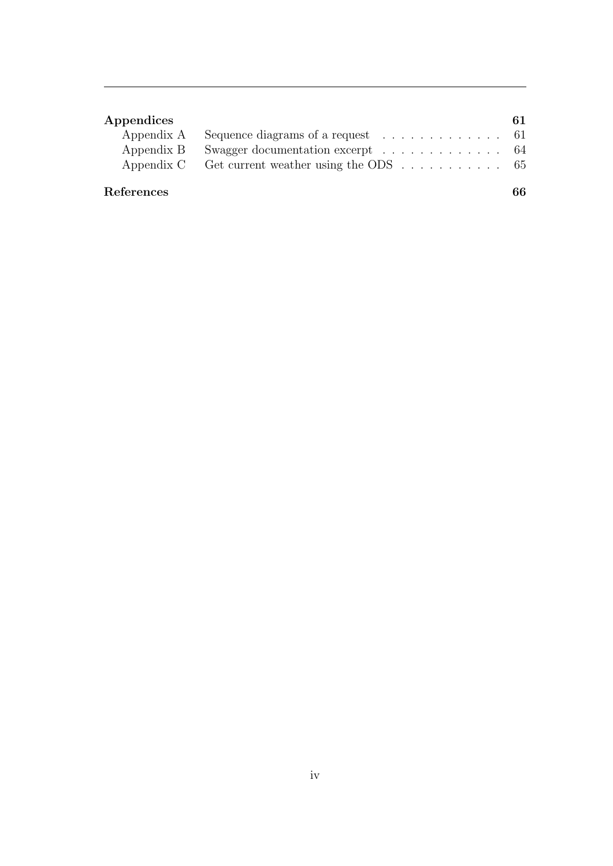| Appendices |                                                                              | 61 |
|------------|------------------------------------------------------------------------------|----|
|            | Appendix A Sequence diagrams of a request $\dots \dots \dots \dots \dots$ 61 |    |
|            | Appendix B Swagger documentation excerpt 64                                  |    |
|            | Appendix C Get current weather using the ODS $\dots \dots \dots$ 65          |    |
|            |                                                                              |    |
| References |                                                                              | 66 |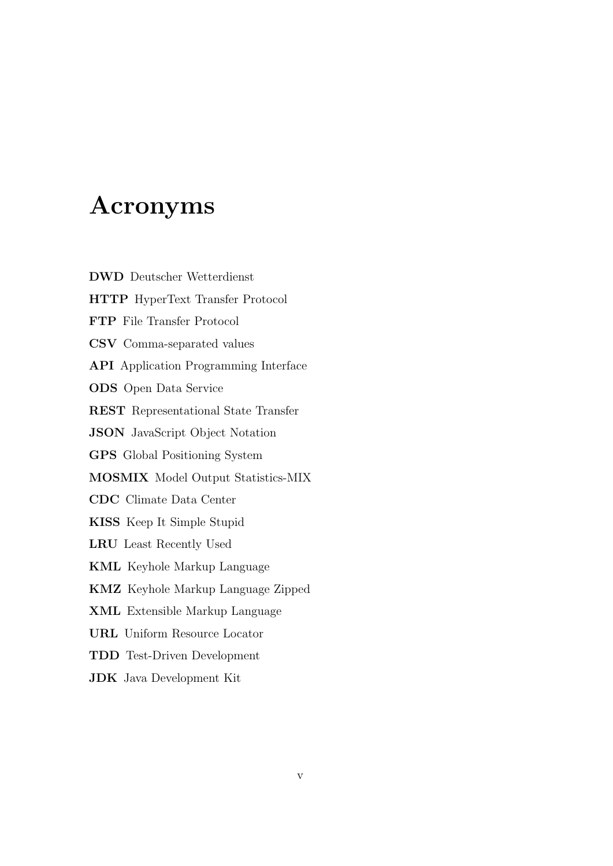# Acronyms

<span id="page-5-0"></span>DWD Deutscher Wetterdienst

<span id="page-5-15"></span><span id="page-5-14"></span><span id="page-5-13"></span><span id="page-5-12"></span><span id="page-5-11"></span><span id="page-5-10"></span><span id="page-5-9"></span><span id="page-5-8"></span><span id="page-5-7"></span><span id="page-5-6"></span><span id="page-5-5"></span><span id="page-5-4"></span><span id="page-5-3"></span><span id="page-5-2"></span><span id="page-5-1"></span>HTTP HyperText Transfer Protocol FTP File Transfer Protocol CSV Comma-separated values API Application Programming Interface ODS Open Data Service REST Representational State Transfer JSON JavaScript Object Notation GPS Global Positioning System MOSMIX Model Output Statistics-MIX CDC Climate Data Center KISS Keep It Simple Stupid LRU Least Recently Used KML Keyhole Markup Language KMZ Keyhole Markup Language Zipped XML Extensible Markup Language URL Uniform Resource Locator TDD Test-Driven Development JDK Java Development Kit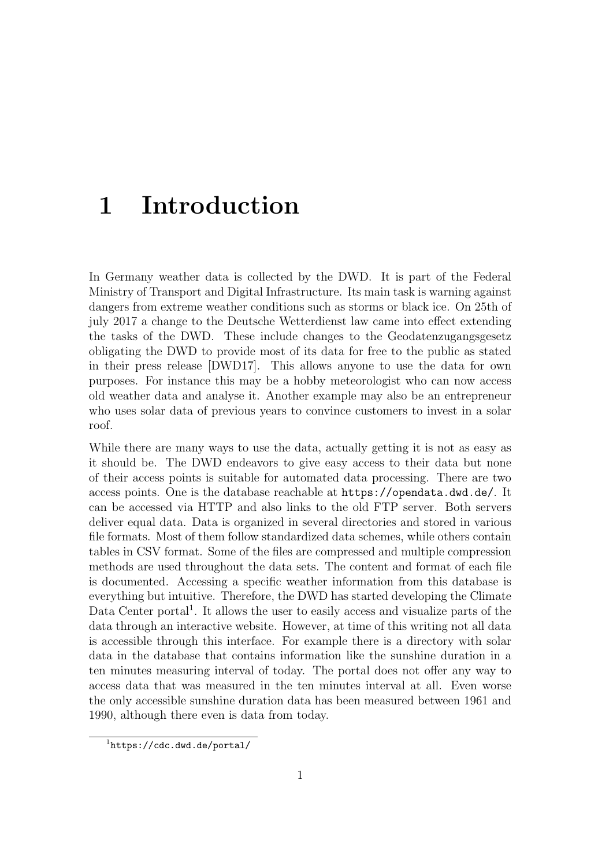# <span id="page-6-0"></span>1 Introduction

In Germany weather data is collected by the [DWD.](#page-5-0) It is part of the Federal Ministry of Transport and Digital Infrastructure. Its main task is warning against dangers from extreme weather conditions such as storms or black ice. On 25th of july 2017 a change to the Deutsche Wetterdienst law came into effect extending the tasks of the [DWD.](#page-5-0) These include changes to the Geodatenzugangsgesetz obligating the [DWD](#page-5-0) to provide most of its data for free to the public as stated in their press release [\[DWD17\]](#page-71-1). This allows anyone to use the data for own purposes. For instance this may be a hobby meteorologist who can now access old weather data and analyse it. Another example may also be an entrepreneur who uses solar data of previous years to convince customers to invest in a solar roof.

While there are many ways to use the data, actually getting it is not as easy as it should be. The [DWD](#page-5-0) endeavors to give easy access to their data but none of their access points is suitable for automated data processing. There are two access points. One is the database reachable at <https://opendata.dwd.de/>. It can be accessed via [HTTP](#page-5-4) and also links to the old [FTP](#page-5-5) server. Both servers deliver equal data. Data is organized in several directories and stored in various file formats. Most of them follow standardized data schemes, while others contain tables in [CSV](#page-5-6) format. Some of the files are compressed and multiple compression methods are used throughout the data sets. The content and format of each file is documented. Accessing a specific weather information from this database is everything but intuitive. Therefore, the [DWD](#page-5-0) has started developing the Climate Data Center portal<sup>[1](#page-0-0)</sup>. It allows the user to easily access and visualize parts of the data through an interactive website. However, at time of this writing not all data is accessible through this interface. For example there is a directory with solar data in the database that contains information like the sunshine duration in a ten minutes measuring interval of today. The portal does not offer any way to access data that was measured in the ten minutes interval at all. Even worse the only accessible sunshine duration data has been measured between 1961 and 1990, although there even is data from today.

<sup>1</sup><https://cdc.dwd.de/portal/>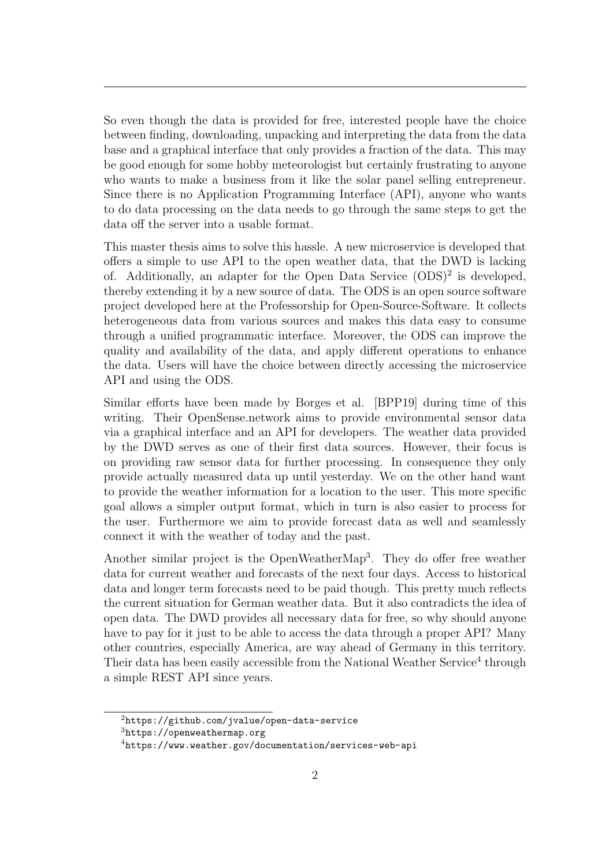So even though the data is provided for free, interested people have the choice between finding, downloading, unpacking and interpreting the data from the data base and a graphical interface that only provides a fraction of the data. This may be good enough for some hobby meteorologist but certainly frustrating to anyone who wants to make a business from it like the solar panel selling entrepreneur. Since there is no Application Programming Interface [\(API\)](#page-5-7), anyone who wants to do data processing on the data needs to go through the same steps to get the data off the server into a usable format.

This master thesis aims to solve this hassle. A new microservice is developed that offers a simple to use [API](#page-5-7) to the open weather data, that the [DWD](#page-5-0) is lacking of. Additionally, an adapter for the Open Data Service  $(ODS)^2$  $(ODS)^2$  $(ODS)^2$  is developed, thereby extending it by a new source of data. The [ODS](#page-5-3) is an open source software project developed here at the Professorship for Open-Source-Software. It collects heterogeneous data from various sources and makes this data easy to consume through a unified programmatic interface. Moreover, the ODS can improve the quality and availability of the data, and apply different operations to enhance the data. Users will have the choice between directly accessing the microservice [API](#page-5-7) and using the [ODS.](#page-5-3)

Similar efforts have been made by Borges et al. [\[BPP19\]](#page-71-2) during time of this writing. Their OpenSense.network aims to provide environmental sensor data via a graphical interface and an [API](#page-5-7) for developers. The weather data provided by the [DWD](#page-5-0) serves as one of their first data sources. However, their focus is on providing raw sensor data for further processing. In consequence they only provide actually measured data up until yesterday. We on the other hand want to provide the weather information for a location to the user. This more specific goal allows a simpler output format, which in turn is also easier to process for the user. Furthermore we aim to provide forecast data as well and seamlessly connect it with the weather of today and the past.

Another similar project is the OpenWeatherMap<sup>[3](#page-0-0)</sup>. They do offer free weather data for current weather and forecasts of the next four days. Access to historical data and longer term forecasts need to be paid though. This pretty much reflects the current situation for German weather data. But it also contradicts the idea of open data. The DWD provides all necessary data for free, so why should anyone have to pay for it just to be able to access the data through a proper [API?](#page-5-7) Many other countries, especially America, are way ahead of Germany in this territory. Their data has been easily accessible from the National Weather Service<sup>[4](#page-0-0)</sup> through a simple [REST](#page-5-1) [API](#page-5-7) since years.

<sup>2</sup><https://github.com/jvalue/open-data-service>

 $3$ <https://openweathermap.org>

 $4$ <https://www.weather.gov/documentation/services-web-api>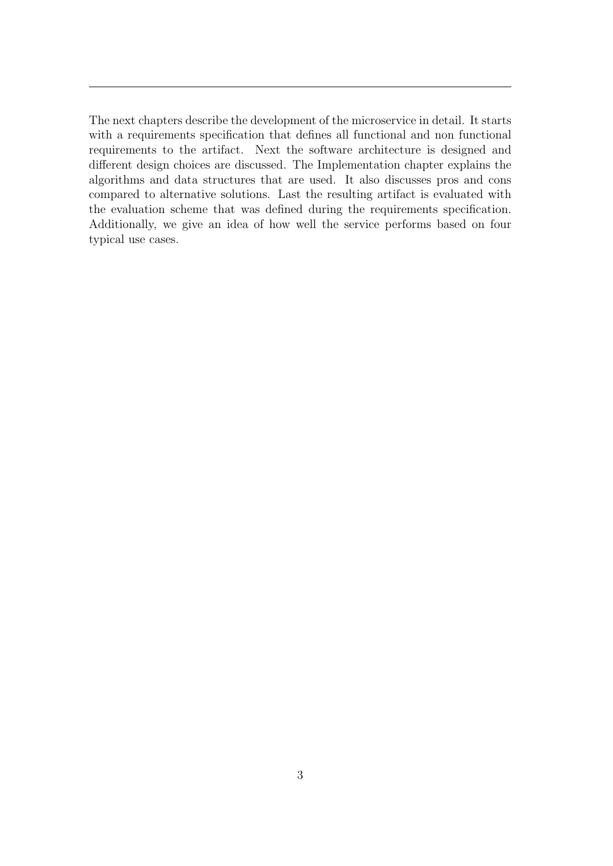The next chapters describe the development of the microservice in detail. It starts with a requirements specification that defines all functional and non functional requirements to the artifact. Next the software architecture is designed and different design choices are discussed. The Implementation chapter explains the algorithms and data structures that are used. It also discusses pros and cons compared to alternative solutions. Last the resulting artifact is evaluated with the evaluation scheme that was defined during the requirements specification. Additionally, we give an idea of how well the service performs based on four typical use cases.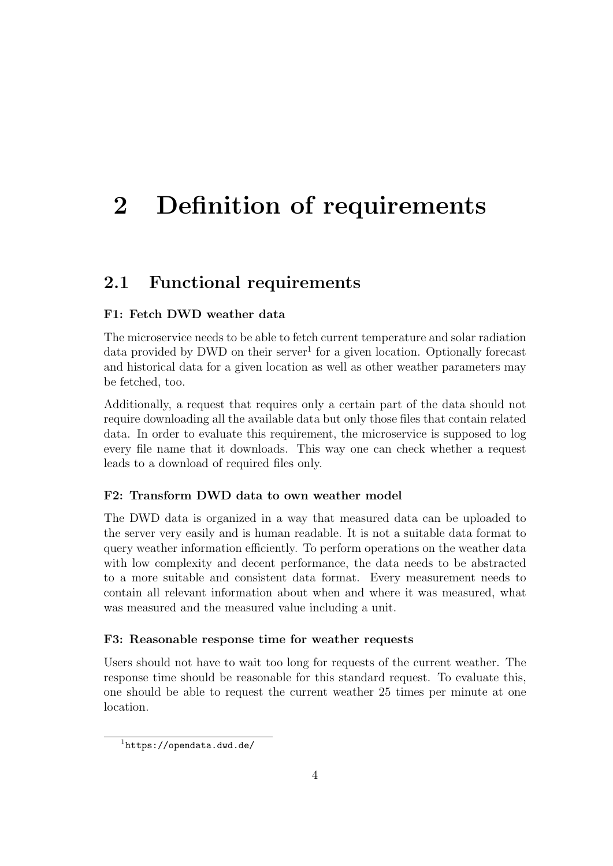# <span id="page-9-0"></span>2 Definition of requirements

### <span id="page-9-1"></span>2.1 Functional requirements

### F1: Fetch [DWD](#page-5-0) weather data

The microservice needs to be able to fetch current temperature and solar radiation data provided by DWD on their server<sup>[1](#page-0-0)</sup> for a given location. Optionally forecast and historical data for a given location as well as other weather parameters may be fetched, too.

Additionally, a request that requires only a certain part of the data should not require downloading all the available data but only those files that contain related data. In order to evaluate this requirement, the microservice is supposed to log every file name that it downloads. This way one can check whether a request leads to a download of required files only.

#### F2: Transform DWD data to own weather model

The [DWD](#page-5-0) data is organized in a way that measured data can be uploaded to the server very easily and is human readable. It is not a suitable data format to query weather information efficiently. To perform operations on the weather data with low complexity and decent performance, the data needs to be abstracted to a more suitable and consistent data format. Every measurement needs to contain all relevant information about when and where it was measured, what was measured and the measured value including a unit.

#### F3: Reasonable response time for weather requests

Users should not have to wait too long for requests of the current weather. The response time should be reasonable for this standard request. To evaluate this, one should be able to request the current weather 25 times per minute at one location.

<sup>1</sup><https://opendata.dwd.de/>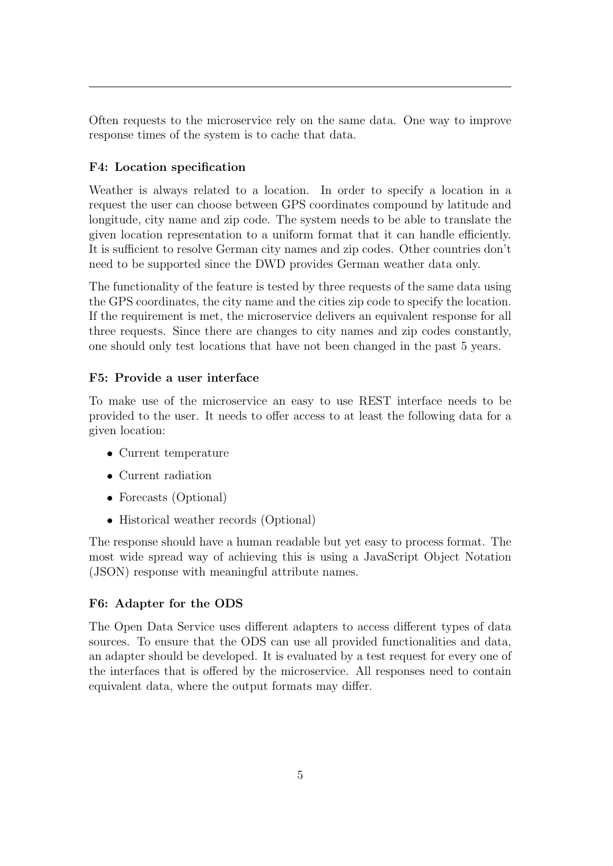Often requests to the microservice rely on the same data. One way to improve response times of the system is to cache that data.

### F4: Location specification

Weather is always related to a location. In order to specify a location in a request the user can choose between [GPS](#page-5-8) coordinates compound by latitude and longitude, city name and zip code. The system needs to be able to translate the given location representation to a uniform format that it can handle efficiently. It is sufficient to resolve German city names and zip codes. Other countries don't need to be supported since the [DWD](#page-5-0) provides German weather data only.

The functionality of the feature is tested by three requests of the same data using the GPS coordinates, the city name and the cities zip code to specify the location. If the requirement is met, the microservice delivers an equivalent response for all three requests. Since there are changes to city names and zip codes constantly, one should only test locations that have not been changed in the past 5 years.

### F5: Provide a user interface

To make use of the microservice an easy to use [REST](#page-5-1) interface needs to be provided to the user. It needs to offer access to at least the following data for a given location:

- Current temperature
- Current radiation
- Forecasts (Optional)
- Historical weather records (Optional)

The response should have a human readable but yet easy to process format. The most wide spread way of achieving this is using a JavaScript Object Notation [\(JSON\)](#page-5-2) response with meaningful attribute names.

#### F6: Adapter for the [ODS](#page-5-3)

<span id="page-10-0"></span>The Open Data Service uses different adapters to access different types of data sources. To ensure that the [ODS](#page-5-3) can use all provided functionalities and data, an adapter should be developed. It is evaluated by a test request for every one of the interfaces that is offered by the microservice. All responses need to contain equivalent data, where the output formats may differ.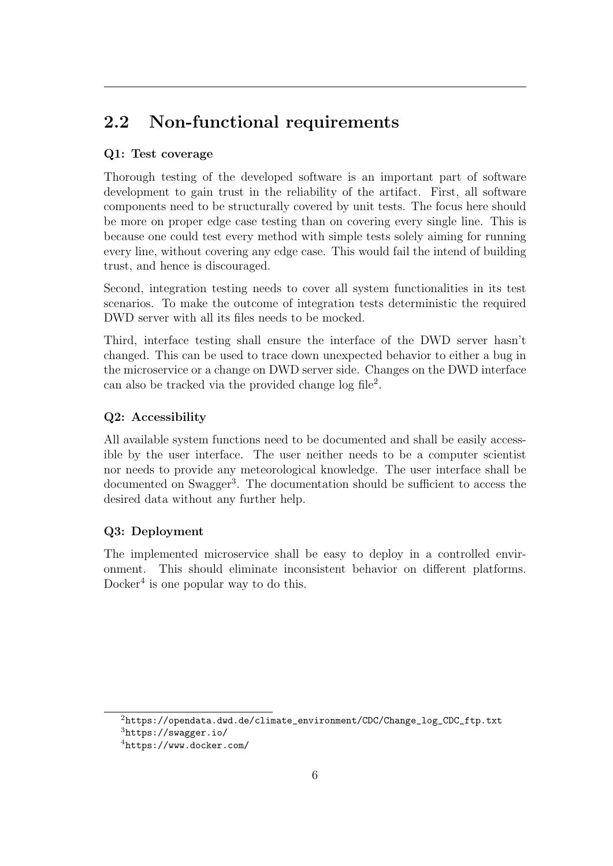## 2.2 Non-functional requirements

### Q1: Test coverage

Thorough testing of the developed software is an important part of software development to gain trust in the reliability of the artifact. First, all software components need to be structurally covered by unit tests. The focus here should be more on proper edge case testing than on covering every single line. This is because one could test every method with simple tests solely aiming for running every line, without covering any edge case. This would fail the intend of building trust, and hence is discouraged.

Second, integration testing needs to cover all system functionalities in its test scenarios. To make the outcome of integration tests deterministic the required [DWD](#page-5-0) server with all its files needs to be mocked.

Third, interface testing shall ensure the interface of the [DWD](#page-5-0) server hasn't changed. This can be used to trace down unexpected behavior to either a bug in the microservice or a change on [DWD](#page-5-0) server side. Changes on the [DWD](#page-5-0) interface can also be tracked via the provided change  $log file^2$  $log file^2$ .

### Q2: Accessibility

All available system functions need to be documented and shall be easily accessible by the user interface. The user neither needs to be a computer scientist nor needs to provide any meteorological knowledge. The user interface shall be documented on Swagger<sup>[3](#page-0-0)</sup>. The documentation should be sufficient to access the desired data without any further help.

### Q3: Deployment

The implemented microservice shall be easy to deploy in a controlled environment. This should eliminate inconsistent behavior on different platforms. Docker<sup>[4](#page-0-0)</sup> is one popular way to do this.

<sup>2</sup>[https://opendata.dwd.de/climate\\_environment/CDC/Change\\_log\\_CDC\\_ftp.txt](https://opendata.dwd.de/climate_environment/CDC/Change_log_CDC_ftp.txt)

 $3$ <https://swagger.io/>

<sup>4</sup><https://www.docker.com/>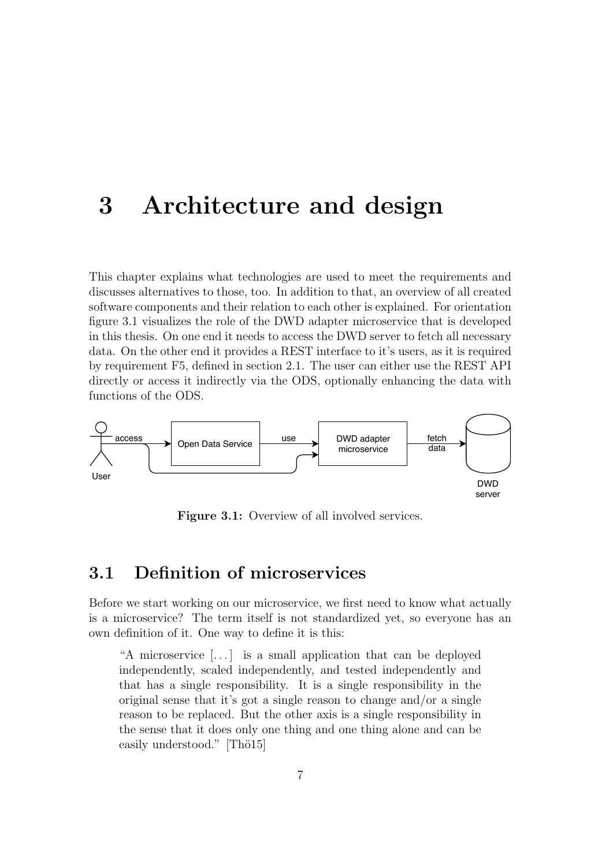# <span id="page-12-0"></span>3 Architecture and design

This chapter explains what technologies are used to meet the requirements and discusses alternatives to those, too. In addition to that, an overview of all created software components and their relation to each other is explained. For orientation figure [3.1](#page-12-2) visualizes the role of the [DWD](#page-5-0) adapter microservice that is developed in this thesis. On one end it needs to access the [DWD](#page-5-0) server to fetch all necessary data. On the other end it provides a [REST](#page-5-1) interface to it's users, as it is required by requirement F5, defined in section [2.1.](#page-9-1) The user can either use the [REST](#page-5-1) [API](#page-5-7) directly or access it indirectly via the [ODS,](#page-5-3) optionally enhancing the data with functions of the [ODS.](#page-5-3)

<span id="page-12-2"></span>

Figure 3.1: Overview of all involved services.

### <span id="page-12-1"></span>3.1 Definition of microservices

Before we start working on our microservice, we first need to know what actually is a microservice? The term itself is not standardized yet, so everyone has an own definition of it. One way to define it is this:

"A microservice [. . . ] is a small application that can be deployed independently, scaled independently, and tested independently and that has a single responsibility. It is a single responsibility in the original sense that it's got a single reason to change and/or a single reason to be replaced. But the other axis is a single responsibility in the sense that it does only one thing and one thing alone and can be easily understood."  $[Thö15]$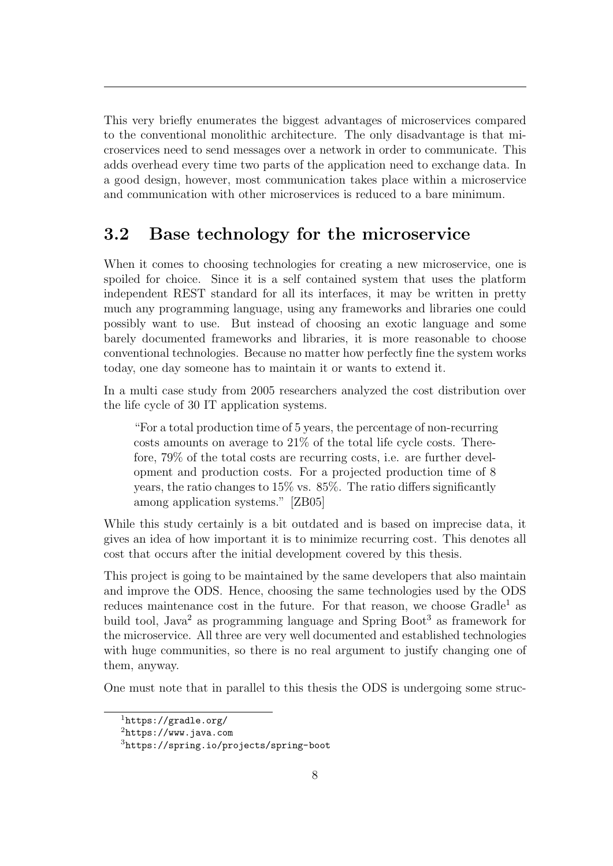This very briefly enumerates the biggest advantages of microservices compared to the conventional monolithic architecture. The only disadvantage is that microservices need to send messages over a network in order to communicate. This adds overhead every time two parts of the application need to exchange data. In a good design, however, most communication takes place within a microservice and communication with other microservices is reduced to a bare minimum.

### <span id="page-13-0"></span>3.2 Base technology for the microservice

When it comes to choosing technologies for creating a new microservice, one is spoiled for choice. Since it is a self contained system that uses the platform independent [REST](#page-5-1) standard for all its interfaces, it may be written in pretty much any programming language, using any frameworks and libraries one could possibly want to use. But instead of choosing an exotic language and some barely documented frameworks and libraries, it is more reasonable to choose conventional technologies. Because no matter how perfectly fine the system works today, one day someone has to maintain it or wants to extend it.

In a multi case study from 2005 researchers analyzed the cost distribution over the life cycle of 30 IT application systems.

"For a total production time of 5 years, the percentage of non-recurring costs amounts on average to 21% of the total life cycle costs. Therefore, 79% of the total costs are recurring costs, i.e. are further development and production costs. For a projected production time of 8 years, the ratio changes to 15% vs. 85%. The ratio differs significantly among application systems." [\[ZB05\]](#page-72-1)

While this study certainly is a bit outdated and is based on imprecise data, it gives an idea of how important it is to minimize recurring cost. This denotes all cost that occurs after the initial development covered by this thesis.

This project is going to be maintained by the same developers that also maintain and improve the [ODS.](#page-5-3) Hence, choosing the same technologies used by the [ODS](#page-5-3) reduces maintenance cost in the future. For that reason, we choose  $Gradle<sup>1</sup>$  $Gradle<sup>1</sup>$  $Gradle<sup>1</sup>$  as build tool, Java<sup>[2](#page-0-0)</sup> as programming language and Spring Boot<sup>[3](#page-0-0)</sup> as framework for the microservice. All three are very well documented and established technologies with huge communities, so there is no real argument to justify changing one of them, anyway.

One must note that in parallel to this thesis the [ODS](#page-5-3) is undergoing some struc-

<sup>1</sup><https://gradle.org/>

 $^{2}$ <https://www.java.com>

<sup>3</sup><https://spring.io/projects/spring-boot>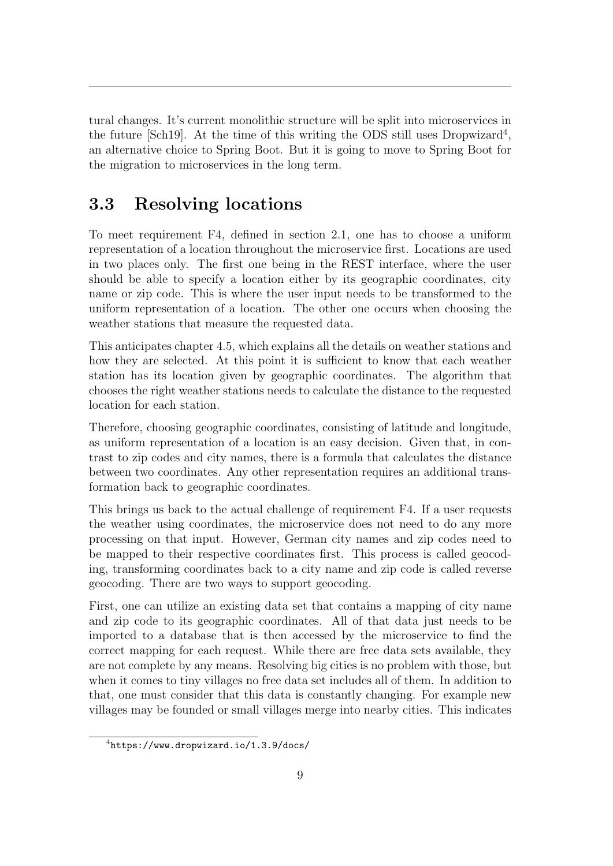tural changes. It's current monolithic structure will be split into microservices in the future [\[Sch19\]](#page-72-2). At the time of this writing the [ODS](#page-5-3) still uses Dropwizard<sup>[4](#page-0-0)</sup>, an alternative choice to Spring Boot. But it is going to move to Spring Boot for the migration to microservices in the long term.

### <span id="page-14-0"></span>3.3 Resolving locations

To meet requirement F4, defined in section [2.1,](#page-9-1) one has to choose a uniform representation of a location throughout the microservice first. Locations are used in two places only. The first one being in the [REST](#page-5-1) interface, where the user should be able to specify a location either by its geographic coordinates, city name or zip code. This is where the user input needs to be transformed to the uniform representation of a location. The other one occurs when choosing the weather stations that measure the requested data.

This anticipates chapter [4.5,](#page-35-0) which explains all the details on weather stations and how they are selected. At this point it is sufficient to know that each weather station has its location given by geographic coordinates. The algorithm that chooses the right weather stations needs to calculate the distance to the requested location for each station.

Therefore, choosing geographic coordinates, consisting of latitude and longitude, as uniform representation of a location is an easy decision. Given that, in contrast to zip codes and city names, there is a formula that calculates the distance between two coordinates. Any other representation requires an additional transformation back to geographic coordinates.

This brings us back to the actual challenge of requirement F4. If a user requests the weather using coordinates, the microservice does not need to do any more processing on that input. However, German city names and zip codes need to be mapped to their respective coordinates first. This process is called geocoding, transforming coordinates back to a city name and zip code is called reverse geocoding. There are two ways to support geocoding.

First, one can utilize an existing data set that contains a mapping of city name and zip code to its geographic coordinates. All of that data just needs to be imported to a database that is then accessed by the microservice to find the correct mapping for each request. While there are free data sets available, they are not complete by any means. Resolving big cities is no problem with those, but when it comes to tiny villages no free data set includes all of them. In addition to that, one must consider that this data is constantly changing. For example new villages may be founded or small villages merge into nearby cities. This indicates

<sup>4</sup><https://www.dropwizard.io/1.3.9/docs/>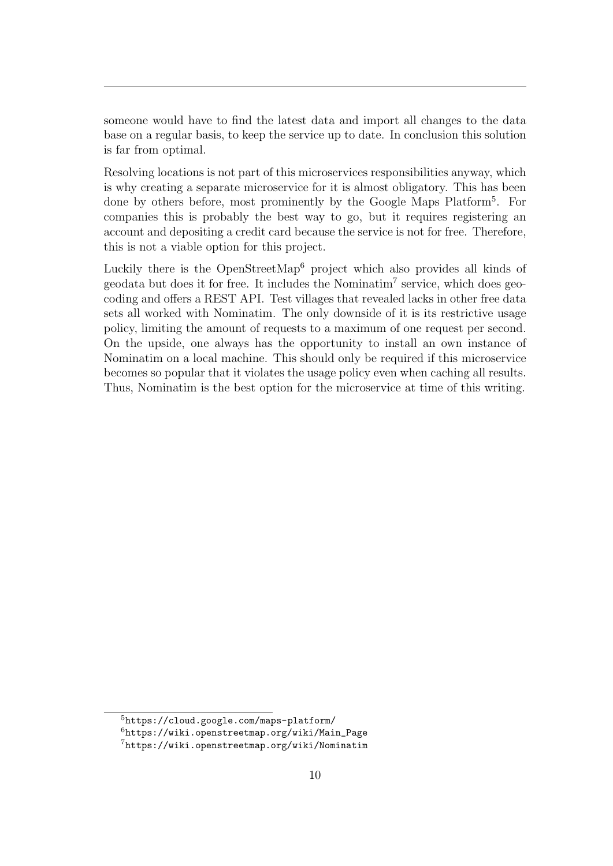someone would have to find the latest data and import all changes to the data base on a regular basis, to keep the service up to date. In conclusion this solution is far from optimal.

Resolving locations is not part of this microservices responsibilities anyway, which is why creating a separate microservice for it is almost obligatory. This has been done by others before, most prominently by the Google Maps Platform<sup>[5](#page-0-0)</sup>. For companies this is probably the best way to go, but it requires registering an account and depositing a credit card because the service is not for free. Therefore, this is not a viable option for this project.

Luckily there is the OpenStreetMap<sup>[6](#page-0-0)</sup> project which also provides all kinds of geodata but does it for free. It includes the Nominatim[7](#page-0-0) service, which does geocoding and offers a [REST](#page-5-1) [API.](#page-5-7) Test villages that revealed lacks in other free data sets all worked with Nominatim. The only downside of it is its restrictive usage policy, limiting the amount of requests to a maximum of one request per second. On the upside, one always has the opportunity to install an own instance of Nominatim on a local machine. This should only be required if this microservice becomes so popular that it violates the usage policy even when caching all results. Thus, Nominatim is the best option for the microservice at time of this writing.

<sup>5</sup><https://cloud.google.com/maps-platform/>

 $6$ [https://wiki.openstreetmap.org/wiki/Main\\_Page](https://wiki.openstreetmap.org/wiki/Main_Page)

<sup>7</sup><https://wiki.openstreetmap.org/wiki/Nominatim>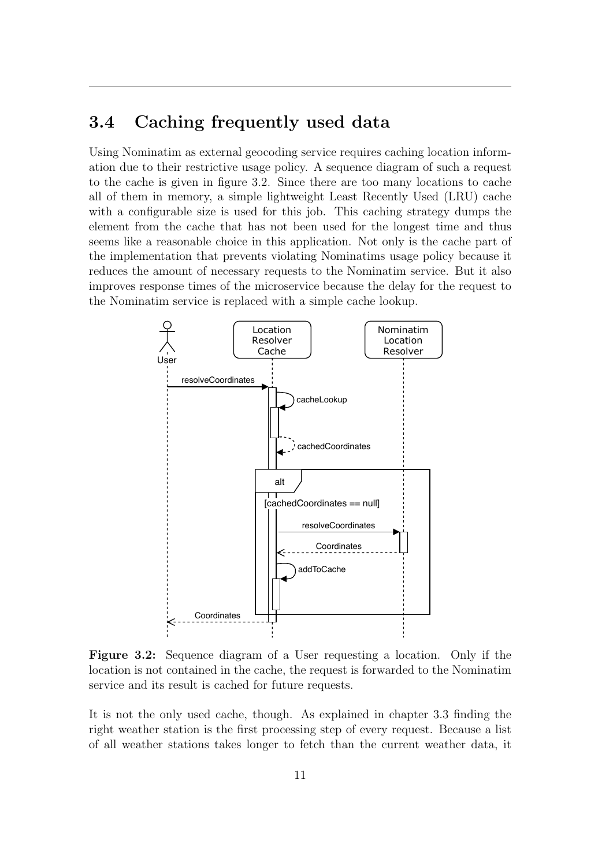### <span id="page-16-0"></span>3.4 Caching frequently used data

Using Nominatim as external geocoding service requires caching location information due to their restrictive usage policy. A sequence diagram of such a request to the cache is given in figure [3.2.](#page-16-1) Since there are too many locations to cache all of them in memory, a simple lightweight Least Recently Used [\(LRU\)](#page-5-9) cache with a configurable size is used for this job. This caching strategy dumps the element from the cache that has not been used for the longest time and thus seems like a reasonable choice in this application. Not only is the cache part of the implementation that prevents violating Nominatims usage policy because it reduces the amount of necessary requests to the Nominatim service. But it also improves response times of the microservice because the delay for the request to the Nominatim service is replaced with a simple cache lookup.

<span id="page-16-1"></span>

Figure 3.2: Sequence diagram of a User requesting a location. Only if the location is not contained in the cache, the request is forwarded to the Nominatim service and its result is cached for future requests.

It is not the only used cache, though. As explained in chapter [3.3](#page-14-0) finding the right weather station is the first processing step of every request. Because a list of all weather stations takes longer to fetch than the current weather data, it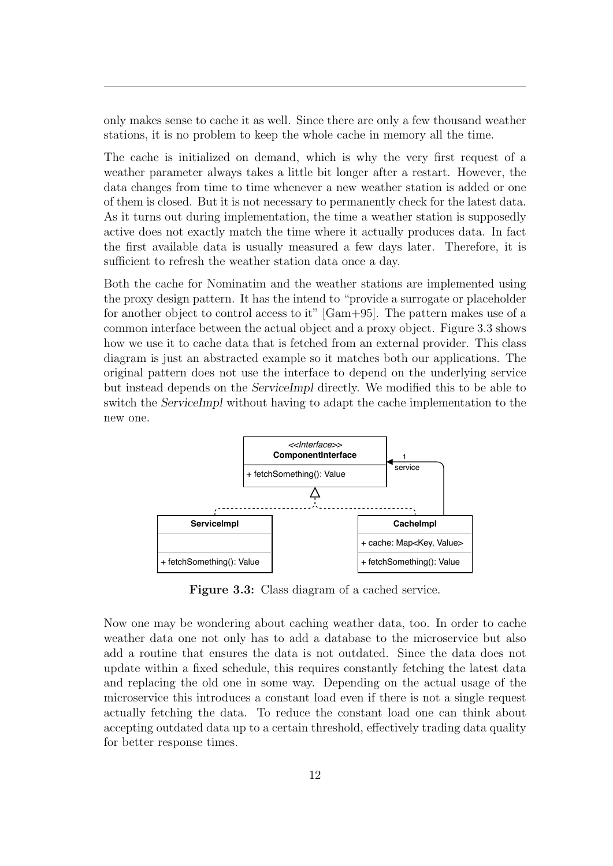only makes sense to cache it as well. Since there are only a few thousand weather stations, it is no problem to keep the whole cache in memory all the time.

The cache is initialized on demand, which is why the very first request of a weather parameter always takes a little bit longer after a restart. However, the data changes from time to time whenever a new weather station is added or one of them is closed. But it is not necessary to permanently check for the latest data. As it turns out during implementation, the time a weather station is supposedly active does not exactly match the time where it actually produces data. In fact the first available data is usually measured a few days later. Therefore, it is sufficient to refresh the weather station data once a day.

Both the cache for Nominatim and the weather stations are implemented using the proxy design pattern. It has the intend to "provide a surrogate or placeholder for another object to control access to it" [\[Gam+95\]](#page-71-3). The pattern makes use of a common interface between the actual object and a proxy object. Figure [3.3](#page-17-0) shows how we use it to cache data that is fetched from an external provider. This class diagram is just an abstracted example so it matches both our applications. The original pattern does not use the interface to depend on the underlying service but instead depends on the ServiceImpl directly. We modified this to be able to switch the ServiceImpl without having to adapt the cache implementation to the new one.

<span id="page-17-0"></span>

Figure 3.3: Class diagram of a cached service.

Now one may be wondering about caching weather data, too. In order to cache weather data one not only has to add a database to the microservice but also add a routine that ensures the data is not outdated. Since the data does not update within a fixed schedule, this requires constantly fetching the latest data and replacing the old one in some way. Depending on the actual usage of the microservice this introduces a constant load even if there is not a single request actually fetching the data. To reduce the constant load one can think about accepting outdated data up to a certain threshold, effectively trading data quality for better response times.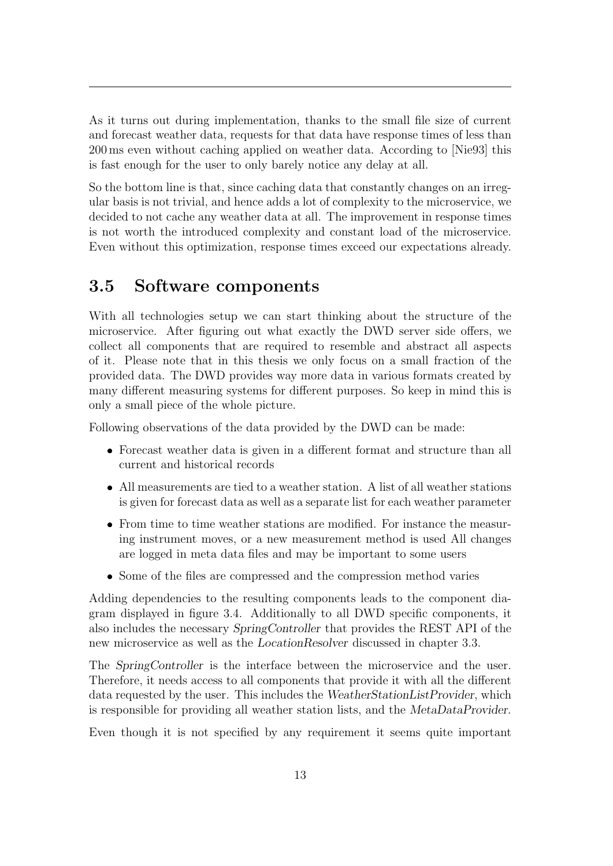As it turns out during implementation, thanks to the small file size of current and forecast weather data, requests for that data have response times of less than 200 ms even without caching applied on weather data. According to [\[Nie93\]](#page-71-4) this is fast enough for the user to only barely notice any delay at all.

So the bottom line is that, since caching data that constantly changes on an irregular basis is not trivial, and hence adds a lot of complexity to the microservice, we decided to not cache any weather data at all. The improvement in response times is not worth the introduced complexity and constant load of the microservice. Even without this optimization, response times exceed our expectations already.

### <span id="page-18-0"></span>3.5 Software components

With all technologies setup we can start thinking about the structure of the microservice. After figuring out what exactly the [DWD](#page-5-0) server side offers, we collect all components that are required to resemble and abstract all aspects of it. Please note that in this thesis we only focus on a small fraction of the provided data. The [DWD](#page-5-0) provides way more data in various formats created by many different measuring systems for different purposes. So keep in mind this is only a small piece of the whole picture.

Following observations of the data provided by the [DWD](#page-5-0) can be made:

- Forecast weather data is given in a different format and structure than all current and historical records
- All measurements are tied to a weather station. A list of all weather stations is given for forecast data as well as a separate list for each weather parameter
- From time to time weather stations are modified. For instance the measuring instrument moves, or a new measurement method is used All changes are logged in meta data files and may be important to some users
- Some of the files are compressed and the compression method varies

Adding dependencies to the resulting components leads to the component diagram displayed in figure [3.4.](#page-20-0) Additionally to all [DWD](#page-5-0) specific components, it also includes the necessary SpringController that provides the [REST](#page-5-1) [API](#page-5-7) of the new microservice as well as the LocationResolver discussed in chapter [3.3.](#page-14-0)

The SpringController is the interface between the microservice and the user. Therefore, it needs access to all components that provide it with all the different data requested by the user. This includes the WeatherStationListProvider, which is responsible for providing all weather station lists, and the MetaDataProvider.

Even though it is not specified by any requirement it seems quite important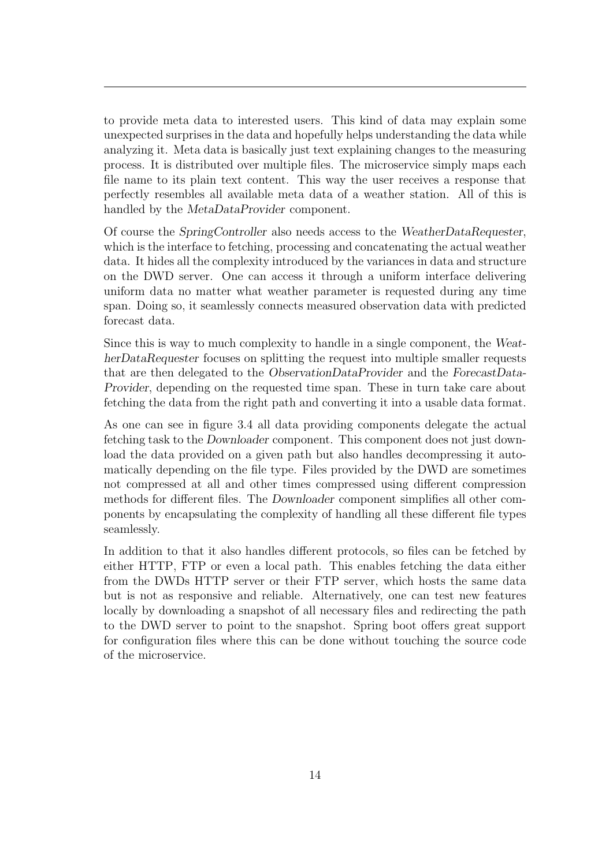to provide meta data to interested users. This kind of data may explain some unexpected surprises in the data and hopefully helps understanding the data while analyzing it. Meta data is basically just text explaining changes to the measuring process. It is distributed over multiple files. The microservice simply maps each file name to its plain text content. This way the user receives a response that perfectly resembles all available meta data of a weather station. All of this is handled by the *MetaDataProvider* component.

Of course the SpringController also needs access to the WeatherDataRequester, which is the interface to fetching, processing and concatenating the actual weather data. It hides all the complexity introduced by the variances in data and structure on the [DWD](#page-5-0) server. One can access it through a uniform interface delivering uniform data no matter what weather parameter is requested during any time span. Doing so, it seamlessly connects measured observation data with predicted forecast data.

Since this is way to much complexity to handle in a single component, the WeatherDataRequester focuses on splitting the request into multiple smaller requests that are then delegated to the ObservationDataProvider and the ForecastData-Provider, depending on the requested time span. These in turn take care about fetching the data from the right path and converting it into a usable data format.

As one can see in figure [3.4](#page-20-0) all data providing components delegate the actual fetching task to the Downloader component. This component does not just download the data provided on a given path but also handles decompressing it automatically depending on the file type. Files provided by the [DWD](#page-5-0) are sometimes not compressed at all and other times compressed using different compression methods for different files. The Downloader component simplifies all other components by encapsulating the complexity of handling all these different file types seamlessly.

In addition to that it also handles different protocols, so files can be fetched by either [HTTP,](#page-5-4) [FTP](#page-5-5) or even a local path. This enables fetching the data either from the [DWDs](#page-5-0) [HTTP](#page-5-4) server or their [FTP](#page-5-5) server, which hosts the same data but is not as responsive and reliable. Alternatively, one can test new features locally by downloading a snapshot of all necessary files and redirecting the path to the [DWD](#page-5-0) server to point to the snapshot. Spring boot offers great support for configuration files where this can be done without touching the source code of the microservice.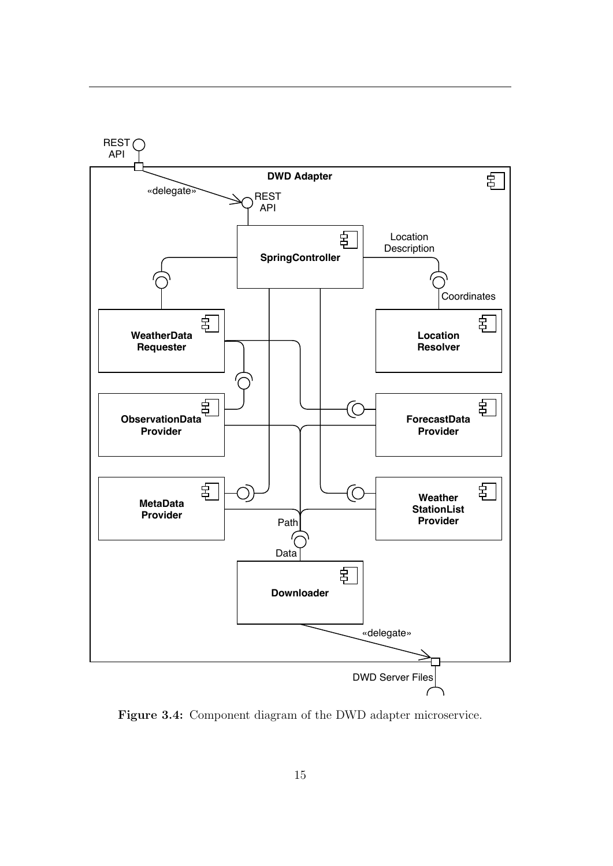<span id="page-20-0"></span>

Figure 3.4: Component diagram of the DWD adapter microservice.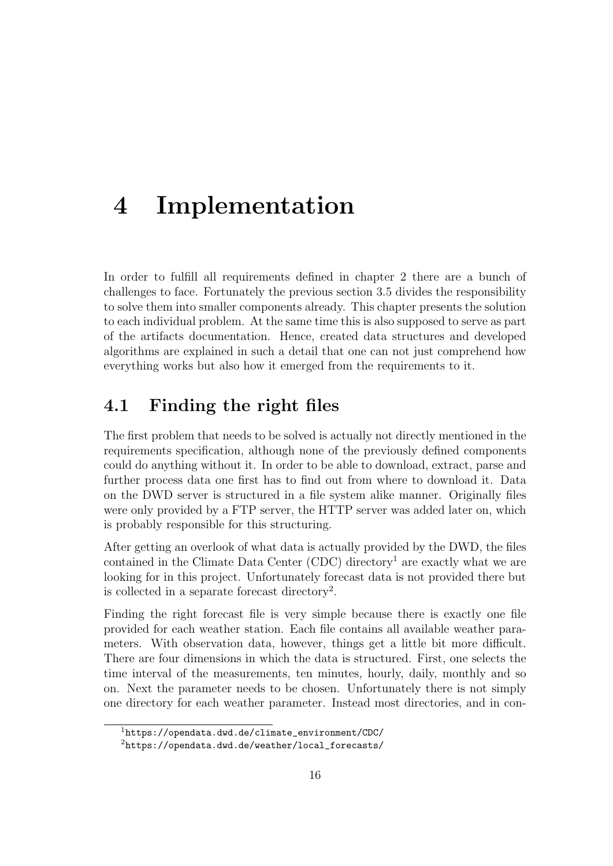# <span id="page-21-0"></span>4 Implementation

In order to fulfill all requirements defined in chapter [2](#page-9-0) there are a bunch of challenges to face. Fortunately the previous section [3.5](#page-18-0) divides the responsibility to solve them into smaller components already. This chapter presents the solution to each individual problem. At the same time this is also supposed to serve as part of the artifacts documentation. Hence, created data structures and developed algorithms are explained in such a detail that one can not just comprehend how everything works but also how it emerged from the requirements to it.

### <span id="page-21-1"></span>4.1 Finding the right files

The first problem that needs to be solved is actually not directly mentioned in the requirements specification, although none of the previously defined components could do anything without it. In order to be able to download, extract, parse and further process data one first has to find out from where to download it. Data on the [DWD](#page-5-0) server is structured in a file system alike manner. Originally files were only provided by a [FTP](#page-5-5) server, the [HTTP](#page-5-4) server was added later on, which is probably responsible for this structuring.

After getting an overlook of what data is actually provided by the [DWD,](#page-5-0) the files contained in the Climate Data Center  $(CDC)$  directory<sup>[1](#page-0-0)</sup> are exactly what we are looking for in this project. Unfortunately forecast data is not provided there but is collected in a separate forecast directory<sup>[2](#page-0-0)</sup>.

Finding the right forecast file is very simple because there is exactly one file provided for each weather station. Each file contains all available weather parameters. With observation data, however, things get a little bit more difficult. There are four dimensions in which the data is structured. First, one selects the time interval of the measurements, ten minutes, hourly, daily, monthly and so on. Next the parameter needs to be chosen. Unfortunately there is not simply one directory for each weather parameter. Instead most directories, and in con-

 $1$ [https://opendata.dwd.de/climate\\_environment/CDC/](https://opendata.dwd.de/climate_environment/CDC/)

<sup>2</sup>[https://opendata.dwd.de/weather/local\\_forecasts/](https://opendata.dwd.de/weather/local_forecasts/)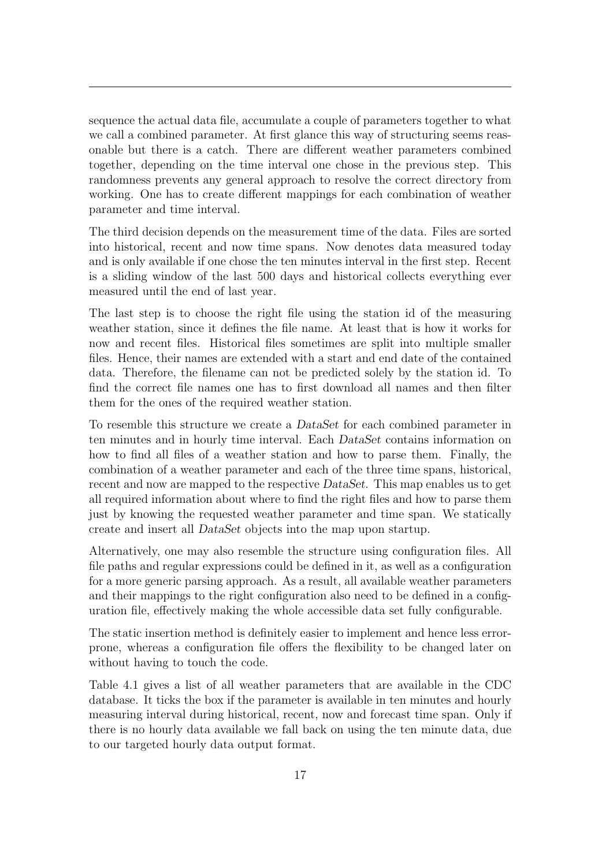sequence the actual data file, accumulate a couple of parameters together to what we call a combined parameter. At first glance this way of structuring seems reasonable but there is a catch. There are different weather parameters combined together, depending on the time interval one chose in the previous step. This randomness prevents any general approach to resolve the correct directory from working. One has to create different mappings for each combination of weather parameter and time interval.

The third decision depends on the measurement time of the data. Files are sorted into historical, recent and now time spans. Now denotes data measured today and is only available if one chose the ten minutes interval in the first step. Recent is a sliding window of the last 500 days and historical collects everything ever measured until the end of last year.

The last step is to choose the right file using the station id of the measuring weather station, since it defines the file name. At least that is how it works for now and recent files. Historical files sometimes are split into multiple smaller files. Hence, their names are extended with a start and end date of the contained data. Therefore, the filename can not be predicted solely by the station id. To find the correct file names one has to first download all names and then filter them for the ones of the required weather station.

To resemble this structure we create a DataSet for each combined parameter in ten minutes and in hourly time interval. Each DataSet contains information on how to find all files of a weather station and how to parse them. Finally, the combination of a weather parameter and each of the three time spans, historical, recent and now are mapped to the respective DataSet. This map enables us to get all required information about where to find the right files and how to parse them just by knowing the requested weather parameter and time span. We statically create and insert all DataSet objects into the map upon startup.

Alternatively, one may also resemble the structure using configuration files. All file paths and regular expressions could be defined in it, as well as a configuration for a more generic parsing approach. As a result, all available weather parameters and their mappings to the right configuration also need to be defined in a configuration file, effectively making the whole accessible data set fully configurable.

The static insertion method is definitely easier to implement and hence less errorprone, whereas a configuration file offers the flexibility to be changed later on without having to touch the code.

Table [4.1](#page-23-0) gives a list of all weather parameters that are available in the [CDC](#page-5-10) database. It ticks the box if the parameter is available in ten minutes and hourly measuring interval during historical, recent, now and forecast time span. Only if there is no hourly data available we fall back on using the ten minute data, due to our targeted hourly data output format.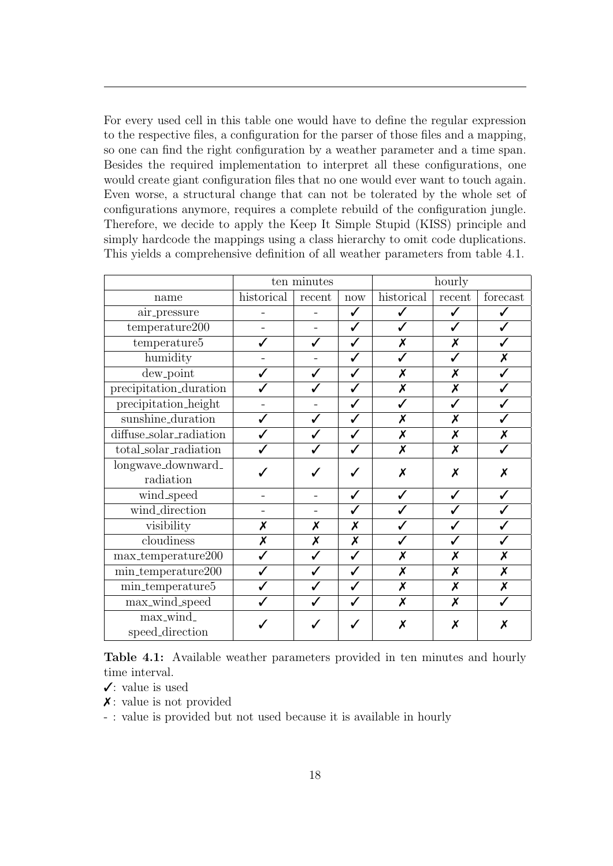For every used cell in this table one would have to define the regular expression to the respective files, a configuration for the parser of those files and a mapping, so one can find the right configuration by a weather parameter and a time span. Besides the required implementation to interpret all these configurations, one would create giant configuration files that no one would ever want to touch again. Even worse, a structural change that can not be tolerated by the whole set of configurations anymore, requires a complete rebuild of the configuration jungle. Therefore, we decide to apply the Keep It Simple Stupid [\(KISS\)](#page-5-11) principle and simply hardcode the mappings using a class hierarchy to omit code duplications. This yields a comprehensive definition of all weather parameters from table [4.1.](#page-23-0)

<span id="page-23-0"></span>

|                            | ten minutes |        |              | hourly     |        |                           |
|----------------------------|-------------|--------|--------------|------------|--------|---------------------------|
| name                       | historical  | recent | now          | historical | recent | forecast                  |
| air_pressure               |             |        | ✓            |            |        |                           |
| temperature200             |             |        | ✓            |            |        |                           |
| temperature5               |             |        | ✓            | Х          | Х      |                           |
| humidity                   |             |        | ✓            |            |        | Х                         |
| $dew$ -point               |             |        |              | Х          | X      |                           |
| precipitation_duration     |             |        | ✓            | X          | X      |                           |
| precipitation_height       |             |        |              |            | ✓      |                           |
| sunshine_duration          |             |        |              | X          | X      |                           |
| diffuse_solar_radiation    |             |        | ✓            | X          | X      | X                         |
| total_solar_radiation      |             |        |              | X          | X      |                           |
| longwave_downward_         |             |        |              | Х          | X      | Х                         |
| radiation                  |             |        |              |            |        |                           |
| wind_speed                 |             |        | J            | ✔          |        |                           |
| wind_direction             |             |        | ✓            | ✓          |        |                           |
| visibility                 | X           | X      | X            |            |        |                           |
| cloudiness                 | X           | Х      | X            |            |        |                           |
| max_temperature200         |             |        | $\checkmark$ | Х          | X      | X                         |
| min_temperature200         |             |        | ✓            | Х          | Х      | X                         |
| $\text{min\_temperature}5$ |             |        |              | X          | X      | $\boldsymbol{\mathsf{x}}$ |
| max_wind_speed             |             |        |              | X          | X      |                           |
| max_wind_                  |             |        |              | Х          | Х      | Х                         |
| speed_direction            |             |        |              |            |        |                           |

Table 4.1: Available weather parameters provided in ten minutes and hourly time interval.

- $\checkmark$ : value is used
- $\chi$ : value is not provided
- : value is provided but not used because it is available in hourly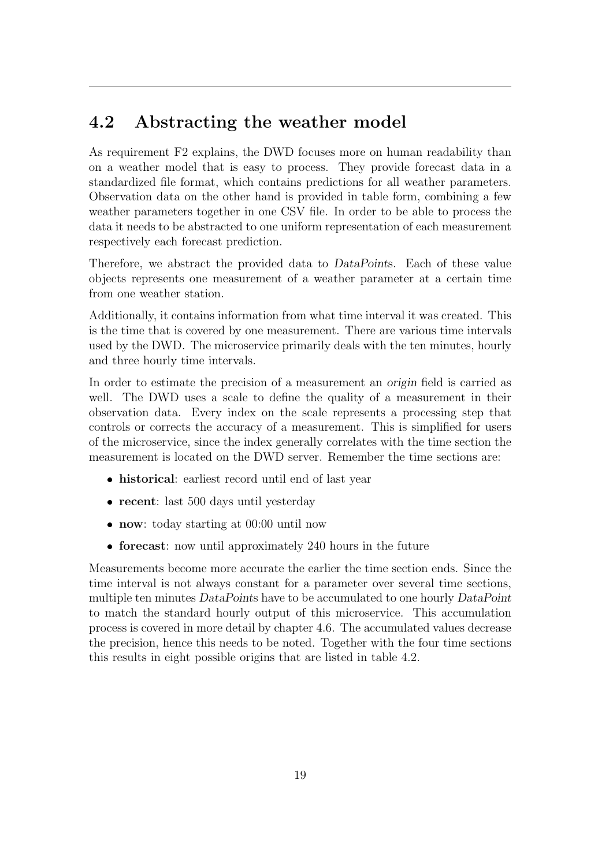### <span id="page-24-0"></span>4.2 Abstracting the weather model

As requirement F2 explains, the [DWD](#page-5-0) focuses more on human readability than on a weather model that is easy to process. They provide forecast data in a standardized file format, which contains predictions for all weather parameters. Observation data on the other hand is provided in table form, combining a few weather parameters together in one [CSV](#page-5-6) file. In order to be able to process the data it needs to be abstracted to one uniform representation of each measurement respectively each forecast prediction.

Therefore, we abstract the provided data to DataPoints. Each of these value objects represents one measurement of a weather parameter at a certain time from one weather station.

Additionally, it contains information from what time interval it was created. This is the time that is covered by one measurement. There are various time intervals used by the [DWD.](#page-5-0) The microservice primarily deals with the ten minutes, hourly and three hourly time intervals.

In order to estimate the precision of a measurement an origin field is carried as well. The [DWD](#page-5-0) uses a scale to define the quality of a measurement in their observation data. Every index on the scale represents a processing step that controls or corrects the accuracy of a measurement. This is simplified for users of the microservice, since the index generally correlates with the time section the measurement is located on the [DWD](#page-5-0) server. Remember the time sections are:

- historical: earliest record until end of last year
- recent: last 500 days until yesterday
- now: today starting at 00:00 until now
- forecast: now until approximately 240 hours in the future

Measurements become more accurate the earlier the time section ends. Since the time interval is not always constant for a parameter over several time sections, multiple ten minutes DataPoints have to be accumulated to one hourly DataPoint to match the standard hourly output of this microservice. This accumulation process is covered in more detail by chapter [4.6.](#page-39-0) The accumulated values decrease the precision, hence this needs to be noted. Together with the four time sections this results in eight possible origins that are listed in table [4.2.](#page-25-1)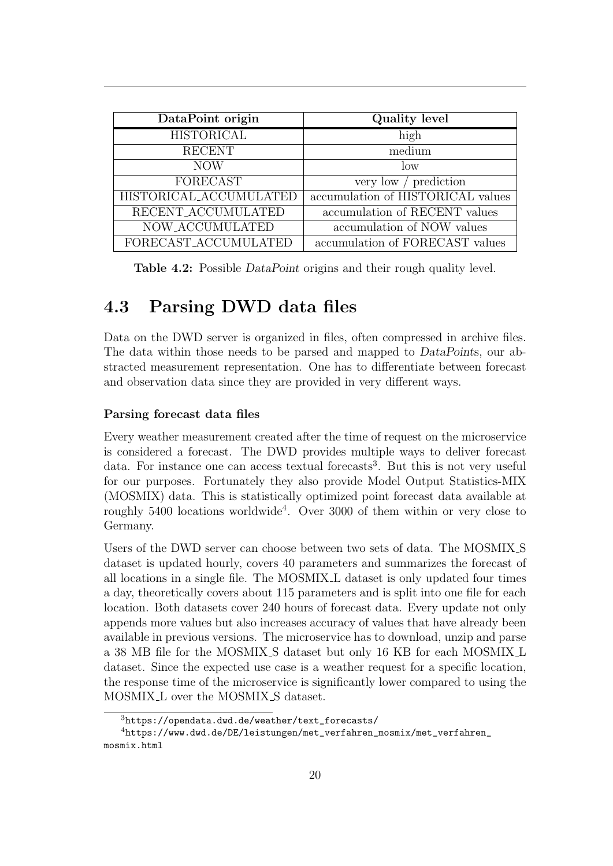<span id="page-25-1"></span>

| DataPoint origin       | Quality level                     |
|------------------------|-----------------------------------|
| <b>HISTORICAL</b>      | high                              |
| <b>RECENT</b>          | medium                            |
| <b>NOW</b>             | $\log$                            |
| <b>FORECAST</b>        | very low / prediction             |
| HISTORICAL_ACCUMULATED | accumulation of HISTORICAL values |
| RECENT_ACCUMULATED     | accumulation of RECENT values     |
| NOW_ACCUMULATED        | accumulation of NOW values        |
| FORECAST_ACCUMULATED   | accumulation of FORECAST values   |

Table 4.2: Possible *DataPoint* origins and their rough quality level.

### <span id="page-25-0"></span>4.3 Parsing [DWD](#page-5-0) data files

Data on the [DWD](#page-5-0) server is organized in files, often compressed in archive files. The data within those needs to be parsed and mapped to DataPoints, our abstracted measurement representation. One has to differentiate between forecast and observation data since they are provided in very different ways.

#### Parsing forecast data files

Every weather measurement created after the time of request on the microservice is considered a forecast. The [DWD](#page-5-0) provides multiple ways to deliver forecast data. For instance one can access textual forecasts<sup>[3](#page-0-0)</sup>. But this is not very useful for our purposes. Fortunately they also provide Model Output Statistics-MIX [\(MOSMIX\)](#page-5-12) data. This is statistically optimized point forecast data available at roughly 5[4](#page-0-0)00 locations worldwide<sup>4</sup>. Over 3000 of them within or very close to Germany.

Users of the [DWD](#page-5-0) server can choose between two sets of data. The MOSMIX S dataset is updated hourly, covers 40 parameters and summarizes the forecast of all locations in a single file. The MOSMIX L dataset is only updated four times a day, theoretically covers about 115 parameters and is split into one file for each location. Both datasets cover 240 hours of forecast data. Every update not only appends more values but also increases accuracy of values that have already been available in previous versions. The microservice has to download, unzip and parse a 38 MB file for the MOSMIX S dataset but only 16 KB for each MOSMIX L dataset. Since the expected use case is a weather request for a specific location, the response time of the microservice is significantly lower compared to using the MOSMIX L over the MOSMIX S dataset.

<sup>3</sup>[https://opendata.dwd.de/weather/text\\_forecasts/](https://opendata.dwd.de/weather/text_forecasts/)

<sup>4</sup>[https://www.dwd.de/DE/leistungen/met\\_verfahren\\_mosmix/met\\_verfahren\\_](https://www.dwd.de/DE/leistungen/met_verfahren_mosmix/met_verfahren_mosmix.html) [mosmix.html](https://www.dwd.de/DE/leistungen/met_verfahren_mosmix/met_verfahren_mosmix.html)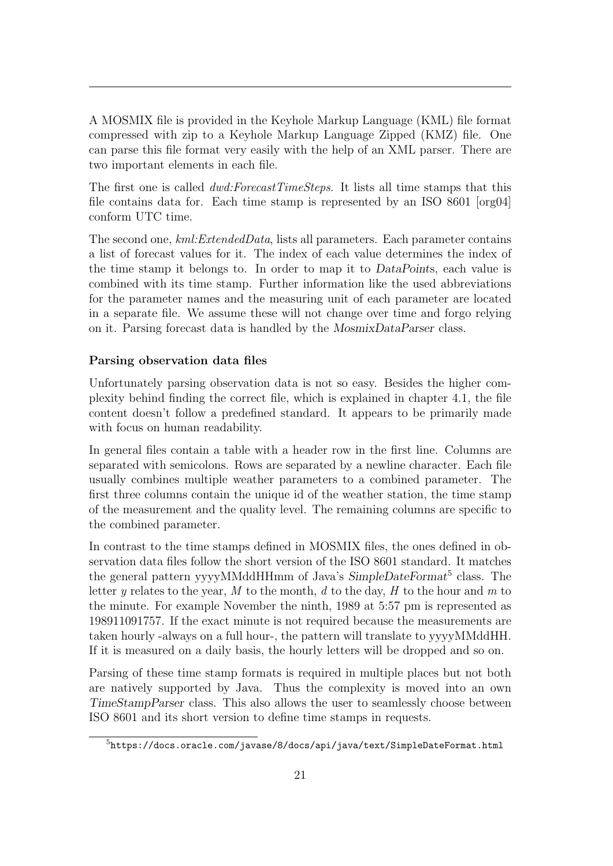A [MOSMIX](#page-5-12) file is provided in the Keyhole Markup Language [\(KML\)](#page-5-13) file format compressed with zip to a Keyhole Markup Language Zipped [\(KMZ\)](#page-5-14) file. One can parse this file format very easily with the help of an [XML](#page-5-15) parser. There are two important elements in each file.

The first one is called  $dwd: ForecastTimeSteps$ . It lists all time stamps that this file contains data for. Each time stamp is represented by an ISO 8601 [\[org04\]](#page-72-3) conform UTC time.

The second one, kml:ExtendedData, lists all parameters. Each parameter contains a list of forecast values for it. The index of each value determines the index of the time stamp it belongs to. In order to map it to DataPoints, each value is combined with its time stamp. Further information like the used abbreviations for the parameter names and the measuring unit of each parameter are located in a separate file. We assume these will not change over time and forgo relying on it. Parsing forecast data is handled by the MosmixDataParser class.

#### Parsing observation data files

Unfortunately parsing observation data is not so easy. Besides the higher complexity behind finding the correct file, which is explained in chapter [4.1,](#page-21-1) the file content doesn't follow a predefined standard. It appears to be primarily made with focus on human readability.

In general files contain a table with a header row in the first line. Columns are separated with semicolons. Rows are separated by a newline character. Each file usually combines multiple weather parameters to a combined parameter. The first three columns contain the unique id of the weather station, the time stamp of the measurement and the quality level. The remaining columns are specific to the combined parameter.

In contrast to the time stamps defined in [MOSMIX](#page-5-12) files, the ones defined in observation data files follow the short version of the ISO 8601 standard. It matches the general pattern yyyyMMddHHmm of Java's SimpleDateFormat<sup>[5](#page-0-0)</sup> class. The letter y relates to the year, M to the month, d to the day, H to the hour and  $m$  to the minute. For example November the ninth, 1989 at 5:57 pm is represented as 198911091757. If the exact minute is not required because the measurements are taken hourly -always on a full hour-, the pattern will translate to yyyyMMddHH. If it is measured on a daily basis, the hourly letters will be dropped and so on.

Parsing of these time stamp formats is required in multiple places but not both are natively supported by Java. Thus the complexity is moved into an own TimeStampParser class. This also allows the user to seamlessly choose between ISO 8601 and its short version to define time stamps in requests.

<sup>5</sup><https://docs.oracle.com/javase/8/docs/api/java/text/SimpleDateFormat.html>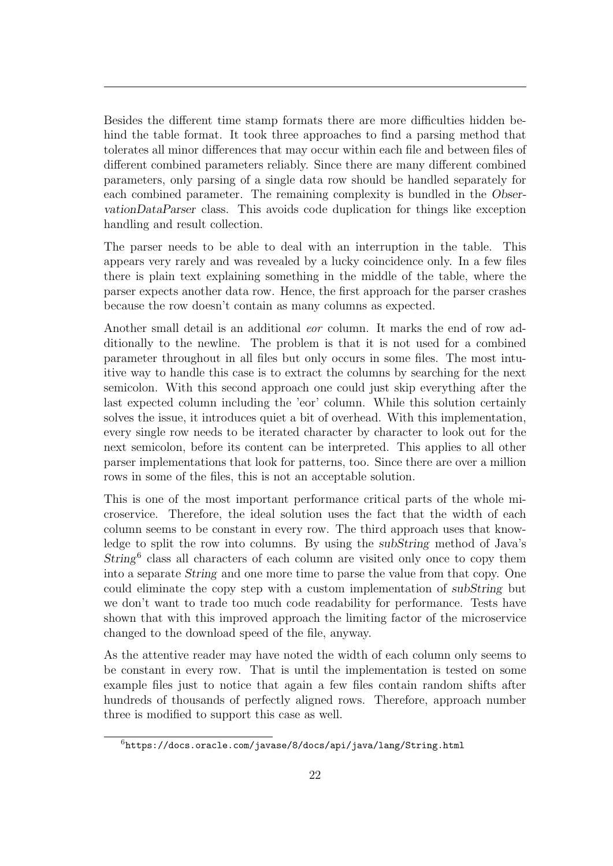Besides the different time stamp formats there are more difficulties hidden behind the table format. It took three approaches to find a parsing method that tolerates all minor differences that may occur within each file and between files of different combined parameters reliably. Since there are many different combined parameters, only parsing of a single data row should be handled separately for each combined parameter. The remaining complexity is bundled in the ObservationDataParser class. This avoids code duplication for things like exception handling and result collection.

The parser needs to be able to deal with an interruption in the table. This appears very rarely and was revealed by a lucky coincidence only. In a few files there is plain text explaining something in the middle of the table, where the parser expects another data row. Hence, the first approach for the parser crashes because the row doesn't contain as many columns as expected.

Another small detail is an additional *eor* column. It marks the end of row additionally to the newline. The problem is that it is not used for a combined parameter throughout in all files but only occurs in some files. The most intuitive way to handle this case is to extract the columns by searching for the next semicolon. With this second approach one could just skip everything after the last expected column including the 'eor' column. While this solution certainly solves the issue, it introduces quiet a bit of overhead. With this implementation, every single row needs to be iterated character by character to look out for the next semicolon, before its content can be interpreted. This applies to all other parser implementations that look for patterns, too. Since there are over a million rows in some of the files, this is not an acceptable solution.

This is one of the most important performance critical parts of the whole microservice. Therefore, the ideal solution uses the fact that the width of each column seems to be constant in every row. The third approach uses that knowledge to split the row into columns. By using the subString method of Java's String<sup>[6](#page-0-0)</sup> class all characters of each column are visited only once to copy them into a separate String and one more time to parse the value from that copy. One could eliminate the copy step with a custom implementation of subString but we don't want to trade too much code readability for performance. Tests have shown that with this improved approach the limiting factor of the microservice changed to the download speed of the file, anyway.

As the attentive reader may have noted the width of each column only seems to be constant in every row. That is until the implementation is tested on some example files just to notice that again a few files contain random shifts after hundreds of thousands of perfectly aligned rows. Therefore, approach number three is modified to support this case as well.

<sup>6</sup><https://docs.oracle.com/javase/8/docs/api/java/lang/String.html>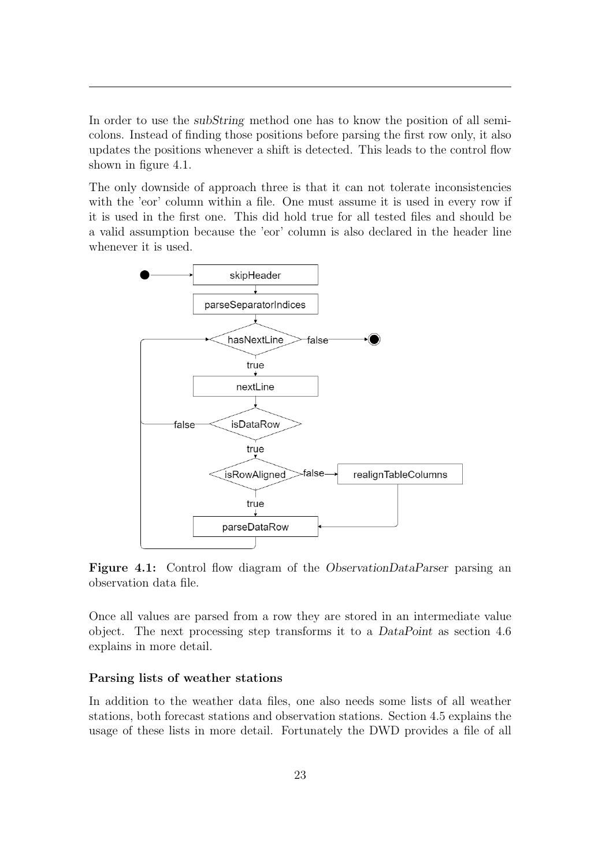In order to use the subString method one has to know the position of all semicolons. Instead of finding those positions before parsing the first row only, it also updates the positions whenever a shift is detected. This leads to the control flow shown in figure [4.1.](#page-28-0)

The only downside of approach three is that it can not tolerate inconsistencies with the 'eor' column within a file. One must assume it is used in every row if it is used in the first one. This did hold true for all tested files and should be a valid assumption because the 'eor' column is also declared in the header line whenever it is used.

<span id="page-28-0"></span>

Figure 4.1: Control flow diagram of the *ObservationDataParser* parsing an observation data file.

Once all values are parsed from a row they are stored in an intermediate value object. The next processing step transforms it to a DataPoint as section [4.6](#page-39-0) explains in more detail.

#### Parsing lists of weather stations

In addition to the weather data files, one also needs some lists of all weather stations, both forecast stations and observation stations. Section [4.5](#page-35-0) explains the usage of these lists in more detail. Fortunately the [DWD](#page-5-0) provides a file of all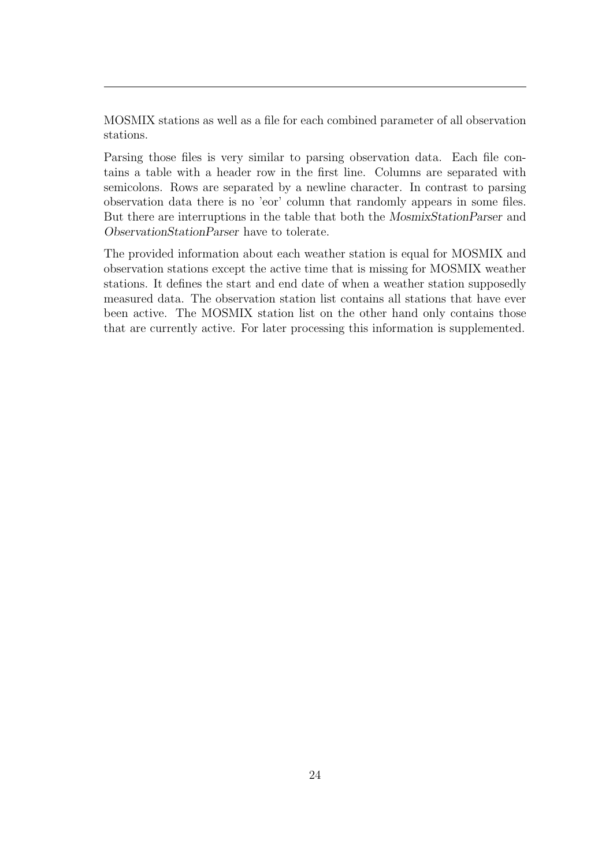[MOSMIX](#page-5-12) stations as well as a file for each combined parameter of all observation stations.

Parsing those files is very similar to parsing observation data. Each file contains a table with a header row in the first line. Columns are separated with semicolons. Rows are separated by a newline character. In contrast to parsing observation data there is no 'eor' column that randomly appears in some files. But there are interruptions in the table that both the MosmixStationParser and ObservationStationParser have to tolerate.

The provided information about each weather station is equal for [MOSMIX](#page-5-12) and observation stations except the active time that is missing for [MOSMIX](#page-5-12) weather stations. It defines the start and end date of when a weather station supposedly measured data. The observation station list contains all stations that have ever been active. The [MOSMIX](#page-5-12) station list on the other hand only contains those that are currently active. For later processing this information is supplemented.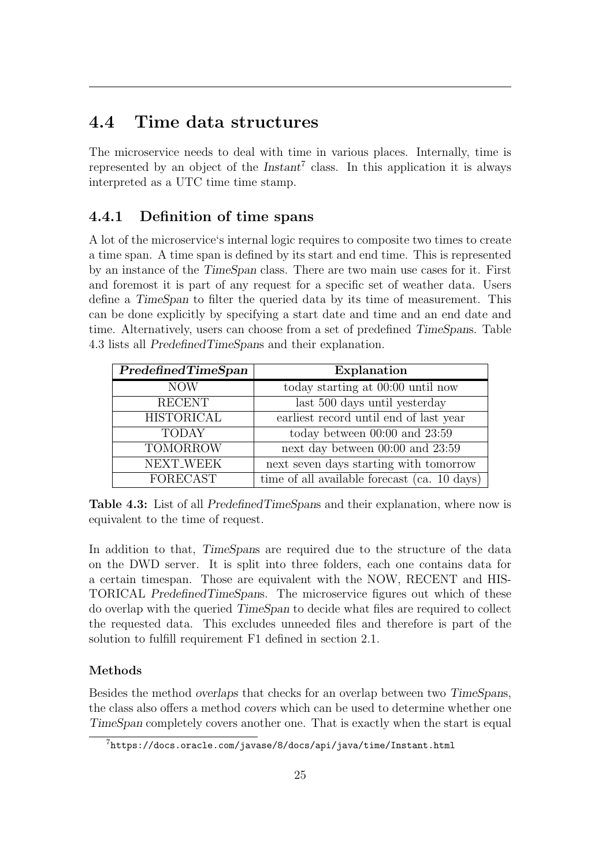### <span id="page-30-0"></span>4.4 Time data structures

The microservice needs to deal with time in various places. Internally, time is represented by an object of the  $Instant<sup>7</sup>$  $Instant<sup>7</sup>$  $Instant<sup>7</sup>$  class. In this application it is always interpreted as a UTC time time stamp.

### <span id="page-30-1"></span>4.4.1 Definition of time spans

A lot of the microservice's internal logic requires to composite two times to create a time span. A time span is defined by its start and end time. This is represented by an instance of the TimeSpan class. There are two main use cases for it. First and foremost it is part of any request for a specific set of weather data. Users define a TimeSpan to filter the queried data by its time of measurement. This can be done explicitly by specifying a start date and time and an end date and time. Alternatively, users can choose from a set of predefined TimeSpans. Table [4.3](#page-30-2) lists all PredefinedTimeSpans and their explanation.

<span id="page-30-2"></span>

| PredefinedTimeSpan | Explanation                                  |
|--------------------|----------------------------------------------|
| <b>NOW</b>         | today starting at 00:00 until now            |
| <b>RECENT</b>      | last 500 days until yesterday                |
| <b>HISTORICAL</b>  | earliest record until end of last year       |
| <b>TODAY</b>       | today between $00:00$ and $23:59$            |
| <b>TOMORROW</b>    | next day between $00:00$ and $23:59$         |
| NEXT_WEEK          | next seven days starting with tomorrow       |
| <b>FORECAST</b>    | time of all available forecast (ca. 10 days) |

Table 4.3: List of all PredefinedTimeSpans and their explanation, where now is equivalent to the time of request.

In addition to that, TimeSpans are required due to the structure of the data on the [DWD](#page-5-0) server. It is split into three folders, each one contains data for a certain timespan. Those are equivalent with the NOW, RECENT and HIS-TORICAL PredefinedTimeSpans. The microservice figures out which of these do overlap with the queried TimeSpan to decide what files are required to collect the requested data. This excludes unneeded files and therefore is part of the solution to fulfill requirement F1 defined in section [2.1.](#page-9-1)

### Methods

Besides the method overlaps that checks for an overlap between two TimeSpans, the class also offers a method covers which can be used to determine whether one TimeSpan completely covers another one. That is exactly when the start is equal

<sup>7</sup><https://docs.oracle.com/javase/8/docs/api/java/time/Instant.html>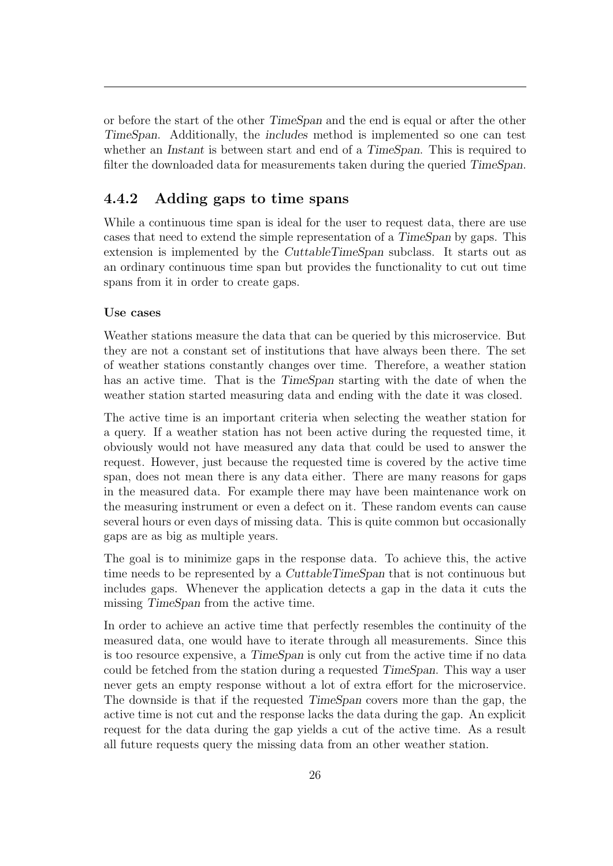or before the start of the other TimeSpan and the end is equal or after the other TimeSpan. Additionally, the includes method is implemented so one can test whether an *Instant* is between start and end of a *TimeSpan*. This is required to filter the downloaded data for measurements taken during the queried TimeSpan.

### <span id="page-31-0"></span>4.4.2 Adding gaps to time spans

While a continuous time span is ideal for the user to request data, there are use cases that need to extend the simple representation of a TimeSpan by gaps. This extension is implemented by the CuttableTimeSpan subclass. It starts out as an ordinary continuous time span but provides the functionality to cut out time spans from it in order to create gaps.

#### Use cases

Weather stations measure the data that can be queried by this microservice. But they are not a constant set of institutions that have always been there. The set of weather stations constantly changes over time. Therefore, a weather station has an active time. That is the TimeSpan starting with the date of when the weather station started measuring data and ending with the date it was closed.

The active time is an important criteria when selecting the weather station for a query. If a weather station has not been active during the requested time, it obviously would not have measured any data that could be used to answer the request. However, just because the requested time is covered by the active time span, does not mean there is any data either. There are many reasons for gaps in the measured data. For example there may have been maintenance work on the measuring instrument or even a defect on it. These random events can cause several hours or even days of missing data. This is quite common but occasionally gaps are as big as multiple years.

The goal is to minimize gaps in the response data. To achieve this, the active time needs to be represented by a CuttableTimeSpan that is not continuous but includes gaps. Whenever the application detects a gap in the data it cuts the missing TimeSpan from the active time.

In order to achieve an active time that perfectly resembles the continuity of the measured data, one would have to iterate through all measurements. Since this is too resource expensive, a TimeSpan is only cut from the active time if no data could be fetched from the station during a requested TimeSpan. This way a user never gets an empty response without a lot of extra effort for the microservice. The downside is that if the requested TimeSpan covers more than the gap, the active time is not cut and the response lacks the data during the gap. An explicit request for the data during the gap yields a cut of the active time. As a result all future requests query the missing data from an other weather station.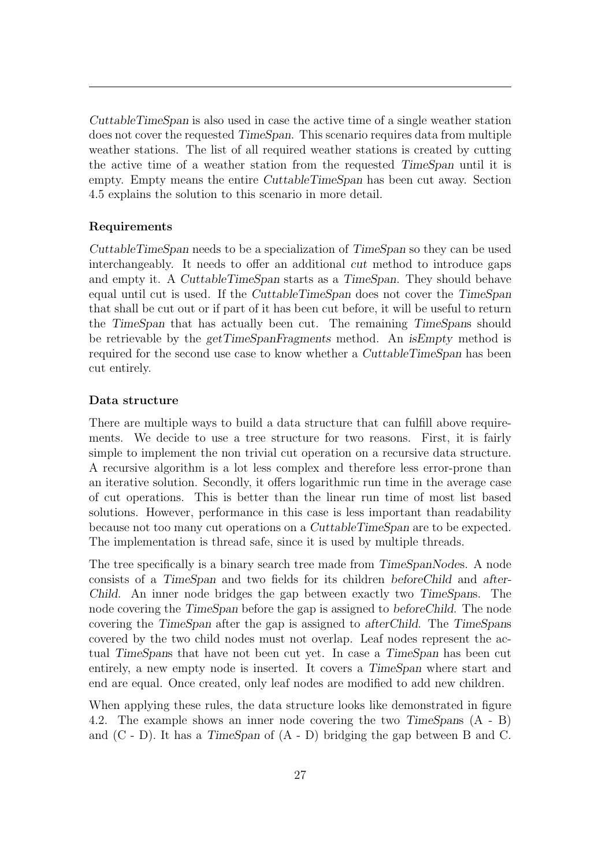CuttableTimeSpan is also used in case the active time of a single weather station does not cover the requested TimeSpan. This scenario requires data from multiple weather stations. The list of all required weather stations is created by cutting the active time of a weather station from the requested TimeSpan until it is empty. Empty means the entire CuttableTimeSpan has been cut away. Section [4.5](#page-35-0) explains the solution to this scenario in more detail.

#### Requirements

CuttableTimeSpan needs to be a specialization of TimeSpan so they can be used interchangeably. It needs to offer an additional cut method to introduce gaps and empty it. A CuttableTimeSpan starts as a TimeSpan. They should behave equal until cut is used. If the CuttableTimeSpan does not cover the TimeSpan that shall be cut out or if part of it has been cut before, it will be useful to return the TimeSpan that has actually been cut. The remaining TimeSpans should be retrievable by the getTimeSpanFragments method. An isEmpty method is required for the second use case to know whether a *CuttableTimeSpan* has been cut entirely.

#### Data structure

There are multiple ways to build a data structure that can fulfill above requirements. We decide to use a tree structure for two reasons. First, it is fairly simple to implement the non trivial cut operation on a recursive data structure. A recursive algorithm is a lot less complex and therefore less error-prone than an iterative solution. Secondly, it offers logarithmic run time in the average case of cut operations. This is better than the linear run time of most list based solutions. However, performance in this case is less important than readability because not too many cut operations on a CuttableTimeSpan are to be expected. The implementation is thread safe, since it is used by multiple threads.

The tree specifically is a binary search tree made from TimeSpanNodes. A node consists of a TimeSpan and two fields for its children beforeChild and after-Child. An inner node bridges the gap between exactly two TimeSpans. The node covering the TimeSpan before the gap is assigned to beforeChild. The node covering the TimeSpan after the gap is assigned to afterChild. The TimeSpans covered by the two child nodes must not overlap. Leaf nodes represent the actual TimeSpans that have not been cut yet. In case a TimeSpan has been cut entirely, a new empty node is inserted. It covers a TimeSpan where start and end are equal. Once created, only leaf nodes are modified to add new children.

When applying these rules, the data structure looks like demonstrated in figure [4.2.](#page-33-0) The example shows an inner node covering the two TimeSpans (A - B) and  $(C - D)$ . It has a TimeSpan of  $(A - D)$  bridging the gap between B and C.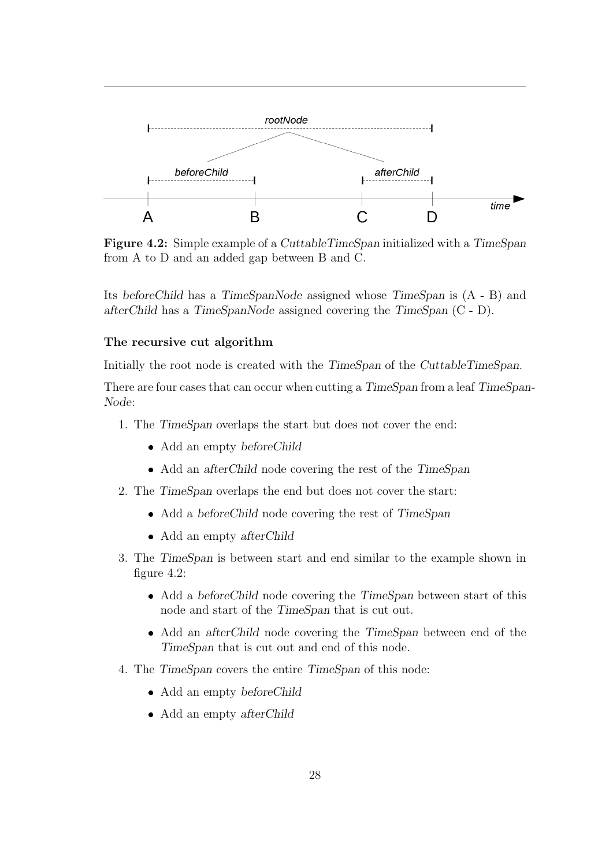<span id="page-33-0"></span>

Figure 4.2: Simple example of a CuttableTimeSpan initialized with a TimeSpan from A to D and an added gap between B and C.

Its beforeChild has a TimeSpanNode assigned whose TimeSpan is (A - B) and afterChild has a TimeSpanNode assigned covering the TimeSpan (C - D).

#### The recursive cut algorithm

Initially the root node is created with the TimeSpan of the CuttableTimeSpan.

There are four cases that can occur when cutting a TimeSpan from a leaf TimeSpan-Node:

- 1. The TimeSpan overlaps the start but does not cover the end:
	- Add an empty beforeChild
	- Add an afterChild node covering the rest of the TimeSpan
- 2. The TimeSpan overlaps the end but does not cover the start:
	- Add a beforeChild node covering the rest of TimeSpan
	- Add an empty afterChild
- 3. The TimeSpan is between start and end similar to the example shown in figure [4.2:](#page-33-0)
	- Add a beforeChild node covering the TimeSpan between start of this node and start of the TimeSpan that is cut out.
	- Add an afterChild node covering the TimeSpan between end of the TimeSpan that is cut out and end of this node.
- 4. The TimeSpan covers the entire TimeSpan of this node:
	- Add an empty beforeChild
	- Add an empty afterChild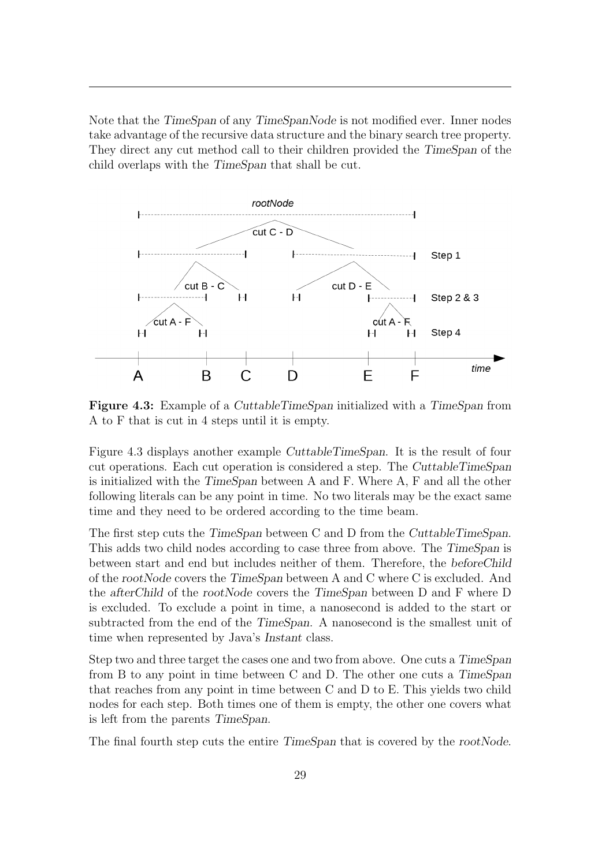Note that the TimeSpan of any TimeSpanNode is not modified ever. Inner nodes take advantage of the recursive data structure and the binary search tree property. They direct any cut method call to their children provided the TimeSpan of the child overlaps with the TimeSpan that shall be cut.

<span id="page-34-0"></span>

Figure 4.3: Example of a CuttableTimeSpan initialized with a TimeSpan from A to F that is cut in 4 steps until it is empty.

Figure [4.3](#page-34-0) displays another example CuttableTimeSpan. It is the result of four cut operations. Each cut operation is considered a step. The CuttableTimeSpan is initialized with the TimeSpan between A and F. Where A, F and all the other following literals can be any point in time. No two literals may be the exact same time and they need to be ordered according to the time beam.

The first step cuts the TimeSpan between C and D from the CuttableTimeSpan. This adds two child nodes according to case three from above. The TimeSpan is between start and end but includes neither of them. Therefore, the beforeChild of the rootNode covers the TimeSpan between A and C where C is excluded. And the afterChild of the rootNode covers the TimeSpan between D and F where D is excluded. To exclude a point in time, a nanosecond is added to the start or subtracted from the end of the TimeSpan. A nanosecond is the smallest unit of time when represented by Java's Instant class.

Step two and three target the cases one and two from above. One cuts a TimeSpan from B to any point in time between C and D. The other one cuts a TimeSpan that reaches from any point in time between C and D to E. This yields two child nodes for each step. Both times one of them is empty, the other one covers what is left from the parents TimeSpan.

The final fourth step cuts the entire TimeSpan that is covered by the rootNode.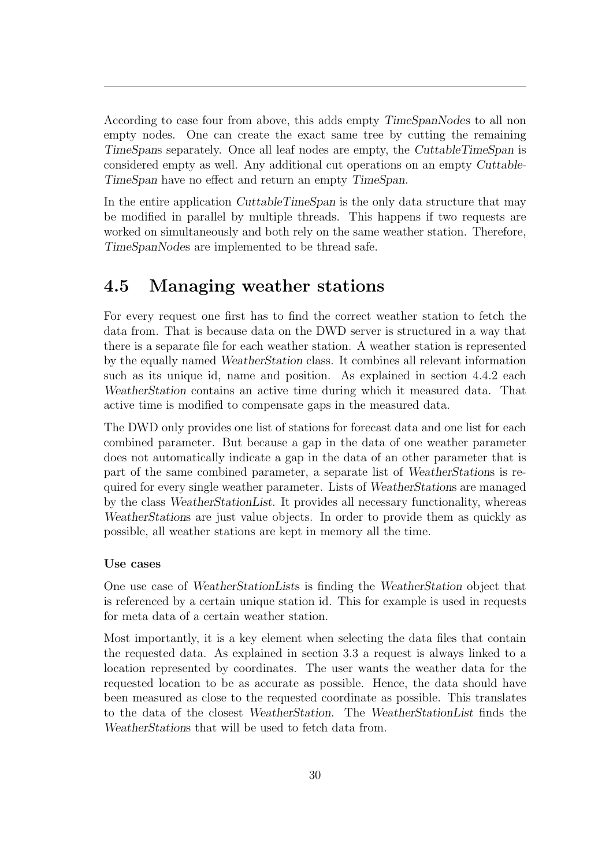According to case four from above, this adds empty TimeSpanNodes to all non empty nodes. One can create the exact same tree by cutting the remaining TimeSpans separately. Once all leaf nodes are empty, the CuttableTimeSpan is considered empty as well. Any additional cut operations on an empty Cuttable-TimeSpan have no effect and return an empty TimeSpan.

In the entire application CuttableTimeSpan is the only data structure that may be modified in parallel by multiple threads. This happens if two requests are worked on simultaneously and both rely on the same weather station. Therefore, TimeSpanNodes are implemented to be thread safe.

### <span id="page-35-0"></span>4.5 Managing weather stations

For every request one first has to find the correct weather station to fetch the data from. That is because data on the [DWD](#page-5-0) server is structured in a way that there is a separate file for each weather station. A weather station is represented by the equally named WeatherStation class. It combines all relevant information such as its unique id, name and position. As explained in section [4.4.2](#page-31-0) each WeatherStation contains an active time during which it measured data. That active time is modified to compensate gaps in the measured data.

The [DWD](#page-5-0) only provides one list of stations for forecast data and one list for each combined parameter. But because a gap in the data of one weather parameter does not automatically indicate a gap in the data of an other parameter that is part of the same combined parameter, a separate list of WeatherStations is required for every single weather parameter. Lists of WeatherStations are managed by the class WeatherStationList. It provides all necessary functionality, whereas WeatherStations are just value objects. In order to provide them as quickly as possible, all weather stations are kept in memory all the time.

#### Use cases

One use case of WeatherStationLists is finding the WeatherStation object that is referenced by a certain unique station id. This for example is used in requests for meta data of a certain weather station.

Most importantly, it is a key element when selecting the data files that contain the requested data. As explained in section [3.3](#page-14-0) a request is always linked to a location represented by coordinates. The user wants the weather data for the requested location to be as accurate as possible. Hence, the data should have been measured as close to the requested coordinate as possible. This translates to the data of the closest WeatherStation. The WeatherStationList finds the WeatherStations that will be used to fetch data from.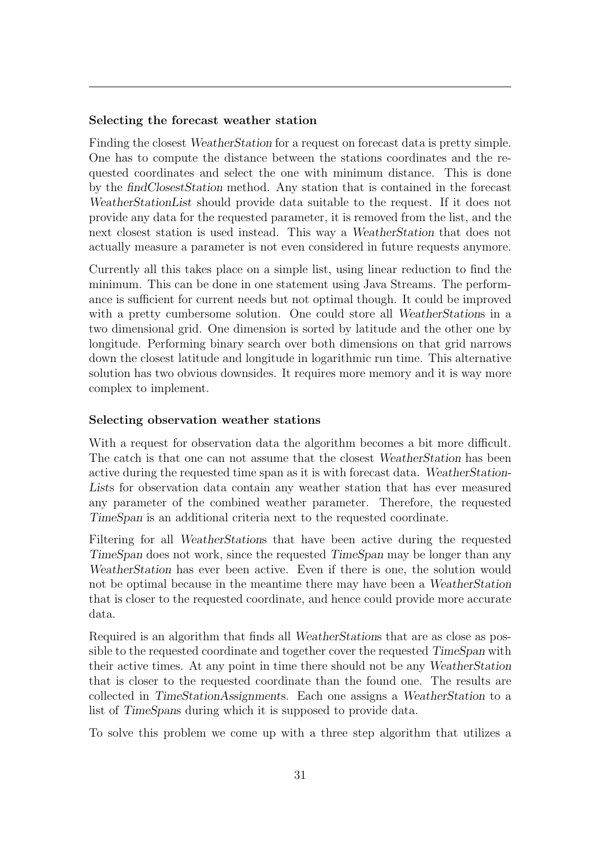#### Selecting the forecast weather station

Finding the closest WeatherStation for a request on forecast data is pretty simple. One has to compute the distance between the stations coordinates and the requested coordinates and select the one with minimum distance. This is done by the findClosestStation method. Any station that is contained in the forecast WeatherStationList should provide data suitable to the request. If it does not provide any data for the requested parameter, it is removed from the list, and the next closest station is used instead. This way a WeatherStation that does not actually measure a parameter is not even considered in future requests anymore.

Currently all this takes place on a simple list, using linear reduction to find the minimum. This can be done in one statement using Java Streams. The performance is sufficient for current needs but not optimal though. It could be improved with a pretty cumbersome solution. One could store all *WeatherStations* in a two dimensional grid. One dimension is sorted by latitude and the other one by longitude. Performing binary search over both dimensions on that grid narrows down the closest latitude and longitude in logarithmic run time. This alternative solution has two obvious downsides. It requires more memory and it is way more complex to implement.

#### Selecting observation weather stations

With a request for observation data the algorithm becomes a bit more difficult. The catch is that one can not assume that the closest WeatherStation has been active during the requested time span as it is with forecast data. WeatherStation-Lists for observation data contain any weather station that has ever measured any parameter of the combined weather parameter. Therefore, the requested TimeSpan is an additional criteria next to the requested coordinate.

Filtering for all WeatherStations that have been active during the requested TimeSpan does not work, since the requested TimeSpan may be longer than any WeatherStation has ever been active. Even if there is one, the solution would not be optimal because in the meantime there may have been a WeatherStation that is closer to the requested coordinate, and hence could provide more accurate data.

Required is an algorithm that finds all WeatherStations that are as close as possible to the requested coordinate and together cover the requested TimeSpan with their active times. At any point in time there should not be any WeatherStation that is closer to the requested coordinate than the found one. The results are collected in TimeStationAssignments. Each one assigns a WeatherStation to a list of TimeSpans during which it is supposed to provide data.

To solve this problem we come up with a three step algorithm that utilizes a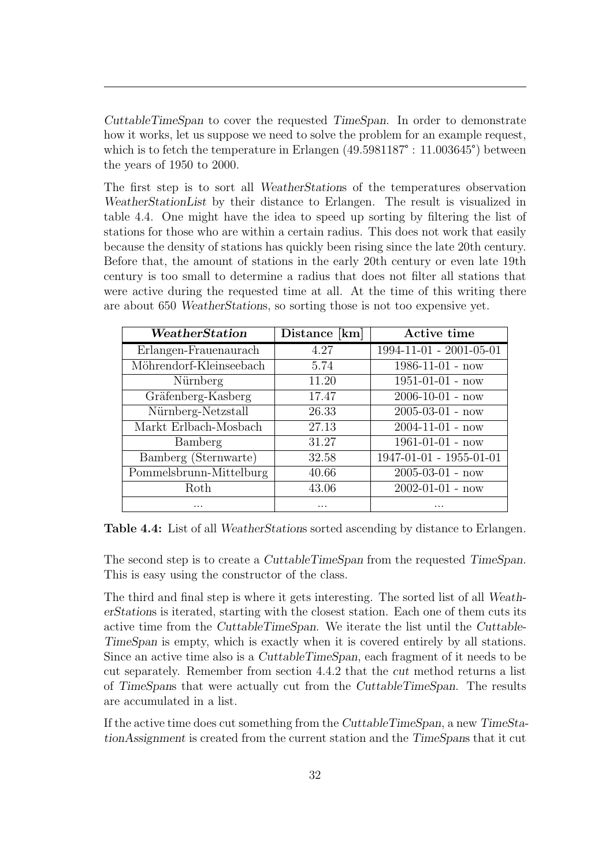CuttableTimeSpan to cover the requested TimeSpan. In order to demonstrate how it works, let us suppose we need to solve the problem for an example request, which is to fetch the temperature in Erlangen  $(49.5981187^{\circ} : 11.003645^{\circ})$  between the years of 1950 to 2000.

The first step is to sort all WeatherStations of the temperatures observation WeatherStationList by their distance to Erlangen. The result is visualized in table [4.4.](#page-37-0) One might have the idea to speed up sorting by filtering the list of stations for those who are within a certain radius. This does not work that easily because the density of stations has quickly been rising since the late 20th century. Before that, the amount of stations in the early 20th century or even late 19th century is too small to determine a radius that does not filter all stations that were active during the requested time at all. At the time of this writing there are about 650 WeatherStations, so sorting those is not too expensive yet.

<span id="page-37-0"></span>

| WeatherStation          | Distance [km] | Active time               |
|-------------------------|---------------|---------------------------|
| Erlangen-Frauenaurach   | 4.27          | 1994-11-01 - 2001-05-01   |
| Möhrendorf-Kleinseebach | 5.74          | $1986 - 11 - 01 - now$    |
| Nürnberg                | 11.20         | $1951 - 01 - 01 - now$    |
| Gräfenberg-Kasberg      | 17.47         | $2006 - 10 - 01 - now$    |
| Nürnberg-Netzstall      | 26.33         | $2005 - 03 - 01 - now$    |
| Markt Erlbach-Mosbach   | 27.13         | $2004 - 11 - 01 - now$    |
| Bamberg                 | 31.27         | $1961 - 01 - 01 - now$    |
| Bamberg (Sternwarte)    | 32.58         | $1947-01-01 - 1955-01-01$ |
| Pommelsbrunn-Mittelburg | 40.66         | $2005 - 03 - 01 - now$    |
| Roth                    | 43.06         | $2002 - 01 - 01 - now$    |
|                         |               |                           |

Table 4.4: List of all *WeatherStations* sorted ascending by distance to Erlangen.

The second step is to create a CuttableTimeSpan from the requested TimeSpan. This is easy using the constructor of the class.

The third and final step is where it gets interesting. The sorted list of all WeatherStations is iterated, starting with the closest station. Each one of them cuts its active time from the CuttableTimeSpan. We iterate the list until the Cuttable-TimeSpan is empty, which is exactly when it is covered entirely by all stations. Since an active time also is a CuttableTimeSpan, each fragment of it needs to be cut separately. Remember from section [4.4.2](#page-31-0) that the cut method returns a list of TimeSpans that were actually cut from the CuttableTimeSpan. The results are accumulated in a list.

If the active time does cut something from the CuttableTimeSpan, a new TimeStationAssignment is created from the current station and the TimeSpans that it cut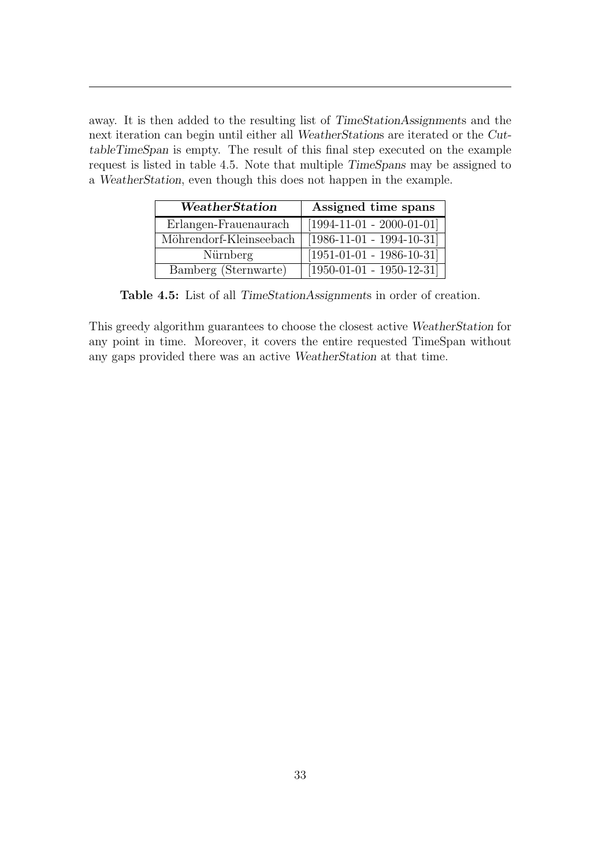away. It is then added to the resulting list of TimeStationAssignments and the next iteration can begin until either all WeatherStations are iterated or the CuttableTimeSpan is empty. The result of this final step executed on the example request is listed in table [4.5.](#page-38-0) Note that multiple TimeSpans may be assigned to a WeatherStation, even though this does not happen in the example.

<span id="page-38-0"></span>

| WeatherStation          | Assigned time spans         |  |  |
|-------------------------|-----------------------------|--|--|
| Erlangen-Frauenaurach   | $[1994-11-01 - 2000-01-01]$ |  |  |
| Möhrendorf-Kleinseebach | $[1986-11-01 - 1994-10-31]$ |  |  |
| Nürnberg                | $[1951-01-01 - 1986-10-31]$ |  |  |
| Bamberg (Sternwarte)    | $[1950-01-01 - 1950-12-31]$ |  |  |

Table 4.5: List of all TimeStationAssignments in order of creation.

This greedy algorithm guarantees to choose the closest active WeatherStation for any point in time. Moreover, it covers the entire requested TimeSpan without any gaps provided there was an active WeatherStation at that time.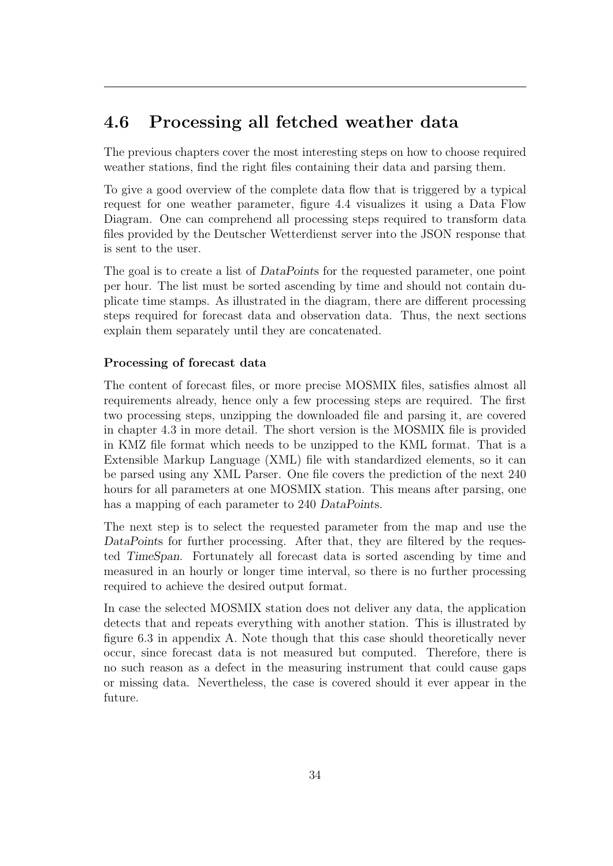### <span id="page-39-0"></span>4.6 Processing all fetched weather data

The previous chapters cover the most interesting steps on how to choose required weather stations, find the right files containing their data and parsing them.

To give a good overview of the complete data flow that is triggered by a typical request for one weather parameter, figure [4.4](#page-40-0) visualizes it using a Data Flow Diagram. One can comprehend all processing steps required to transform data files provided by the Deutscher Wetterdienst server into the [JSON](#page-5-0) response that is sent to the user.

The goal is to create a list of DataPoints for the requested parameter, one point per hour. The list must be sorted ascending by time and should not contain duplicate time stamps. As illustrated in the diagram, there are different processing steps required for forecast data and observation data. Thus, the next sections explain them separately until they are concatenated.

### Processing of forecast data

The content of forecast files, or more precise [MOSMIX](#page-5-1) files, satisfies almost all requirements already, hence only a few processing steps are required. The first two processing steps, unzipping the downloaded file and parsing it, are covered in chapter [4.3](#page-25-0) in more detail. The short version is the [MOSMIX](#page-5-1) file is provided in [KMZ](#page-5-2) file format which needs to be unzipped to the [KML](#page-5-3) format. That is a Extensible Markup Language [\(XML\)](#page-5-4) file with standardized elements, so it can be parsed using any [XML](#page-5-4) Parser. One file covers the prediction of the next 240 hours for all parameters at one [MOSMIX](#page-5-1) station. This means after parsing, one has a mapping of each parameter to 240 DataPoints.

The next step is to select the requested parameter from the map and use the DataPoints for further processing. After that, they are filtered by the requested TimeSpan. Fortunately all forecast data is sorted ascending by time and measured in an hourly or longer time interval, so there is no further processing required to achieve the desired output format.

In case the selected [MOSMIX](#page-5-1) station does not deliver any data, the application detects that and repeats everything with another station. This is illustrated by figure [6.3](#page-68-0) in appendix [A.](#page-66-0) Note though that this case should theoretically never occur, since forecast data is not measured but computed. Therefore, there is no such reason as a defect in the measuring instrument that could cause gaps or missing data. Nevertheless, the case is covered should it ever appear in the future.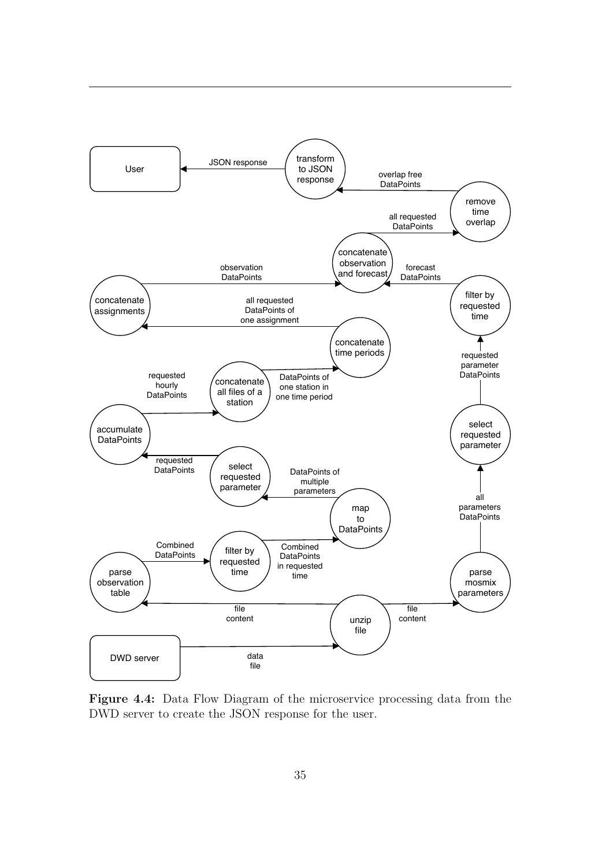<span id="page-40-0"></span>

Figure 4.4: Data Flow Diagram of the microservice processing data from the [DWD](#page-5-5) server to create the [JSON](#page-5-0) response for the user.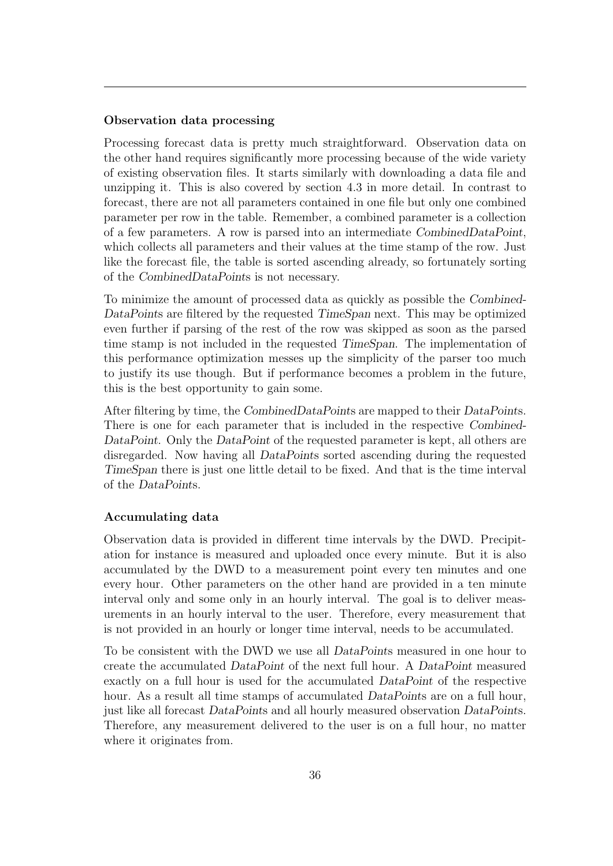### Observation data processing

Processing forecast data is pretty much straightforward. Observation data on the other hand requires significantly more processing because of the wide variety of existing observation files. It starts similarly with downloading a data file and unzipping it. This is also covered by section [4.3](#page-25-0) in more detail. In contrast to forecast, there are not all parameters contained in one file but only one combined parameter per row in the table. Remember, a combined parameter is a collection of a few parameters. A row is parsed into an intermediate CombinedDataPoint, which collects all parameters and their values at the time stamp of the row. Just like the forecast file, the table is sorted ascending already, so fortunately sorting of the CombinedDataPoints is not necessary.

To minimize the amount of processed data as quickly as possible the Combined-DataPoints are filtered by the requested TimeSpan next. This may be optimized even further if parsing of the rest of the row was skipped as soon as the parsed time stamp is not included in the requested TimeSpan. The implementation of this performance optimization messes up the simplicity of the parser too much to justify its use though. But if performance becomes a problem in the future, this is the best opportunity to gain some.

After filtering by time, the CombinedDataPoints are mapped to their DataPoints. There is one for each parameter that is included in the respective Combined-DataPoint. Only the DataPoint of the requested parameter is kept, all others are disregarded. Now having all DataPoints sorted ascending during the requested TimeSpan there is just one little detail to be fixed. And that is the time interval of the DataPoints.

#### Accumulating data

Observation data is provided in different time intervals by the [DWD.](#page-5-5) Precipitation for instance is measured and uploaded once every minute. But it is also accumulated by the [DWD](#page-5-5) to a measurement point every ten minutes and one every hour. Other parameters on the other hand are provided in a ten minute interval only and some only in an hourly interval. The goal is to deliver measurements in an hourly interval to the user. Therefore, every measurement that is not provided in an hourly or longer time interval, needs to be accumulated.

To be consistent with the [DWD](#page-5-5) we use all DataPoints measured in one hour to create the accumulated DataPoint of the next full hour. A DataPoint measured exactly on a full hour is used for the accumulated DataPoint of the respective hour. As a result all time stamps of accumulated *DataPoints* are on a full hour, just like all forecast DataPoints and all hourly measured observation DataPoints. Therefore, any measurement delivered to the user is on a full hour, no matter where it originates from.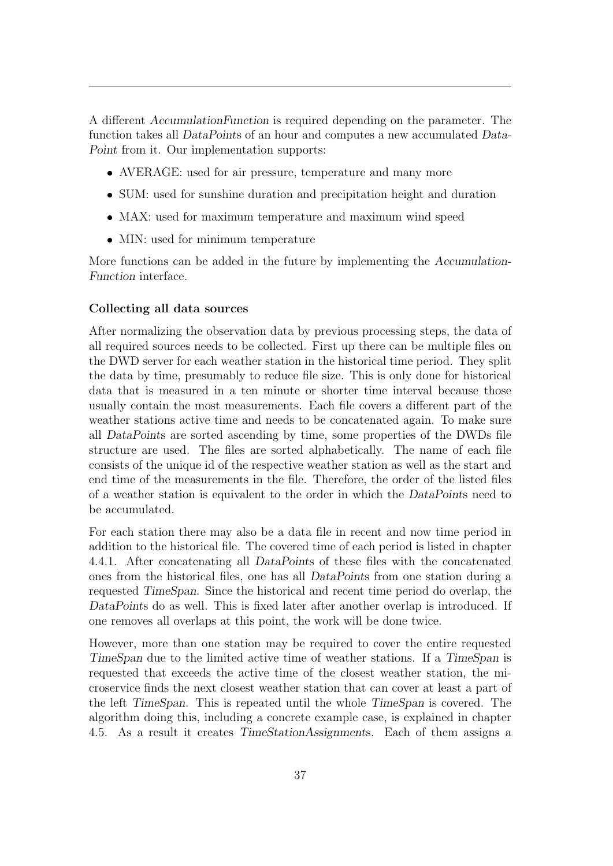A different AccumulationFunction is required depending on the parameter. The function takes all DataPoints of an hour and computes a new accumulated Data-Point from it. Our implementation supports:

- AVERAGE: used for air pressure, temperature and many more
- SUM: used for sunshine duration and precipitation height and duration
- MAX: used for maximum temperature and maximum wind speed
- MIN: used for minimum temperature

More functions can be added in the future by implementing the Accumulation-Function interface.

### Collecting all data sources

After normalizing the observation data by previous processing steps, the data of all required sources needs to be collected. First up there can be multiple files on the [DWD](#page-5-5) server for each weather station in the historical time period. They split the data by time, presumably to reduce file size. This is only done for historical data that is measured in a ten minute or shorter time interval because those usually contain the most measurements. Each file covers a different part of the weather stations active time and needs to be concatenated again. To make sure all DataPoints are sorted ascending by time, some properties of the [DWDs](#page-5-5) file structure are used. The files are sorted alphabetically. The name of each file consists of the unique id of the respective weather station as well as the start and end time of the measurements in the file. Therefore, the order of the listed files of a weather station is equivalent to the order in which the DataPoints need to be accumulated.

For each station there may also be a data file in recent and now time period in addition to the historical file. The covered time of each period is listed in chapter [4.4.1.](#page-30-0) After concatenating all DataPoints of these files with the concatenated ones from the historical files, one has all DataPoints from one station during a requested TimeSpan. Since the historical and recent time period do overlap, the DataPoints do as well. This is fixed later after another overlap is introduced. If one removes all overlaps at this point, the work will be done twice.

However, more than one station may be required to cover the entire requested TimeSpan due to the limited active time of weather stations. If a TimeSpan is requested that exceeds the active time of the closest weather station, the microservice finds the next closest weather station that can cover at least a part of the left TimeSpan. This is repeated until the whole TimeSpan is covered. The algorithm doing this, including a concrete example case, is explained in chapter [4.5.](#page-35-0) As a result it creates TimeStationAssignments. Each of them assigns a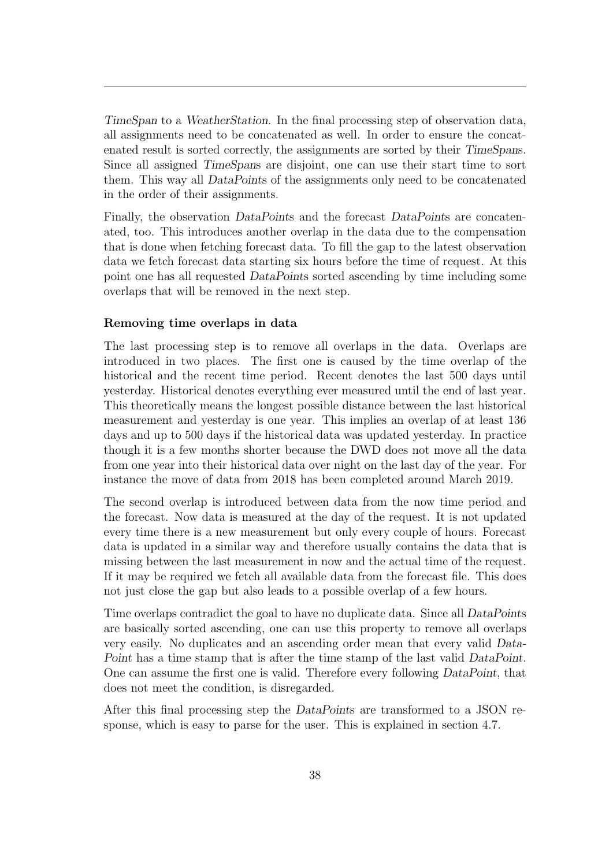TimeSpan to a WeatherStation. In the final processing step of observation data, all assignments need to be concatenated as well. In order to ensure the concatenated result is sorted correctly, the assignments are sorted by their TimeSpans. Since all assigned TimeSpans are disjoint, one can use their start time to sort them. This way all DataPoints of the assignments only need to be concatenated in the order of their assignments.

Finally, the observation DataPoints and the forecast DataPoints are concatenated, too. This introduces another overlap in the data due to the compensation that is done when fetching forecast data. To fill the gap to the latest observation data we fetch forecast data starting six hours before the time of request. At this point one has all requested DataPoints sorted ascending by time including some overlaps that will be removed in the next step.

### Removing time overlaps in data

The last processing step is to remove all overlaps in the data. Overlaps are introduced in two places. The first one is caused by the time overlap of the historical and the recent time period. Recent denotes the last 500 days until yesterday. Historical denotes everything ever measured until the end of last year. This theoretically means the longest possible distance between the last historical measurement and yesterday is one year. This implies an overlap of at least 136 days and up to 500 days if the historical data was updated yesterday. In practice though it is a few months shorter because the [DWD](#page-5-5) does not move all the data from one year into their historical data over night on the last day of the year. For instance the move of data from 2018 has been completed around March 2019.

The second overlap is introduced between data from the now time period and the forecast. Now data is measured at the day of the request. It is not updated every time there is a new measurement but only every couple of hours. Forecast data is updated in a similar way and therefore usually contains the data that is missing between the last measurement in now and the actual time of the request. If it may be required we fetch all available data from the forecast file. This does not just close the gap but also leads to a possible overlap of a few hours.

Time overlaps contradict the goal to have no duplicate data. Since all DataPoints are basically sorted ascending, one can use this property to remove all overlaps very easily. No duplicates and an ascending order mean that every valid Data-Point has a time stamp that is after the time stamp of the last valid DataPoint. One can assume the first one is valid. Therefore every following DataPoint, that does not meet the condition, is disregarded.

After this final processing step the DataPoints are transformed to a [JSON](#page-5-0) response, which is easy to parse for the user. This is explained in section [4.7.](#page-46-0)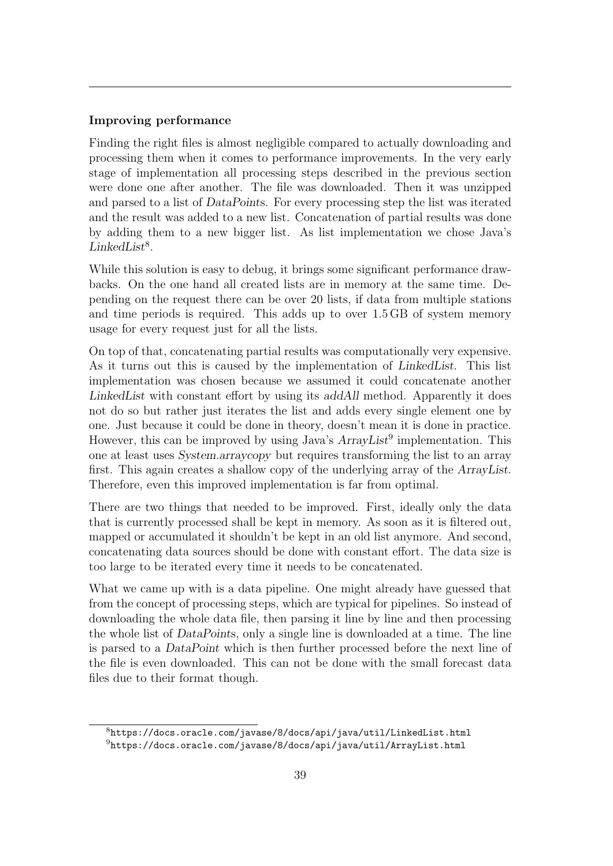### Improving performance

Finding the right files is almost negligible compared to actually downloading and processing them when it comes to performance improvements. In the very early stage of implementation all processing steps described in the previous section were done one after another. The file was downloaded. Then it was unzipped and parsed to a list of DataPoints. For every processing step the list was iterated and the result was added to a new list. Concatenation of partial results was done by adding them to a new bigger list. As list implementation we chose Java's  $LinkedList<sup>8</sup>$  $LinkedList<sup>8</sup>$  $LinkedList<sup>8</sup>$ .

While this solution is easy to debug, it brings some significant performance drawbacks. On the one hand all created lists are in memory at the same time. Depending on the request there can be over 20 lists, if data from multiple stations and time periods is required. This adds up to over 1.5 GB of system memory usage for every request just for all the lists.

On top of that, concatenating partial results was computationally very expensive. As it turns out this is caused by the implementation of LinkedList. This list implementation was chosen because we assumed it could concatenate another LinkedList with constant effort by using its addAll method. Apparently it does not do so but rather just iterates the list and adds every single element one by one. Just because it could be done in theory, doesn't mean it is done in practice. However, this can be improved by using Java's  $ArrayList<sup>9</sup>$  $ArrayList<sup>9</sup>$  $ArrayList<sup>9</sup>$  implementation. This one at least uses System.arraycopy but requires transforming the list to an array first. This again creates a shallow copy of the underlying array of the ArrayList. Therefore, even this improved implementation is far from optimal.

There are two things that needed to be improved. First, ideally only the data that is currently processed shall be kept in memory. As soon as it is filtered out, mapped or accumulated it shouldn't be kept in an old list anymore. And second, concatenating data sources should be done with constant effort. The data size is too large to be iterated every time it needs to be concatenated.

What we came up with is a data pipeline. One might already have guessed that from the concept of processing steps, which are typical for pipelines. So instead of downloading the whole data file, then parsing it line by line and then processing the whole list of DataPoints, only a single line is downloaded at a time. The line is parsed to a DataPoint which is then further processed before the next line of the file is even downloaded. This can not be done with the small forecast data files due to their format though.

 $8$ <https://docs.oracle.com/javase/8/docs/api/java/util/LinkedList.html>

 $9$ <https://docs.oracle.com/javase/8/docs/api/java/util/ArrayList.html>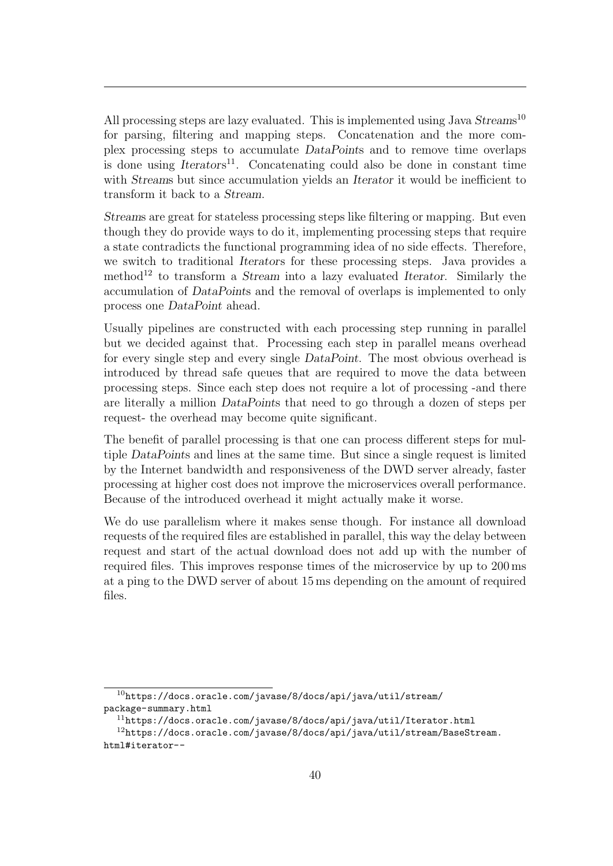All processing steps are lazy evaluated. This is implemented using Java Streams<sup>[10](#page-0-0)</sup> for parsing, filtering and mapping steps. Concatenation and the more complex processing steps to accumulate DataPoints and to remove time overlaps is done using  $Iterators<sup>11</sup>$  $Iterators<sup>11</sup>$  $Iterators<sup>11</sup>$ . Concatenating could also be done in constant time with Streams but since accumulation yields an Iterator it would be inefficient to transform it back to a Stream.

Streams are great for stateless processing steps like filtering or mapping. But even though they do provide ways to do it, implementing processing steps that require a state contradicts the functional programming idea of no side effects. Therefore, we switch to traditional Iterators for these processing steps. Java provides a method<sup>[12](#page-0-0)</sup> to transform a *Stream* into a lazy evaluated *Iterator*. Similarly the accumulation of DataPoints and the removal of overlaps is implemented to only process one DataPoint ahead.

Usually pipelines are constructed with each processing step running in parallel but we decided against that. Processing each step in parallel means overhead for every single step and every single DataPoint. The most obvious overhead is introduced by thread safe queues that are required to move the data between processing steps. Since each step does not require a lot of processing -and there are literally a million DataPoints that need to go through a dozen of steps per request- the overhead may become quite significant.

The benefit of parallel processing is that one can process different steps for multiple DataPoints and lines at the same time. But since a single request is limited by the Internet bandwidth and responsiveness of the [DWD](#page-5-5) server already, faster processing at higher cost does not improve the microservices overall performance. Because of the introduced overhead it might actually make it worse.

We do use parallelism where it makes sense though. For instance all download requests of the required files are established in parallel, this way the delay between request and start of the actual download does not add up with the number of required files. This improves response times of the microservice by up to 200 ms at a ping to the [DWD](#page-5-5) server of about 15 ms depending on the amount of required files.

 $10$ [https://docs.oracle.com/javase/8/docs/api/java/util/stream/](https://docs.oracle.com/javase/8/docs/api/java/util/stream/package-summary.html) [package-summary.html](https://docs.oracle.com/javase/8/docs/api/java/util/stream/package-summary.html)

<sup>11</sup><https://docs.oracle.com/javase/8/docs/api/java/util/Iterator.html>

<sup>&</sup>lt;sup>12</sup>[https://docs.oracle.com/javase/8/docs/api/java/util/stream/BaseStream.](https://docs.oracle.com/javase/8/docs/api/java/util/stream/BaseStream.html#iterator--) [html#iterator--](https://docs.oracle.com/javase/8/docs/api/java/util/stream/BaseStream.html#iterator--)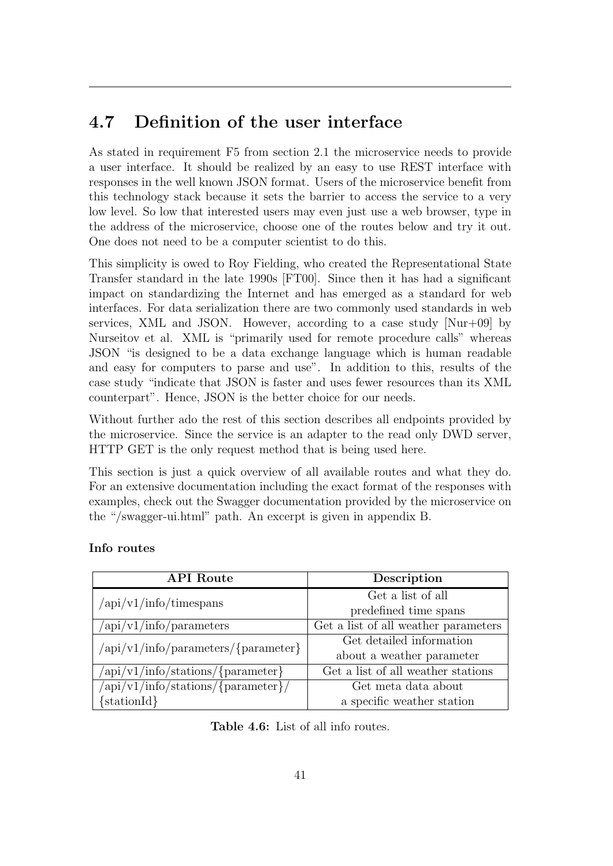### <span id="page-46-0"></span>4.7 Definition of the user interface

As stated in requirement F5 from section [2.1](#page-9-0) the microservice needs to provide a user interface. It should be realized by an easy to use [REST](#page-5-6) interface with responses in the well known [JSON](#page-5-0) format. Users of the microservice benefit from this technology stack because it sets the barrier to access the service to a very low level. So low that interested users may even just use a web browser, type in the address of the microservice, choose one of the routes below and try it out. One does not need to be a computer scientist to do this.

This simplicity is owed to Roy Fielding, who created the Representational State Transfer standard in the late 1990s [\[FT00\]](#page-71-0). Since then it has had a significant impact on standardizing the Internet and has emerged as a standard for web interfaces. For data serialization there are two commonly used standards in web services, [XML](#page-5-4) and [JSON.](#page-5-0) However, according to a case study [\[Nur+09\]](#page-71-1) by Nurseitov et al. [XML](#page-5-4) is "primarily used for remote procedure calls" whereas [JSON](#page-5-0) "is designed to be a data exchange language which is human readable and easy for computers to parse and use". In addition to this, results of the case study "indicate that [JSON](#page-5-0) is faster and uses fewer resources than its [XML](#page-5-4) counterpart". Hence, [JSON](#page-5-0) is the better choice for our needs.

Without further ado the rest of this section describes all endpoints provided by the microservice. Since the service is an adapter to the read only [DWD](#page-5-5) server, [HTTP](#page-5-7) GET is the only request method that is being used here.

This section is just a quick overview of all available routes and what they do. For an extensive documentation including the exact format of the responses with examples, check out the Swagger documentation provided by the microservice on the "/swagger-ui.html" path. An excerpt is given in appendix [B.](#page-69-0)

### Info routes

<span id="page-46-1"></span>

| <b>API</b> Route                                                                           | Description                          |  |  |
|--------------------------------------------------------------------------------------------|--------------------------------------|--|--|
| $\sqrt{api/v1/info/timespans}$                                                             | Get a list of all                    |  |  |
|                                                                                            | predefined time spans                |  |  |
| $\frac{1}{\pi}$ /v1/info/parameters                                                        | Get a list of all weather parameters |  |  |
| $\langle \alpha p i / v 1 / \text{info} / \text{parameters} / \{\text{parameter}\}\rangle$ | Get detailed information             |  |  |
|                                                                                            | about a weather parameter            |  |  |
| $\langle \alpha p i / v 1 / \text{info} / \text{stations} / \{\text{parameter}\}\rangle$   | Get a list of all weather stations   |  |  |
| $\langle \alpha p i / v 1 / \text{info} / \text{stations} / \{\text{parameter}\}\rangle$   | Get meta data about                  |  |  |
| $\{stationId\}$                                                                            | a specific weather station           |  |  |

Table 4.6: List of all info routes.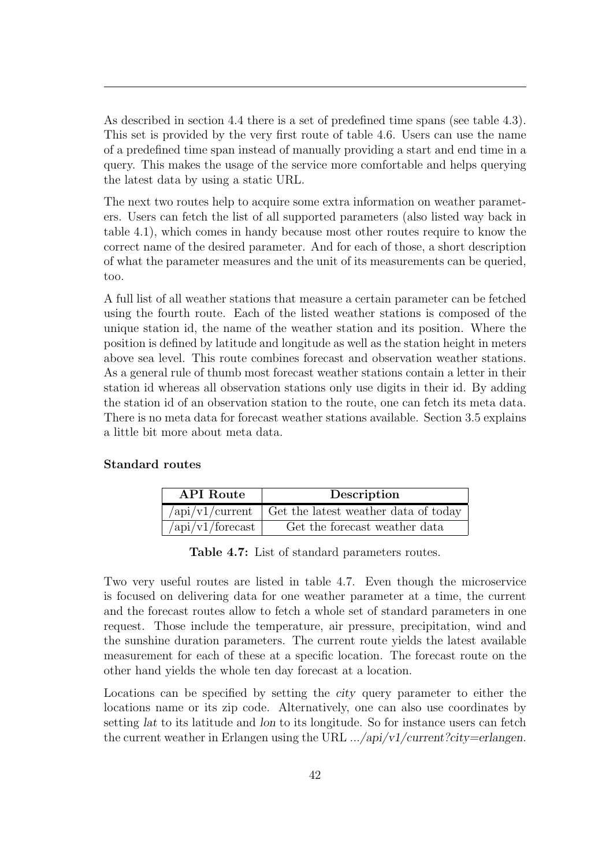As described in section [4.4](#page-30-1) there is a set of predefined time spans (see table [4.3\)](#page-30-2). This set is provided by the very first route of table [4.6.](#page-46-1) Users can use the name of a predefined time span instead of manually providing a start and end time in a query. This makes the usage of the service more comfortable and helps querying the latest data by using a static [URL.](#page-5-9)

The next two routes help to acquire some extra information on weather parameters. Users can fetch the list of all supported parameters (also listed way back in table [4.1\)](#page-23-0), which comes in handy because most other routes require to know the correct name of the desired parameter. And for each of those, a short description of what the parameter measures and the unit of its measurements can be queried, too.

A full list of all weather stations that measure a certain parameter can be fetched using the fourth route. Each of the listed weather stations is composed of the unique station id, the name of the weather station and its position. Where the position is defined by latitude and longitude as well as the station height in meters above sea level. This route combines forecast and observation weather stations. As a general rule of thumb most forecast weather stations contain a letter in their station id whereas all observation stations only use digits in their id. By adding the station id of an observation station to the route, one can fetch its meta data. There is no meta data for forecast weather stations available. Section [3.5](#page-18-0) explains a little bit more about meta data.

### <span id="page-47-0"></span>Standard routes

| <b>API</b> Route                                                                                                                                                                                                                                                                                                  | Description                                                     |  |
|-------------------------------------------------------------------------------------------------------------------------------------------------------------------------------------------------------------------------------------------------------------------------------------------------------------------|-----------------------------------------------------------------|--|
|                                                                                                                                                                                                                                                                                                                   | $\alpha$ /api/v1/current   Get the latest weather data of today |  |
| $\frac{1}{\pi}$ / $\frac{1}{\pi}$ / $\frac{1}{\pi}$ / $\frac{1}{\pi}$ / $\frac{1}{\pi}$ / $\frac{1}{\pi}$ / $\frac{1}{\pi}$ / $\frac{1}{\pi}$ / $\frac{1}{\pi}$ / $\frac{1}{\pi}$ / $\frac{1}{\pi}$ / $\frac{1}{\pi}$ / $\frac{1}{\pi}$ / $\frac{1}{\pi}$ / $\frac{1}{\pi}$ / $\frac{1}{\pi}$ / $\frac{1}{\pi}$ / | Get the forecast weather data                                   |  |

Table 4.7: List of standard parameters routes.

Two very useful routes are listed in table [4.7.](#page-47-0) Even though the microservice is focused on delivering data for one weather parameter at a time, the current and the forecast routes allow to fetch a whole set of standard parameters in one request. Those include the temperature, air pressure, precipitation, wind and the sunshine duration parameters. The current route yields the latest available measurement for each of these at a specific location. The forecast route on the other hand yields the whole ten day forecast at a location.

Locations can be specified by setting the city query parameter to either the locations name or its zip code. Alternatively, one can also use coordinates by setting lat to its latitude and lon to its longitude. So for instance users can fetch the current weather in Erlangen using the [URL](#page-5-9)  $\ldots$ /api/v1/current?city=erlangen.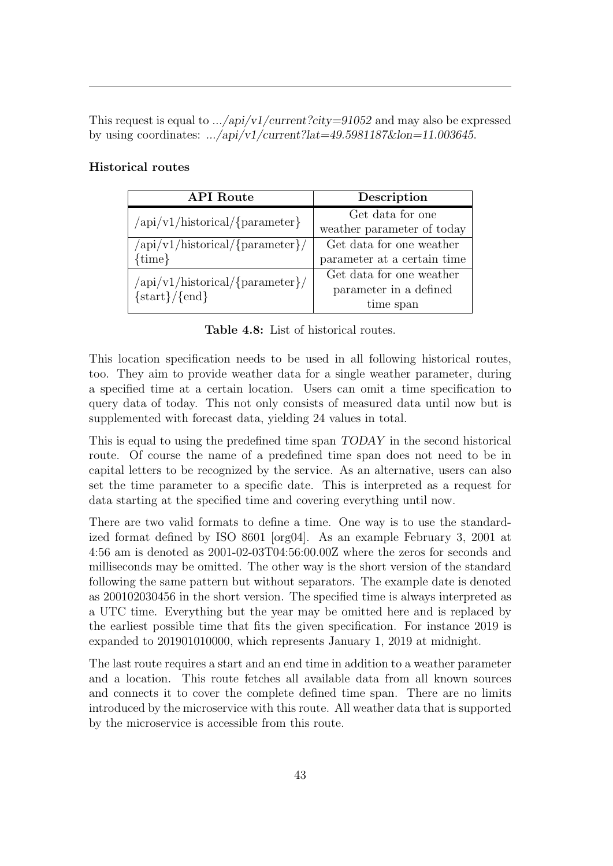This request is equal to  $\ldots$ /api/v1/current?city=91052 and may also be expressed by using coordinates:  $\ldots$ /api/v1/current?lat=49.5981187&lon=11.003645.

### Historical routes

| <b>API</b> Route                                               | Description                 |  |
|----------------------------------------------------------------|-----------------------------|--|
| $\langle \text{api/v1/historical}/\{\text{parameter}\}\rangle$ | Get data for one            |  |
|                                                                | weather parameter of today  |  |
| $\langle \text{api/v1/historical/}\{\text{parameter}\}\rangle$ | Get data for one weather    |  |
| ${time}$                                                       | parameter at a certain time |  |
| $\langle \text{api/v1/historical/}\{\text{parameter}\}\rangle$ | Get data for one weather    |  |
| $\{start\}/\{end\}$                                            | parameter in a defined      |  |
|                                                                | time span                   |  |

Table 4.8: List of historical routes.

This location specification needs to be used in all following historical routes, too. They aim to provide weather data for a single weather parameter, during a specified time at a certain location. Users can omit a time specification to query data of today. This not only consists of measured data until now but is supplemented with forecast data, yielding 24 values in total.

This is equal to using the predefined time span TODAY in the second historical route. Of course the name of a predefined time span does not need to be in capital letters to be recognized by the service. As an alternative, users can also set the time parameter to a specific date. This is interpreted as a request for data starting at the specified time and covering everything until now.

There are two valid formats to define a time. One way is to use the standardized format defined by ISO 8601 [\[org04\]](#page-72-0). As an example February 3, 2001 at 4:56 am is denoted as 2001-02-03T04:56:00.00Z where the zeros for seconds and milliseconds may be omitted. The other way is the short version of the standard following the same pattern but without separators. The example date is denoted as 200102030456 in the short version. The specified time is always interpreted as a UTC time. Everything but the year may be omitted here and is replaced by the earliest possible time that fits the given specification. For instance 2019 is expanded to 201901010000, which represents January 1, 2019 at midnight.

The last route requires a start and an end time in addition to a weather parameter and a location. This route fetches all available data from all known sources and connects it to cover the complete defined time span. There are no limits introduced by the microservice with this route. All weather data that is supported by the microservice is accessible from this route.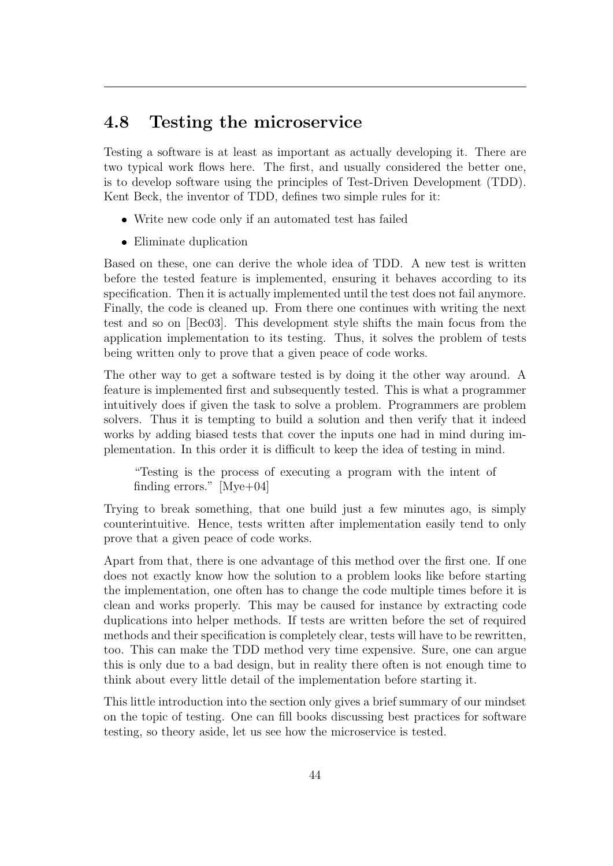### <span id="page-49-0"></span>4.8 Testing the microservice

Testing a software is at least as important as actually developing it. There are two typical work flows here. The first, and usually considered the better one, is to develop software using the principles of Test-Driven Development [\(TDD\)](#page-5-10). Kent Beck, the inventor of [TDD,](#page-5-10) defines two simple rules for it:

- Write new code only if an automated test has failed
- Eliminate duplication

Based on these, one can derive the whole idea of [TDD.](#page-5-10) A new test is written before the tested feature is implemented, ensuring it behaves according to its specification. Then it is actually implemented until the test does not fail anymore. Finally, the code is cleaned up. From there one continues with writing the next test and so on [\[Bec03\]](#page-71-2). This development style shifts the main focus from the application implementation to its testing. Thus, it solves the problem of tests being written only to prove that a given peace of code works.

The other way to get a software tested is by doing it the other way around. A feature is implemented first and subsequently tested. This is what a programmer intuitively does if given the task to solve a problem. Programmers are problem solvers. Thus it is tempting to build a solution and then verify that it indeed works by adding biased tests that cover the inputs one had in mind during implementation. In this order it is difficult to keep the idea of testing in mind.

"Testing is the process of executing a program with the intent of finding errors." [\[Mye+04\]](#page-71-3)

Trying to break something, that one build just a few minutes ago, is simply counterintuitive. Hence, tests written after implementation easily tend to only prove that a given peace of code works.

Apart from that, there is one advantage of this method over the first one. If one does not exactly know how the solution to a problem looks like before starting the implementation, one often has to change the code multiple times before it is clean and works properly. This may be caused for instance by extracting code duplications into helper methods. If tests are written before the set of required methods and their specification is completely clear, tests will have to be rewritten, too. This can make the [TDD](#page-5-10) method very time expensive. Sure, one can argue this is only due to a bad design, but in reality there often is not enough time to think about every little detail of the implementation before starting it.

This little introduction into the section only gives a brief summary of our mindset on the topic of testing. One can fill books discussing best practices for software testing, so theory aside, let us see how the microservice is tested.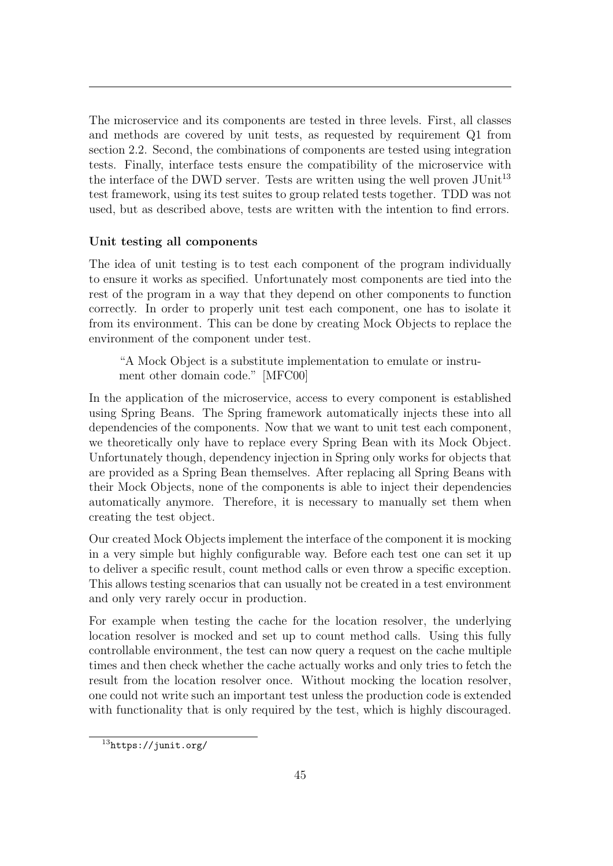The microservice and its components are tested in three levels. First, all classes and methods are covered by unit tests, as requested by requirement Q1 from section [2.2.](#page-10-0) Second, the combinations of components are tested using integration tests. Finally, interface tests ensure the compatibility of the microservice with the interface of the [DWD](#page-5-5) server. Tests are written using the well proven  $JUnit<sup>13</sup>$  $JUnit<sup>13</sup>$  $JUnit<sup>13</sup>$ test framework, using its test suites to group related tests together. [TDD](#page-5-10) was not used, but as described above, tests are written with the intention to find errors.

### Unit testing all components

The idea of unit testing is to test each component of the program individually to ensure it works as specified. Unfortunately most components are tied into the rest of the program in a way that they depend on other components to function correctly. In order to properly unit test each component, one has to isolate it from its environment. This can be done by creating Mock Objects to replace the environment of the component under test.

"A Mock Object is a substitute implementation to emulate or instrument other domain code." [\[MFC00\]](#page-71-4)

In the application of the microservice, access to every component is established using Spring Beans. The Spring framework automatically injects these into all dependencies of the components. Now that we want to unit test each component, we theoretically only have to replace every Spring Bean with its Mock Object. Unfortunately though, dependency injection in Spring only works for objects that are provided as a Spring Bean themselves. After replacing all Spring Beans with their Mock Objects, none of the components is able to inject their dependencies automatically anymore. Therefore, it is necessary to manually set them when creating the test object.

Our created Mock Objects implement the interface of the component it is mocking in a very simple but highly configurable way. Before each test one can set it up to deliver a specific result, count method calls or even throw a specific exception. This allows testing scenarios that can usually not be created in a test environment and only very rarely occur in production.

For example when testing the cache for the location resolver, the underlying location resolver is mocked and set up to count method calls. Using this fully controllable environment, the test can now query a request on the cache multiple times and then check whether the cache actually works and only tries to fetch the result from the location resolver once. Without mocking the location resolver, one could not write such an important test unless the production code is extended with functionality that is only required by the test, which is highly discouraged.

<sup>13</sup><https://junit.org/>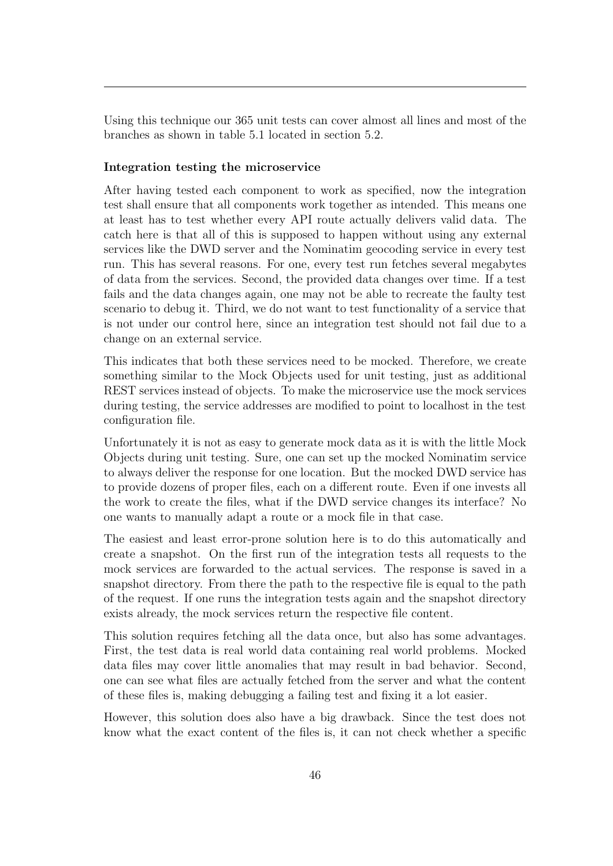Using this technique our 365 unit tests can cover almost all lines and most of the branches as shown in table [5.1](#page-60-0) located in section [5.2.](#page-59-0)

### Integration testing the microservice

After having tested each component to work as specified, now the integration test shall ensure that all components work together as intended. This means one at least has to test whether every [API](#page-5-8) route actually delivers valid data. The catch here is that all of this is supposed to happen without using any external services like the [DWD](#page-5-5) server and the Nominatim geocoding service in every test run. This has several reasons. For one, every test run fetches several megabytes of data from the services. Second, the provided data changes over time. If a test fails and the data changes again, one may not be able to recreate the faulty test scenario to debug it. Third, we do not want to test functionality of a service that is not under our control here, since an integration test should not fail due to a change on an external service.

This indicates that both these services need to be mocked. Therefore, we create something similar to the Mock Objects used for unit testing, just as additional [REST](#page-5-6) services instead of objects. To make the microservice use the mock services during testing, the service addresses are modified to point to localhost in the test configuration file.

Unfortunately it is not as easy to generate mock data as it is with the little Mock Objects during unit testing. Sure, one can set up the mocked Nominatim service to always deliver the response for one location. But the mocked [DWD](#page-5-5) service has to provide dozens of proper files, each on a different route. Even if one invests all the work to create the files, what if the [DWD](#page-5-5) service changes its interface? No one wants to manually adapt a route or a mock file in that case.

The easiest and least error-prone solution here is to do this automatically and create a snapshot. On the first run of the integration tests all requests to the mock services are forwarded to the actual services. The response is saved in a snapshot directory. From there the path to the respective file is equal to the path of the request. If one runs the integration tests again and the snapshot directory exists already, the mock services return the respective file content.

This solution requires fetching all the data once, but also has some advantages. First, the test data is real world data containing real world problems. Mocked data files may cover little anomalies that may result in bad behavior. Second, one can see what files are actually fetched from the server and what the content of these files is, making debugging a failing test and fixing it a lot easier.

However, this solution does also have a big drawback. Since the test does not know what the exact content of the files is, it can not check whether a specific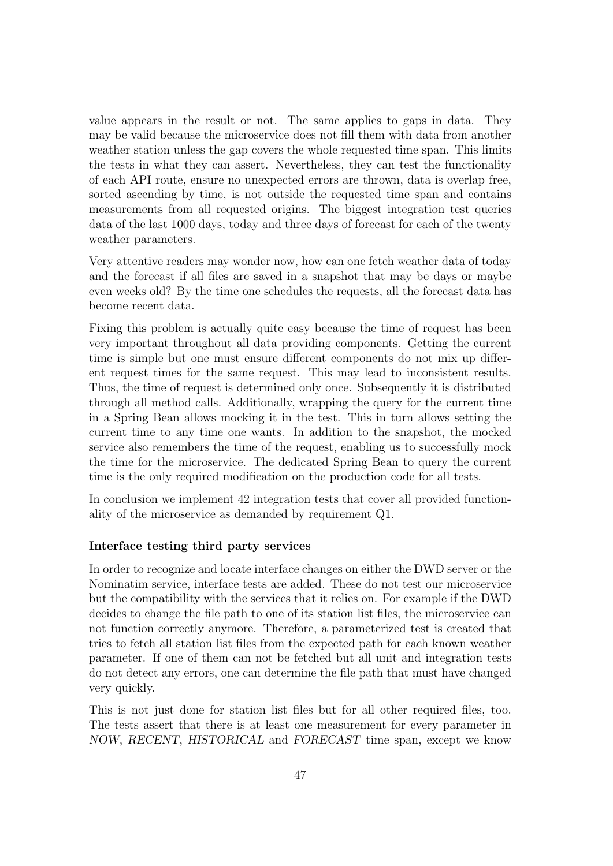value appears in the result or not. The same applies to gaps in data. They may be valid because the microservice does not fill them with data from another weather station unless the gap covers the whole requested time span. This limits the tests in what they can assert. Nevertheless, they can test the functionality of each [API](#page-5-8) route, ensure no unexpected errors are thrown, data is overlap free, sorted ascending by time, is not outside the requested time span and contains measurements from all requested origins. The biggest integration test queries data of the last 1000 days, today and three days of forecast for each of the twenty weather parameters.

Very attentive readers may wonder now, how can one fetch weather data of today and the forecast if all files are saved in a snapshot that may be days or maybe even weeks old? By the time one schedules the requests, all the forecast data has become recent data.

Fixing this problem is actually quite easy because the time of request has been very important throughout all data providing components. Getting the current time is simple but one must ensure different components do not mix up different request times for the same request. This may lead to inconsistent results. Thus, the time of request is determined only once. Subsequently it is distributed through all method calls. Additionally, wrapping the query for the current time in a Spring Bean allows mocking it in the test. This in turn allows setting the current time to any time one wants. In addition to the snapshot, the mocked service also remembers the time of the request, enabling us to successfully mock the time for the microservice. The dedicated Spring Bean to query the current time is the only required modification on the production code for all tests.

In conclusion we implement 42 integration tests that cover all provided functionality of the microservice as demanded by requirement Q1.

#### Interface testing third party services

In order to recognize and locate interface changes on either the [DWD](#page-5-5) server or the Nominatim service, interface tests are added. These do not test our microservice but the compatibility with the services that it relies on. For example if the [DWD](#page-5-5) decides to change the file path to one of its station list files, the microservice can not function correctly anymore. Therefore, a parameterized test is created that tries to fetch all station list files from the expected path for each known weather parameter. If one of them can not be fetched but all unit and integration tests do not detect any errors, one can determine the file path that must have changed very quickly.

This is not just done for station list files but for all other required files, too. The tests assert that there is at least one measurement for every parameter in NOW, RECENT, HISTORICAL and FORECAST time span, except we know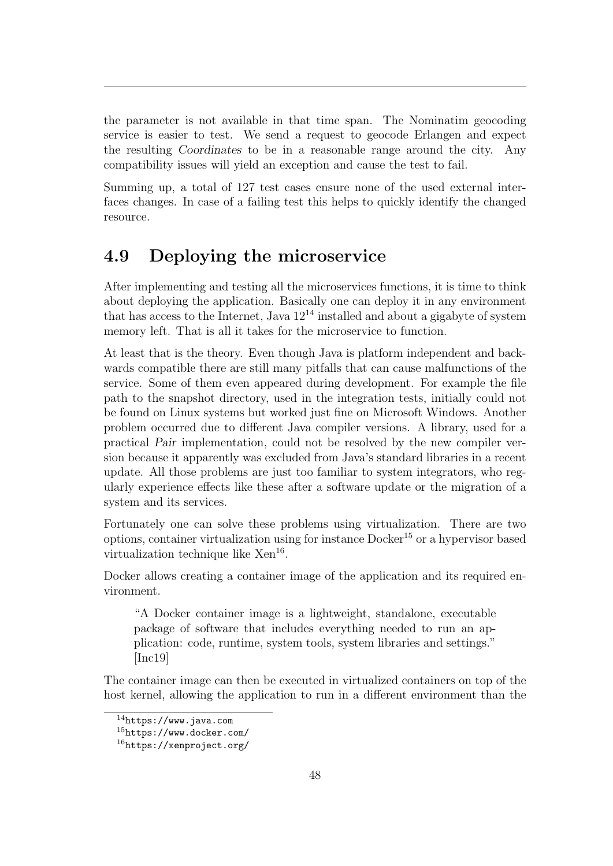the parameter is not available in that time span. The Nominatim geocoding service is easier to test. We send a request to geocode Erlangen and expect the resulting Coordinates to be in a reasonable range around the city. Any compatibility issues will yield an exception and cause the test to fail.

Summing up, a total of 127 test cases ensure none of the used external interfaces changes. In case of a failing test this helps to quickly identify the changed resource.

### 4.9 Deploying the microservice

After implementing and testing all the microservices functions, it is time to think about deploying the application. Basically one can deploy it in any environment that has access to the Internet, Java  $12^{14}$  $12^{14}$  $12^{14}$  installed and about a gigabyte of system memory left. That is all it takes for the microservice to function.

At least that is the theory. Even though Java is platform independent and backwards compatible there are still many pitfalls that can cause malfunctions of the service. Some of them even appeared during development. For example the file path to the snapshot directory, used in the integration tests, initially could not be found on Linux systems but worked just fine on Microsoft Windows. Another problem occurred due to different Java compiler versions. A library, used for a practical Pair implementation, could not be resolved by the new compiler version because it apparently was excluded from Java's standard libraries in a recent update. All those problems are just too familiar to system integrators, who regularly experience effects like these after a software update or the migration of a system and its services.

Fortunately one can solve these problems using virtualization. There are two options, container virtualization using for instance Docker[15](#page-0-0) or a hypervisor based virtualization technique like Xen<sup>[16](#page-0-0)</sup>.

Docker allows creating a container image of the application and its required environment.

"A Docker container image is a lightweight, standalone, executable package of software that includes everything needed to run an application: code, runtime, system tools, system libraries and settings." [\[Inc19\]](#page-71-5)

The container image can then be executed in virtualized containers on top of the host kernel, allowing the application to run in a different environment than the

<sup>14</sup><https://www.java.com>

 $15$ <https://www.docker.com/>

 $16$ <https://xenproject.org/>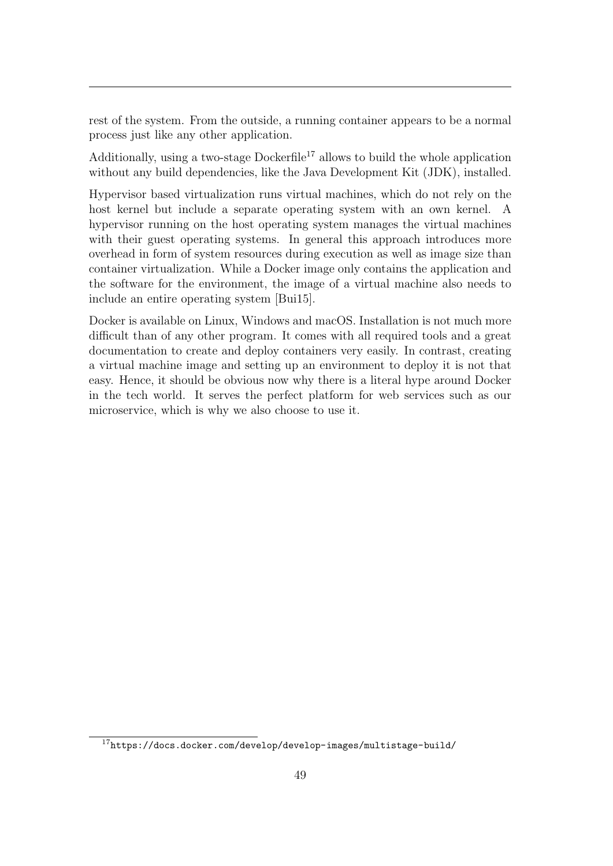rest of the system. From the outside, a running container appears to be a normal process just like any other application.

Additionally, using a two-stage Dockerfile<sup>[17](#page-0-0)</sup> allows to build the whole application without any build dependencies, like the Java Development Kit [\(JDK\)](#page-5-11), installed.

Hypervisor based virtualization runs virtual machines, which do not rely on the host kernel but include a separate operating system with an own kernel. A hypervisor running on the host operating system manages the virtual machines with their guest operating systems. In general this approach introduces more overhead in form of system resources during execution as well as image size than container virtualization. While a Docker image only contains the application and the software for the environment, the image of a virtual machine also needs to include an entire operating system [\[Bui15\]](#page-71-6).

Docker is available on Linux, Windows and macOS. Installation is not much more difficult than of any other program. It comes with all required tools and a great documentation to create and deploy containers very easily. In contrast, creating a virtual machine image and setting up an environment to deploy it is not that easy. Hence, it should be obvious now why there is a literal hype around Docker in the tech world. It serves the perfect platform for web services such as our microservice, which is why we also choose to use it.

 $17$ <https://docs.docker.com/develop/develop-images/multistage-build/>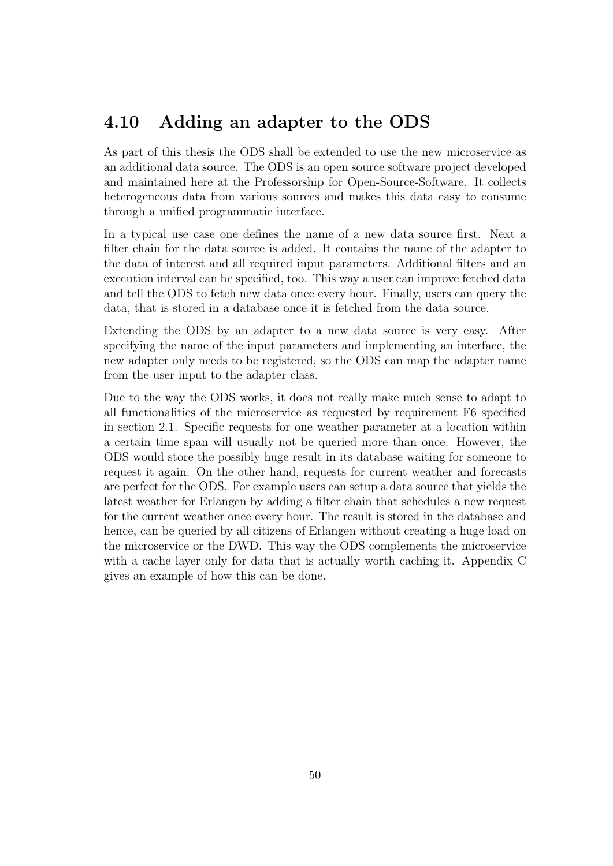### <span id="page-55-0"></span>4.10 Adding an adapter to the [ODS](#page-5-12)

As part of this thesis the [ODS](#page-5-12) shall be extended to use the new microservice as an additional data source. The [ODS](#page-5-12) is an open source software project developed and maintained here at the Professorship for Open-Source-Software. It collects heterogeneous data from various sources and makes this data easy to consume through a unified programmatic interface.

In a typical use case one defines the name of a new data source first. Next a filter chain for the data source is added. It contains the name of the adapter to the data of interest and all required input parameters. Additional filters and an execution interval can be specified, too. This way a user can improve fetched data and tell the [ODS](#page-5-12) to fetch new data once every hour. Finally, users can query the data, that is stored in a database once it is fetched from the data source.

Extending the [ODS](#page-5-12) by an adapter to a new data source is very easy. After specifying the name of the input parameters and implementing an interface, the new adapter only needs to be registered, so the [ODS](#page-5-12) can map the adapter name from the user input to the adapter class.

Due to the way the [ODS](#page-5-12) works, it does not really make much sense to adapt to all functionalities of the microservice as requested by requirement F6 specified in section [2.1.](#page-9-0) Specific requests for one weather parameter at a location within a certain time span will usually not be queried more than once. However, the [ODS](#page-5-12) would store the possibly huge result in its database waiting for someone to request it again. On the other hand, requests for current weather and forecasts are perfect for the [ODS.](#page-5-12) For example users can setup a data source that yields the latest weather for Erlangen by adding a filter chain that schedules a new request for the current weather once every hour. The result is stored in the database and hence, can be queried by all citizens of Erlangen without creating a huge load on the microservice or the [DWD.](#page-5-5) This way the [ODS](#page-5-12) complements the microservice with a cache layer only for data that is actually worth caching it. Appendix [C](#page-70-0) gives an example of how this can be done.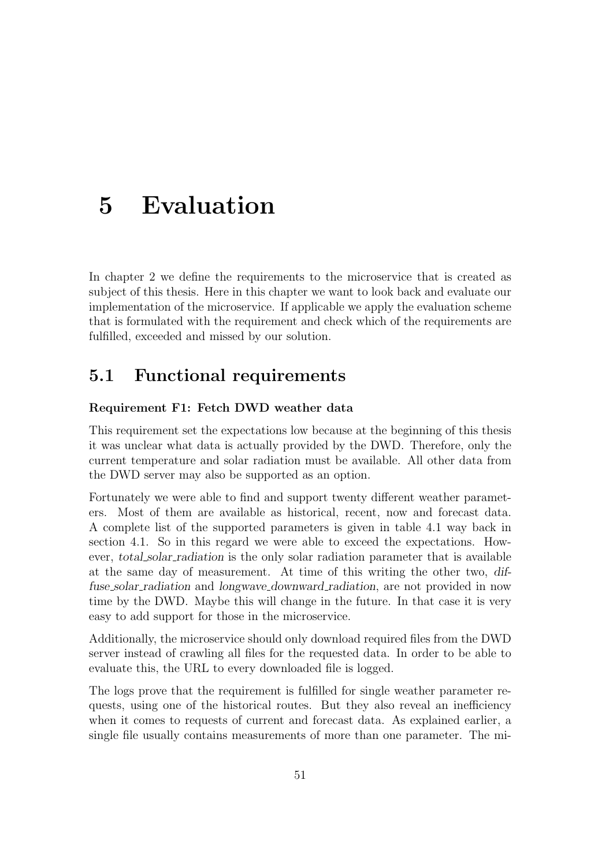## 5 Evaluation

In chapter [2](#page-9-1) we define the requirements to the microservice that is created as subject of this thesis. Here in this chapter we want to look back and evaluate our implementation of the microservice. If applicable we apply the evaluation scheme that is formulated with the requirement and check which of the requirements are fulfilled, exceeded and missed by our solution.

### 5.1 Functional requirements

### Requirement F1: Fetch [DWD](#page-5-5) weather data

This requirement set the expectations low because at the beginning of this thesis it was unclear what data is actually provided by the [DWD.](#page-5-5) Therefore, only the current temperature and solar radiation must be available. All other data from the [DWD](#page-5-5) server may also be supported as an option.

Fortunately we were able to find and support twenty different weather parameters. Most of them are available as historical, recent, now and forecast data. A complete list of the supported parameters is given in table [4.1](#page-23-0) way back in section [4.1.](#page-21-0) So in this regard we were able to exceed the expectations. However, total solar radiation is the only solar radiation parameter that is available at the same day of measurement. At time of this writing the other two, diffuse solar radiation and longwave downward radiation, are not provided in now time by the [DWD.](#page-5-5) Maybe this will change in the future. In that case it is very easy to add support for those in the microservice.

Additionally, the microservice should only download required files from the [DWD](#page-5-5) server instead of crawling all files for the requested data. In order to be able to evaluate this, the [URL](#page-5-9) to every downloaded file is logged.

The logs prove that the requirement is fulfilled for single weather parameter requests, using one of the historical routes. But they also reveal an inefficiency when it comes to requests of current and forecast data. As explained earlier, a single file usually contains measurements of more than one parameter. The mi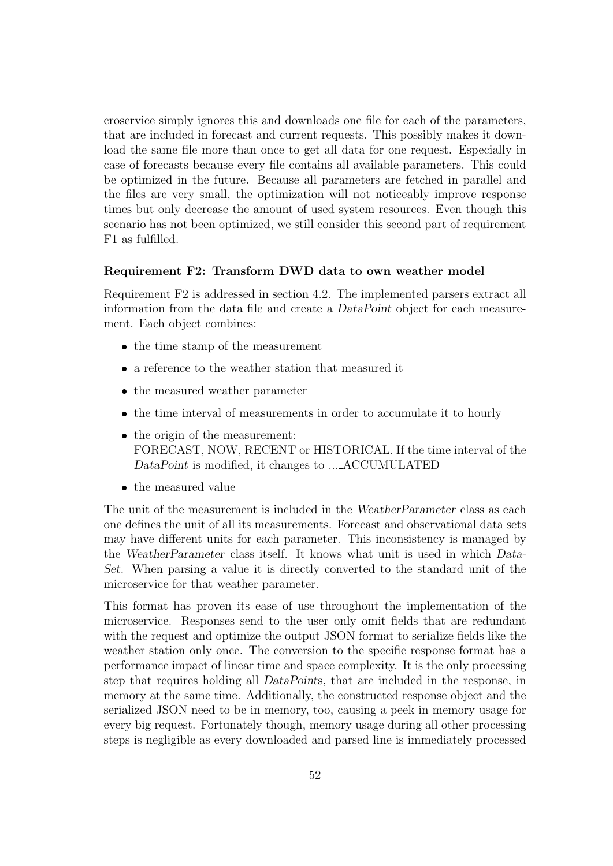croservice simply ignores this and downloads one file for each of the parameters, that are included in forecast and current requests. This possibly makes it download the same file more than once to get all data for one request. Especially in case of forecasts because every file contains all available parameters. This could be optimized in the future. Because all parameters are fetched in parallel and the files are very small, the optimization will not noticeably improve response times but only decrease the amount of used system resources. Even though this scenario has not been optimized, we still consider this second part of requirement F1 as fulfilled.

### Requirement F2: Transform [DWD](#page-5-5) data to own weather model

Requirement F2 is addressed in section [4.2.](#page-24-0) The implemented parsers extract all information from the data file and create a DataPoint object for each measurement. Each object combines:

- the time stamp of the measurement
- $\bullet\,$  a reference to the weather station that measured it
- $\bullet\,$  the measured weather parameter
- the time interval of measurements in order to accumulate it to hourly
- the origin of the measurement: FORECAST, NOW, RECENT or HISTORICAL. If the time interval of the DataPoint is modified, it changes to ... ACCUMULATED
- $\bullet\,$  the measured value

The unit of the measurement is included in the WeatherParameter class as each one defines the unit of all its measurements. Forecast and observational data sets may have different units for each parameter. This inconsistency is managed by the WeatherParameter class itself. It knows what unit is used in which Data-Set. When parsing a value it is directly converted to the standard unit of the microservice for that weather parameter.

This format has proven its ease of use throughout the implementation of the microservice. Responses send to the user only omit fields that are redundant with the request and optimize the output [JSON](#page-5-0) format to serialize fields like the weather station only once. The conversion to the specific response format has a performance impact of linear time and space complexity. It is the only processing step that requires holding all DataPoints, that are included in the response, in memory at the same time. Additionally, the constructed response object and the serialized [JSON](#page-5-0) need to be in memory, too, causing a peek in memory usage for every big request. Fortunately though, memory usage during all other processing steps is negligible as every downloaded and parsed line is immediately processed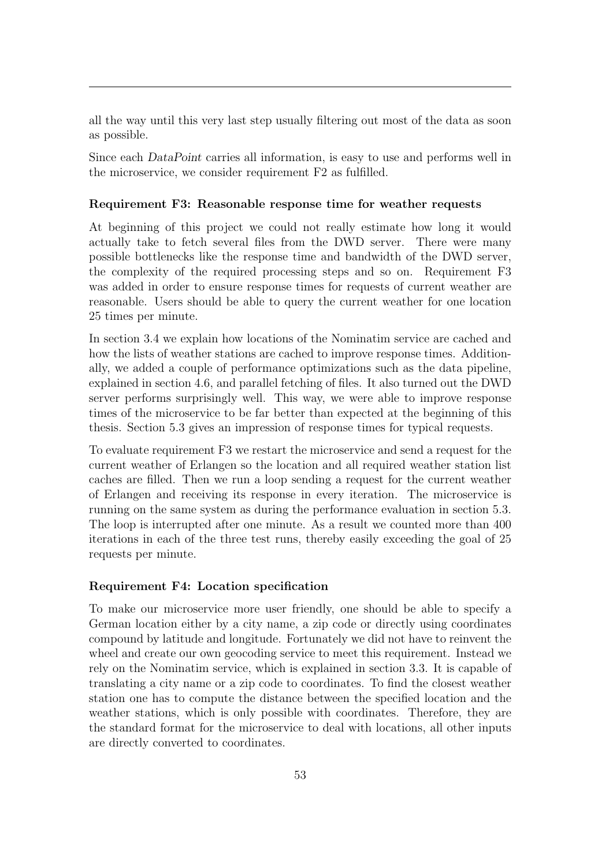all the way until this very last step usually filtering out most of the data as soon as possible.

Since each DataPoint carries all information, is easy to use and performs well in the microservice, we consider requirement F2 as fulfilled.

### Requirement F3: Reasonable response time for weather requests

At beginning of this project we could not really estimate how long it would actually take to fetch several files from the [DWD](#page-5-5) server. There were many possible bottlenecks like the response time and bandwidth of the [DWD](#page-5-5) server, the complexity of the required processing steps and so on. Requirement F3 was added in order to ensure response times for requests of current weather are reasonable. Users should be able to query the current weather for one location 25 times per minute.

In section [3.4](#page-16-0) we explain how locations of the Nominatim service are cached and how the lists of weather stations are cached to improve response times. Additionally, we added a couple of performance optimizations such as the data pipeline, explained in section [4.6,](#page-39-0) and parallel fetching of files. It also turned out the [DWD](#page-5-5) server performs surprisingly well. This way, we were able to improve response times of the microservice to be far better than expected at the beginning of this thesis. Section [5.3](#page-62-0) gives an impression of response times for typical requests.

To evaluate requirement F3 we restart the microservice and send a request for the current weather of Erlangen so the location and all required weather station list caches are filled. Then we run a loop sending a request for the current weather of Erlangen and receiving its response in every iteration. The microservice is running on the same system as during the performance evaluation in section [5.3.](#page-62-0) The loop is interrupted after one minute. As a result we counted more than 400 iterations in each of the three test runs, thereby easily exceeding the goal of 25 requests per minute.

#### Requirement F4: Location specification

To make our microservice more user friendly, one should be able to specify a German location either by a city name, a zip code or directly using coordinates compound by latitude and longitude. Fortunately we did not have to reinvent the wheel and create our own geocoding service to meet this requirement. Instead we rely on the Nominatim service, which is explained in section [3.3.](#page-14-0) It is capable of translating a city name or a zip code to coordinates. To find the closest weather station one has to compute the distance between the specified location and the weather stations, which is only possible with coordinates. Therefore, they are the standard format for the microservice to deal with locations, all other inputs are directly converted to coordinates.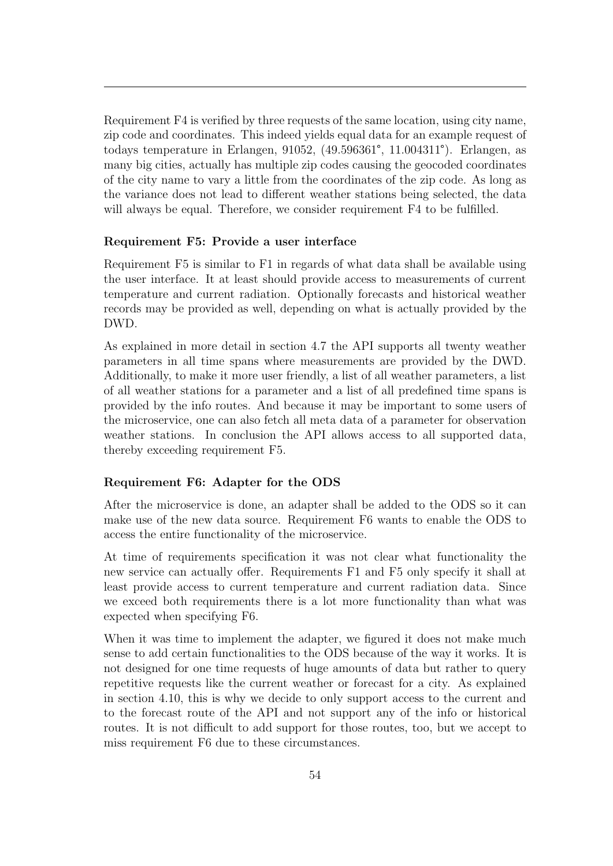Requirement F4 is verified by three requests of the same location, using city name, zip code and coordinates. This indeed yields equal data for an example request of todays temperature in Erlangen, 91052, (49.596361°, 11.004311°). Erlangen, as many big cities, actually has multiple zip codes causing the geocoded coordinates of the city name to vary a little from the coordinates of the zip code. As long as the variance does not lead to different weather stations being selected, the data will always be equal. Therefore, we consider requirement F4 to be fulfilled.

### Requirement F5: Provide a user interface

Requirement F5 is similar to F1 in regards of what data shall be available using the user interface. It at least should provide access to measurements of current temperature and current radiation. Optionally forecasts and historical weather records may be provided as well, depending on what is actually provided by the [DWD.](#page-5-5)

As explained in more detail in section [4.7](#page-46-0) the [API](#page-5-8) supports all twenty weather parameters in all time spans where measurements are provided by the [DWD.](#page-5-5) Additionally, to make it more user friendly, a list of all weather parameters, a list of all weather stations for a parameter and a list of all predefined time spans is provided by the info routes. And because it may be important to some users of the microservice, one can also fetch all meta data of a parameter for observation weather stations. In conclusion the [API](#page-5-8) allows access to all supported data, thereby exceeding requirement F5.

### Requirement F6: Adapter for the [ODS](#page-5-12)

After the microservice is done, an adapter shall be added to the [ODS](#page-5-12) so it can make use of the new data source. Requirement F6 wants to enable the [ODS](#page-5-12) to access the entire functionality of the microservice.

At time of requirements specification it was not clear what functionality the new service can actually offer. Requirements F1 and F5 only specify it shall at least provide access to current temperature and current radiation data. Since we exceed both requirements there is a lot more functionality than what was expected when specifying F6.

<span id="page-59-0"></span>When it was time to implement the adapter, we figured it does not make much sense to add certain functionalities to the [ODS](#page-5-12) because of the way it works. It is not designed for one time requests of huge amounts of data but rather to query repetitive requests like the current weather or forecast for a city. As explained in section [4.10,](#page-55-0) this is why we decide to only support access to the current and to the forecast route of the [API](#page-5-8) and not support any of the info or historical routes. It is not difficult to add support for those routes, too, but we accept to miss requirement F6 due to these circumstances.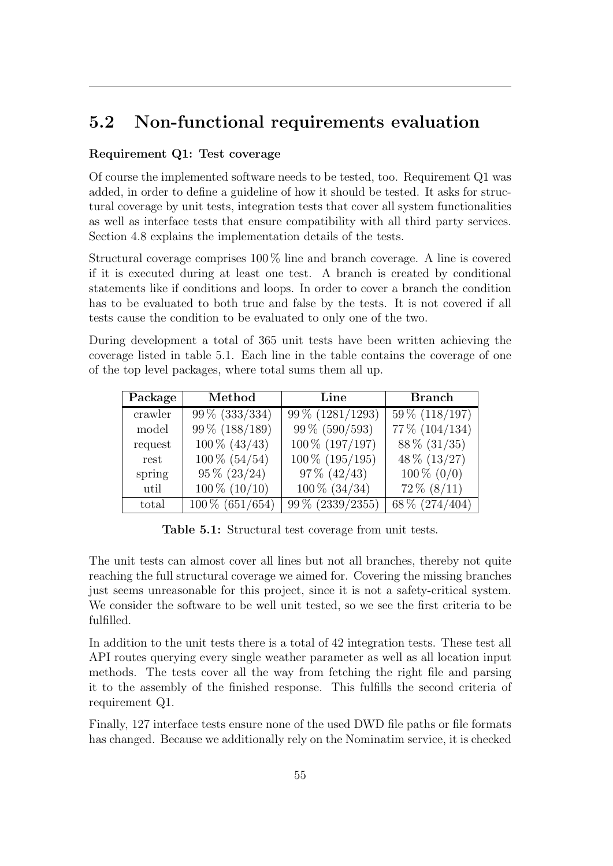### 5.2 Non-functional requirements evaluation

### Requirement Q1: Test coverage

Of course the implemented software needs to be tested, too. Requirement Q1 was added, in order to define a guideline of how it should be tested. It asks for structural coverage by unit tests, integration tests that cover all system functionalities as well as interface tests that ensure compatibility with all third party services. Section [4.8](#page-49-0) explains the implementation details of the tests.

Structural coverage comprises 100 % line and branch coverage. A line is covered if it is executed during at least one test. A branch is created by conditional statements like if conditions and loops. In order to cover a branch the condition has to be evaluated to both true and false by the tests. It is not covered if all tests cause the condition to be evaluated to only one of the two.

During development a total of 365 unit tests have been written achieving the coverage listed in table [5.1.](#page-60-0) Each line in the table contains the coverage of one of the top level packages, where total sums them all up.

<span id="page-60-0"></span>

| Package | Method            | Line             | <b>Branch</b>    |
|---------|-------------------|------------------|------------------|
| crawler | $99\%$ (333/334)  | 99 % (1281/1293) | $59\%$ (118/197) |
| model   | 99 % (188/189)    | $99\%$ (590/593) | 77% (104/134)    |
| request | $100\%$ (43/43)   | 100 % (197/197)  | $88\%$ (31/35)   |
| rest    | $100\%$ (54/54)   | 100 % (195/195)  | $48\%$ (13/27)   |
| spring  | $95\% (23/24)$    | $97\% (42/43)$   | $100\% (0/0)$    |
| util    | $100\%$ $(10/10)$ | $100\%$ (34/34)  | $72\%~(8/11)$    |
| total   | $100\%$ (651/654) | 99 % (2339/2355) | 68\% (274/404)   |

Table 5.1: Structural test coverage from unit tests.

The unit tests can almost cover all lines but not all branches, thereby not quite reaching the full structural coverage we aimed for. Covering the missing branches just seems unreasonable for this project, since it is not a safety-critical system. We consider the software to be well unit tested, so we see the first criteria to be fulfilled.

In addition to the unit tests there is a total of 42 integration tests. These test all [API](#page-5-8) routes querying every single weather parameter as well as all location input methods. The tests cover all the way from fetching the right file and parsing it to the assembly of the finished response. This fulfills the second criteria of requirement Q1.

Finally, 127 interface tests ensure none of the used [DWD](#page-5-5) file paths or file formats has changed. Because we additionally rely on the Nominatim service, it is checked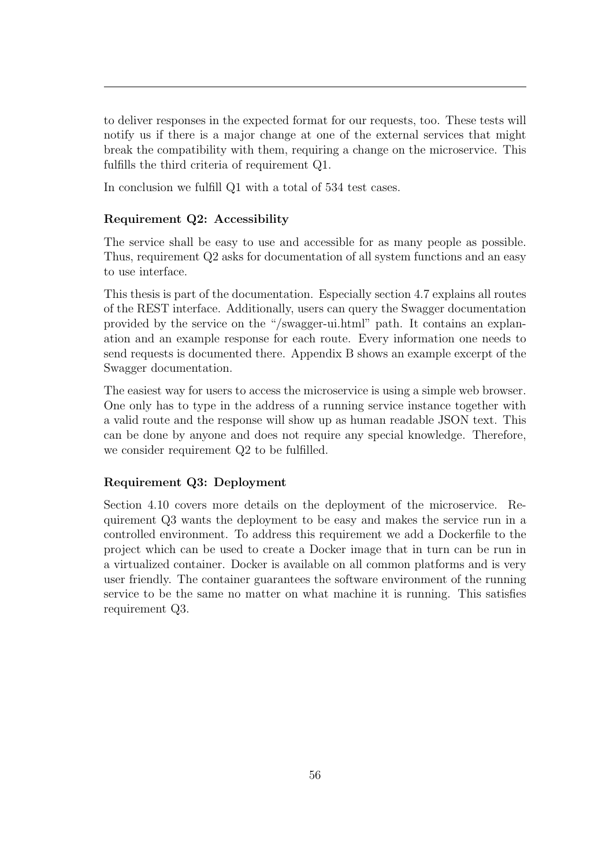to deliver responses in the expected format for our requests, too. These tests will notify us if there is a major change at one of the external services that might break the compatibility with them, requiring a change on the microservice. This fulfills the third criteria of requirement Q1.

In conclusion we fulfill Q1 with a total of 534 test cases.

### Requirement Q2: Accessibility

The service shall be easy to use and accessible for as many people as possible. Thus, requirement Q2 asks for documentation of all system functions and an easy to use interface.

This thesis is part of the documentation. Especially section [4.7](#page-46-0) explains all routes of the [REST](#page-5-6) interface. Additionally, users can query the Swagger documentation provided by the service on the "/swagger-ui.html" path. It contains an explanation and an example response for each route. Every information one needs to send requests is documented there. Appendix [B](#page-69-0) shows an example excerpt of the Swagger documentation.

The easiest way for users to access the microservice is using a simple web browser. One only has to type in the address of a running service instance together with a valid route and the response will show up as human readable [JSON](#page-5-0) text. This can be done by anyone and does not require any special knowledge. Therefore, we consider requirement Q2 to be fulfilled.

#### Requirement Q3: Deployment

Section [4.10](#page-55-0) covers more details on the deployment of the microservice. Requirement Q3 wants the deployment to be easy and makes the service run in a controlled environment. To address this requirement we add a Dockerfile to the project which can be used to create a Docker image that in turn can be run in a virtualized container. Docker is available on all common platforms and is very user friendly. The container guarantees the software environment of the running service to be the same no matter on what machine it is running. This satisfies requirement Q3.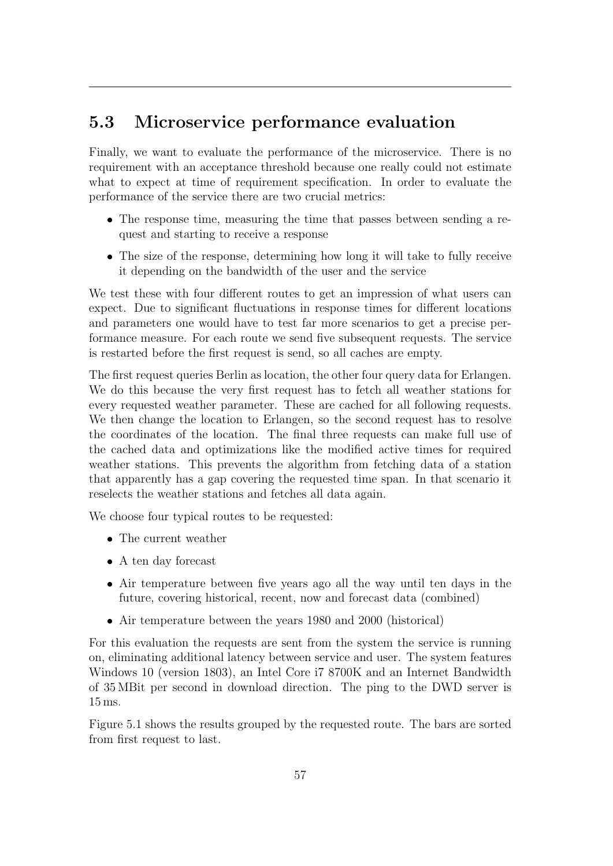### <span id="page-62-0"></span>5.3 Microservice performance evaluation

Finally, we want to evaluate the performance of the microservice. There is no requirement with an acceptance threshold because one really could not estimate what to expect at time of requirement specification. In order to evaluate the performance of the service there are two crucial metrics:

- The response time, measuring the time that passes between sending a request and starting to receive a response
- The size of the response, determining how long it will take to fully receive it depending on the bandwidth of the user and the service

We test these with four different routes to get an impression of what users can expect. Due to significant fluctuations in response times for different locations and parameters one would have to test far more scenarios to get a precise performance measure. For each route we send five subsequent requests. The service is restarted before the first request is send, so all caches are empty.

The first request queries Berlin as location, the other four query data for Erlangen. We do this because the very first request has to fetch all weather stations for every requested weather parameter. These are cached for all following requests. We then change the location to Erlangen, so the second request has to resolve the coordinates of the location. The final three requests can make full use of the cached data and optimizations like the modified active times for required weather stations. This prevents the algorithm from fetching data of a station that apparently has a gap covering the requested time span. In that scenario it reselects the weather stations and fetches all data again.

We choose four typical routes to be requested:

- The current weather
- A ten day forecast
- Air temperature between five years ago all the way until ten days in the future, covering historical, recent, now and forecast data (combined)
- Air temperature between the years 1980 and 2000 (historical)

For this evaluation the requests are sent from the system the service is running on, eliminating additional latency between service and user. The system features Windows 10 (version 1803), an Intel Core i7 8700K and an Internet Bandwidth of 35 MBit per second in download direction. The ping to the [DWD](#page-5-5) server is 15 ms.

Figure [5.1](#page-63-0) shows the results grouped by the requested route. The bars are sorted from first request to last.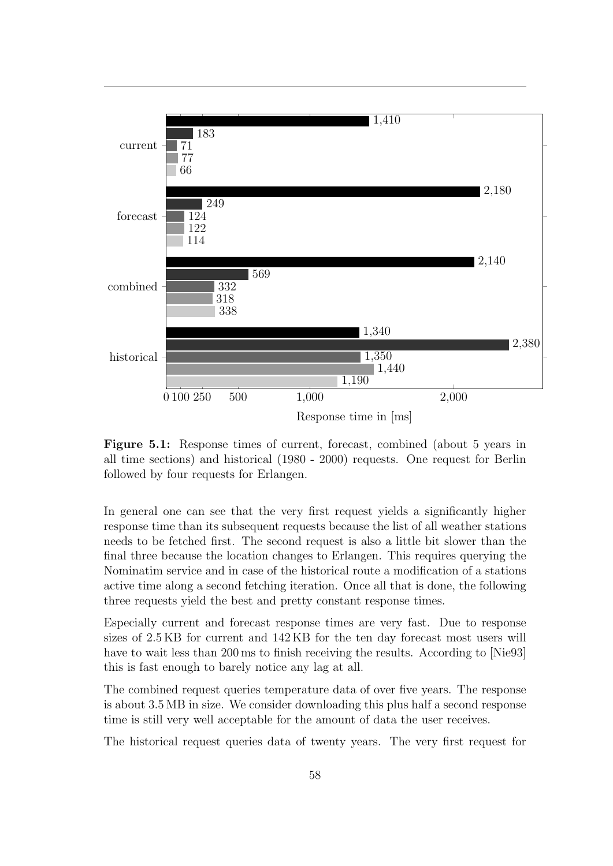<span id="page-63-0"></span>

Figure 5.1: Response times of current, forecast, combined (about 5 years in all time sections) and historical (1980 - 2000) requests. One request for Berlin followed by four requests for Erlangen.

In general one can see that the very first request yields a significantly higher response time than its subsequent requests because the list of all weather stations needs to be fetched first. The second request is also a little bit slower than the final three because the location changes to Erlangen. This requires querying the Nominatim service and in case of the historical route a modification of a stations active time along a second fetching iteration. Once all that is done, the following three requests yield the best and pretty constant response times.

Especially current and forecast response times are very fast. Due to response sizes of 2.5 KB for current and 142 KB for the ten day forecast most users will have to wait less than 200 ms to finish receiving the results. According to [\[Nie93\]](#page-71-7) this is fast enough to barely notice any lag at all.

The combined request queries temperature data of over five years. The response is about 3.5 MB in size. We consider downloading this plus half a second response time is still very well acceptable for the amount of data the user receives.

The historical request queries data of twenty years. The very first request for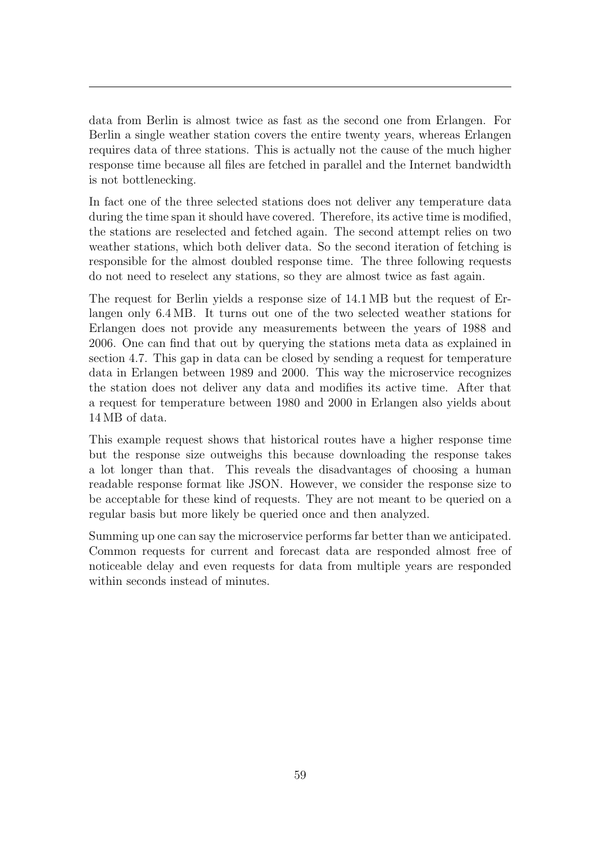data from Berlin is almost twice as fast as the second one from Erlangen. For Berlin a single weather station covers the entire twenty years, whereas Erlangen requires data of three stations. This is actually not the cause of the much higher response time because all files are fetched in parallel and the Internet bandwidth is not bottlenecking.

In fact one of the three selected stations does not deliver any temperature data during the time span it should have covered. Therefore, its active time is modified, the stations are reselected and fetched again. The second attempt relies on two weather stations, which both deliver data. So the second iteration of fetching is responsible for the almost doubled response time. The three following requests do not need to reselect any stations, so they are almost twice as fast again.

The request for Berlin yields a response size of 14.1 MB but the request of Erlangen only 6.4 MB. It turns out one of the two selected weather stations for Erlangen does not provide any measurements between the years of 1988 and 2006. One can find that out by querying the stations meta data as explained in section [4.7.](#page-46-0) This gap in data can be closed by sending a request for temperature data in Erlangen between 1989 and 2000. This way the microservice recognizes the station does not deliver any data and modifies its active time. After that a request for temperature between 1980 and 2000 in Erlangen also yields about 14 MB of data.

This example request shows that historical routes have a higher response time but the response size outweighs this because downloading the response takes a lot longer than that. This reveals the disadvantages of choosing a human readable response format like [JSON.](#page-5-0) However, we consider the response size to be acceptable for these kind of requests. They are not meant to be queried on a regular basis but more likely be queried once and then analyzed.

Summing up one can say the microservice performs far better than we anticipated. Common requests for current and forecast data are responded almost free of noticeable delay and even requests for data from multiple years are responded within seconds instead of minutes.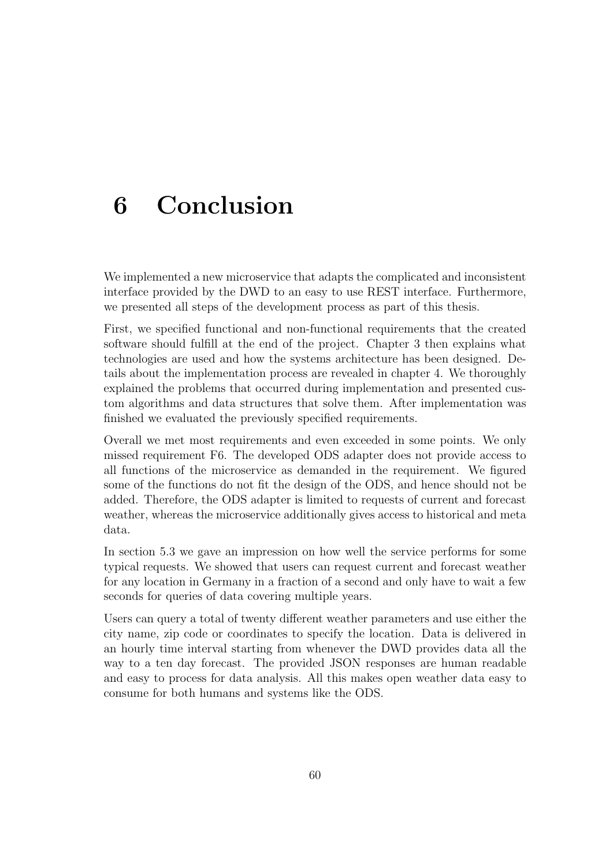# 6 Conclusion

We implemented a new microservice that adapts the complicated and inconsistent interface provided by the [DWD](#page-5-5) to an easy to use [REST](#page-5-6) interface. Furthermore, we presented all steps of the development process as part of this thesis.

First, we specified functional and non-functional requirements that the created software should fulfill at the end of the project. Chapter [3](#page-12-0) then explains what technologies are used and how the systems architecture has been designed. Details about the implementation process are revealed in chapter [4.](#page-21-1) We thoroughly explained the problems that occurred during implementation and presented custom algorithms and data structures that solve them. After implementation was finished we evaluated the previously specified requirements.

Overall we met most requirements and even exceeded in some points. We only missed requirement F6. The developed [ODS](#page-5-12) adapter does not provide access to all functions of the microservice as demanded in the requirement. We figured some of the functions do not fit the design of the [ODS,](#page-5-12) and hence should not be added. Therefore, the [ODS](#page-5-12) adapter is limited to requests of current and forecast weather, whereas the microservice additionally gives access to historical and meta data.

In section [5.3](#page-62-0) we gave an impression on how well the service performs for some typical requests. We showed that users can request current and forecast weather for any location in Germany in a fraction of a second and only have to wait a few seconds for queries of data covering multiple years.

Users can query a total of twenty different weather parameters and use either the city name, zip code or coordinates to specify the location. Data is delivered in an hourly time interval starting from whenever the [DWD](#page-5-5) provides data all the way to a ten day forecast. The provided [JSON](#page-5-0) responses are human readable and easy to process for data analysis. All this makes open weather data easy to consume for both humans and systems like the [ODS.](#page-5-12)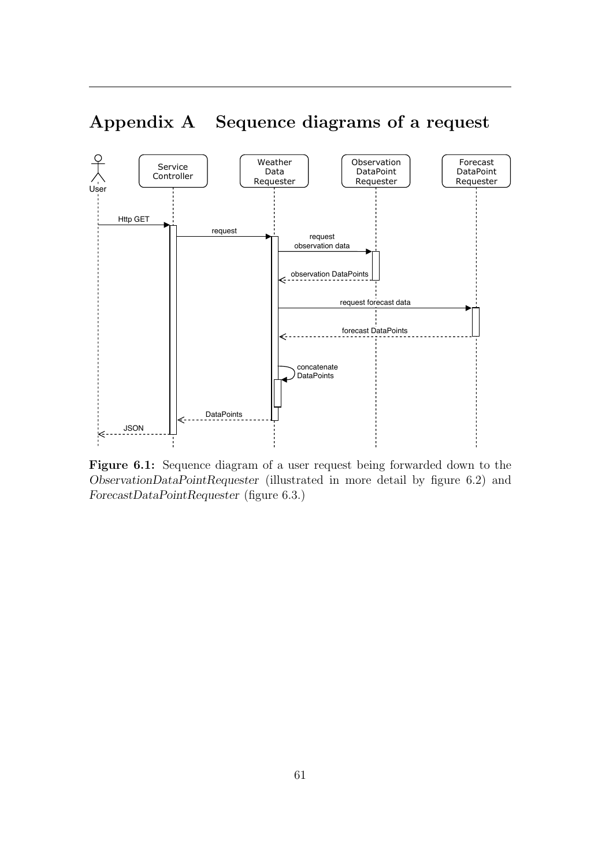

## <span id="page-66-0"></span>Appendix A Sequence diagrams of a request

Figure 6.1: Sequence diagram of a user request being forwarded down to the ObservationDataPointRequester (illustrated in more detail by figure [6.2\)](#page-67-0) and ForecastDataPointRequester (figure [6.3.](#page-68-0))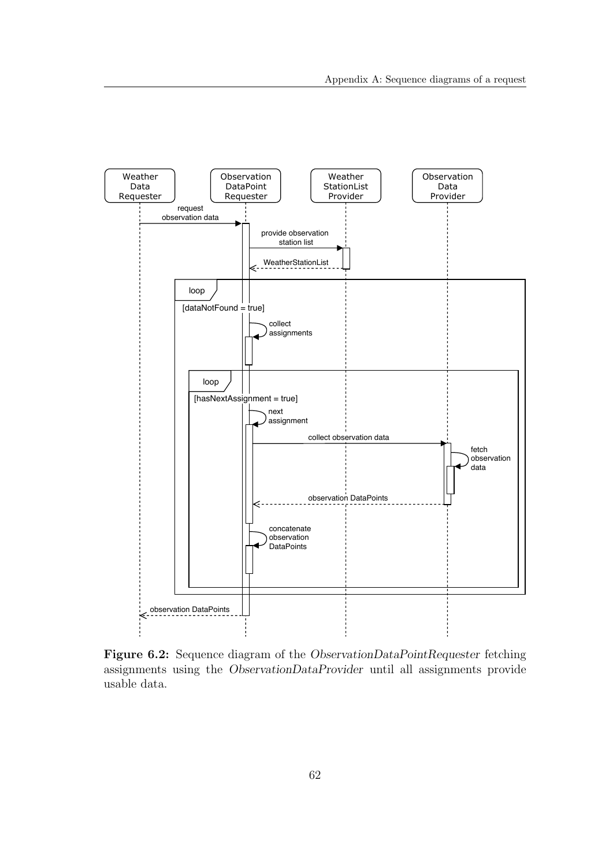<span id="page-67-0"></span>

Figure 6.2: Sequence diagram of the ObservationDataPointRequester fetching assignments using the ObservationDataProvider until all assignments provide usable data.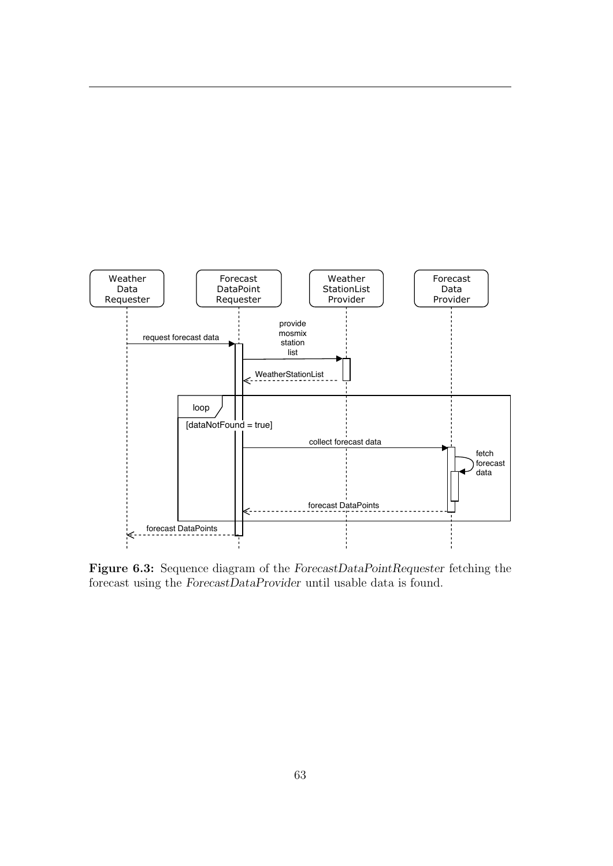<span id="page-68-0"></span>

Figure 6.3: Sequence diagram of the ForecastDataPointRequester fetching the forecast using the ForecastDataProvider until usable data is found.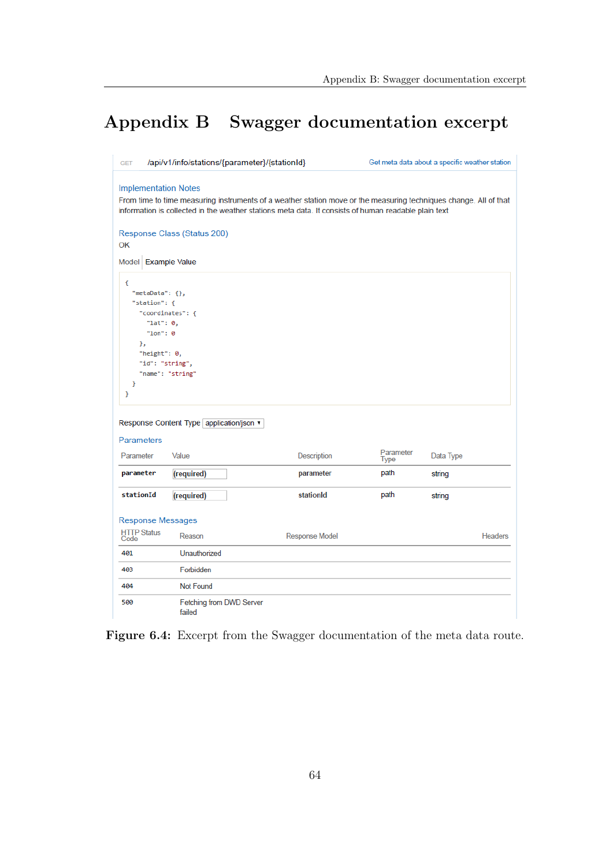## <span id="page-69-0"></span>Appendix B Swagger documentation excerpt

| <b>GET</b>                                                                                                                                                                                                                                               | /api/v1/info/stations/{parameter}/{stationId}                                                       |                       | Get meta data about a specific weather station |           |                |
|----------------------------------------------------------------------------------------------------------------------------------------------------------------------------------------------------------------------------------------------------------|-----------------------------------------------------------------------------------------------------|-----------------------|------------------------------------------------|-----------|----------------|
| <b>Implementation Notes</b><br>From time to time measuring instruments of a weather station move or the measuring techniques change. All of that<br>information is collected in the weather stations meta data. It consists of human readable plain text |                                                                                                     |                       |                                                |           |                |
| OK                                                                                                                                                                                                                                                       | Response Class (Status 200)                                                                         |                       |                                                |           |                |
| Model Example Value                                                                                                                                                                                                                                      |                                                                                                     |                       |                                                |           |                |
| €<br>"metaData": {},<br>"station": {<br>"lat": 0,<br>"lon": $0$<br>Ъ.<br>"height": 0,<br>ŀ<br>ŀ                                                                                                                                                          | "coordinates": {<br>"id": "string",<br>"name": "string"<br>Response Content Type application/json ▼ |                       |                                                |           |                |
| <b>Parameters</b><br>Parameter                                                                                                                                                                                                                           | Value                                                                                               | Description           | Parameter                                      | Data Type |                |
| parameter                                                                                                                                                                                                                                                | (required)                                                                                          | parameter             | Type<br>path                                   | string    |                |
| stationId                                                                                                                                                                                                                                                | (required)                                                                                          | stationId             | path                                           | string    |                |
| <b>Response Messages</b>                                                                                                                                                                                                                                 |                                                                                                     |                       |                                                |           |                |
| <b>HTTP Status</b><br>Code                                                                                                                                                                                                                               | Reason                                                                                              | <b>Response Model</b> |                                                |           | <b>Headers</b> |
| 401                                                                                                                                                                                                                                                      | Unauthorized                                                                                        |                       |                                                |           |                |
| 403                                                                                                                                                                                                                                                      | Forbidden                                                                                           |                       |                                                |           |                |
| 404                                                                                                                                                                                                                                                      | <b>Not Found</b>                                                                                    |                       |                                                |           |                |
| 500                                                                                                                                                                                                                                                      | Fetching from DWD Server<br>failed                                                                  |                       |                                                |           |                |

Figure 6.4: Excerpt from the Swagger documentation of the meta data route.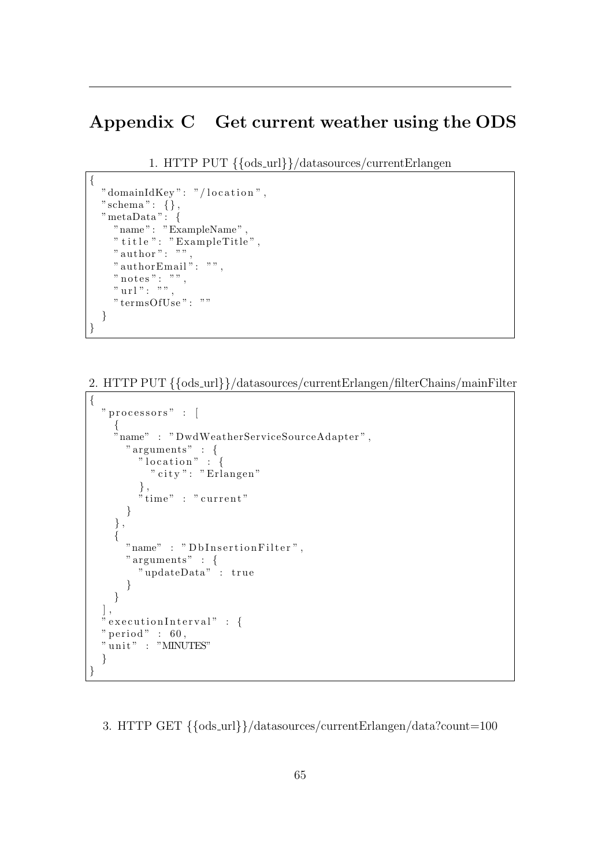### <span id="page-70-0"></span>Appendix C Get current weather using the [ODS](#page-5-12)

1. HTTP PUT {{ods url}}/datasources/currentErlangen

```
{
  " domainIdKey": "/location",
  " schema" : \{\}\,,
  " metaData": {
     "name " : "ExampleName " ,
     " \mathrm{title} " : " \mathrm{Example Title} " ,
     "author": "",
    " authorEmail": "",
    " notes": ""
    " url": "",
    " termsOfUse": "
  }
}
```
### 2. HTTP PUT {{ods url}}/datasources/currentErlangen/filterChains/mainFilter

```
{
  " processors" : [
    {
    "name" : " DwdWeatherServiceSourceAdapter " ,
       " arguments " : {
         " location" : \{" city": "Erlangen"
         \},
         " time" : " current"
      }
    } ,
    {
      "name" : "DbInsertionFilter",
      " arguments " : {
         " updateData" : true
       }
    }
  ] ,
 " executionInterval" : {
  " period" : 60,"\mathbf{unit}": "MINUTES"
  }
}
```
3. HTTP GET {{ods url}}/datasources/currentErlangen/data?count=100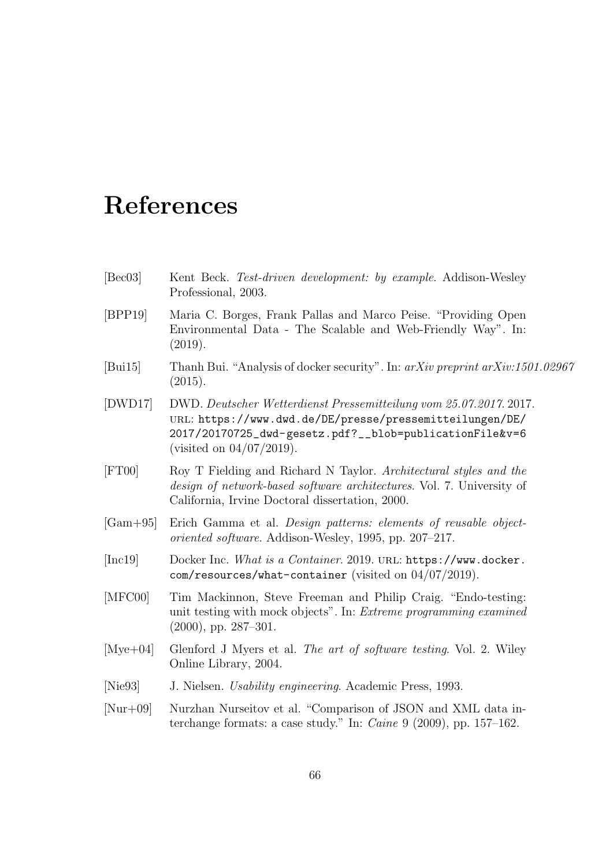# References

- <span id="page-71-2"></span>[Bec03] Kent Beck. Test-driven development: by example. Addison-Wesley Professional, 2003.
- [BPP19] Maria C. Borges, Frank Pallas and Marco Peise. "Providing Open Environmental Data - The Scalable and Web-Friendly Way". In: (2019).
- <span id="page-71-6"></span>[Bui15] Thanh Bui. "Analysis of docker security". In: arXiv preprint arXiv:1501.02967 (2015).
- [DWD17] DWD. Deutscher Wetterdienst Pressemitteilung vom 25.07.2017. 2017. url: [https://www.dwd.de/DE/presse/pressemitteilungen/DE/](https://www.dwd.de/DE/presse/pressemitteilungen/DE/2017/20170725_dwd-gesetz.pdf?__blob=publicationFile&v=6) [2017/20170725\\_dwd-gesetz.pdf?\\_\\_blob=publicationFile&v=6](https://www.dwd.de/DE/presse/pressemitteilungen/DE/2017/20170725_dwd-gesetz.pdf?__blob=publicationFile&v=6) (visited on 04/07/2019).
- <span id="page-71-0"></span>[FT00] Roy T Fielding and Richard N Taylor. Architectural styles and the design of network-based software architectures. Vol. 7. University of California, Irvine Doctoral dissertation, 2000.
- [Gam+95] Erich Gamma et al. Design patterns: elements of reusable objectoriented software. Addison-Wesley, 1995, pp. 207–217.
- <span id="page-71-5"></span>[Inc19] Docker Inc. What is a Container. 2019. url: [https://www.docker.](https://www.docker.com/resources/what-container) [com/resources/what-container](https://www.docker.com/resources/what-container) (visited on  $04/07/2019$ ).
- <span id="page-71-4"></span>[MFC00] Tim Mackinnon, Steve Freeman and Philip Craig. "Endo-testing: unit testing with mock objects". In: Extreme programming examined (2000), pp. 287–301.
- <span id="page-71-3"></span>[Mye+04] Glenford J Myers et al. The art of software testing. Vol. 2. Wiley Online Library, 2004.
- <span id="page-71-7"></span>[Nie93] J. Nielsen. Usability engineering. Academic Press, 1993.
- <span id="page-71-1"></span>[Nur+09] Nurzhan Nurseitov et al. "Comparison of JSON and XML data interchange formats: a case study." In: Caine 9 (2009), pp. 157–162.